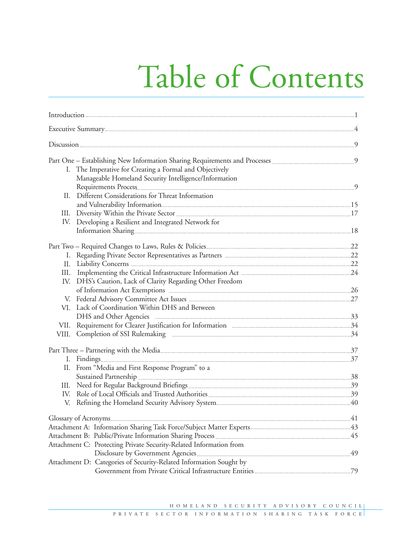# Table of Contents

| Introduction <b>Executive Contract Contract Contract Contract Contract Contract Contract Contract Contract Contract Contract Contract Contract Contract Contract Contract Contract Contract Contract Contract Contract Contract </b>      | $-1$  |
|-------------------------------------------------------------------------------------------------------------------------------------------------------------------------------------------------------------------------------------------|-------|
| Executive Summary <b>Executive Summary</b>                                                                                                                                                                                                |       |
| Discussion <b>Executive Contract Contract Contract Contract Contract Contract Contract Contract Contract Contract Contract Contract Contract Contract Contract Contract Contract Contract Contract Contract Contract Contract Co</b>      | .9    |
| Part One - Establishing New Information Sharing Requirements and Processes                                                                                                                                                                | 9     |
| I. The Imperative for Creating a Formal and Objectively                                                                                                                                                                                   |       |
| Manageable Homeland Security Intelligence/Information                                                                                                                                                                                     |       |
| Requirements Process                                                                                                                                                                                                                      | 9     |
| Different Considerations for Threat Information<br>Н.                                                                                                                                                                                     |       |
| and Vulnerability Information 15                                                                                                                                                                                                          |       |
| III. Diversity Within the Private Sector                                                                                                                                                                                                  | .17   |
| IV. Developing a Resilient and Integrated Network for                                                                                                                                                                                     |       |
|                                                                                                                                                                                                                                           | .18   |
| Part Two – Required Changes to Laws, Rules & Policies                                                                                                                                                                                     | .22   |
| Regarding Private Sector Representatives as Partners <b>Exeting Section</b> Private Sector Representatives as Partners<br>Ι.                                                                                                              | 22    |
| Liability Concerns <b>Executive Concerns</b> and the contract of the contract of the contract of the contract of the contract of the contract of the contract of the contract of the contract of the contract of the contract of th<br>П. | $-22$ |
| Implementing the Critical Infrastructure Information Act 24<br>III.                                                                                                                                                                       |       |
| IV. DHS's Caution, Lack of Clarity Regarding Other Freedom                                                                                                                                                                                |       |
| of Information Act Exemptions 26                                                                                                                                                                                                          |       |
|                                                                                                                                                                                                                                           | 27    |
| VI. Lack of Coordination Within DHS and Between                                                                                                                                                                                           |       |
| DHS and Other Agencies <u>and Communications</u> and Other Agencies and Other Agencies and Other Agencies and Other Agencies and Other Agencies and Other Agencies and Other Agencies and Other Agencies and Other Agencies and Oth       | 33    |
| Requirement for Clearer Justification for Information 24<br>VII.                                                                                                                                                                          |       |
|                                                                                                                                                                                                                                           | 34    |
| Part Three – Partnering with the Media                                                                                                                                                                                                    | 37    |
| I. Findings and the contract of the contract of the contract of the contract of the contract of the contract of the contract of the contract of the contract of the contract of the contract of the contract of the contract o            | 37    |
| II. From "Media and First Response Program" to a                                                                                                                                                                                          |       |
| Sustained Partnership and the contract of the contract of the contract of the contract of the contract of the contract of the contract of the contract of the contract of the contract of the contract of the contract of the             | 38    |
| III.                                                                                                                                                                                                                                      | 39    |
| IV. Role of Local Officials and Trusted Authorities                                                                                                                                                                                       | 39    |
| V. Refining the Homeland Security Advisory System 40                                                                                                                                                                                      |       |
|                                                                                                                                                                                                                                           | .41   |
| Attachment A: Information Sharing Task Force/Subject Matter Experts                                                                                                                                                                       | .43   |
| Attachment B: Public/Private Information Sharing Process <b>manual contract of the Starting Process</b>                                                                                                                                   | 45    |
| Attachment C: Protecting Private Security-Related Information from                                                                                                                                                                        |       |
| Disclosure by Government Agencies                                                                                                                                                                                                         | 49    |
| Attachment D: Categories of Security-Related Information Sought by                                                                                                                                                                        |       |
| Government from Private Critical Infrastructure Entities                                                                                                                                                                                  | .79   |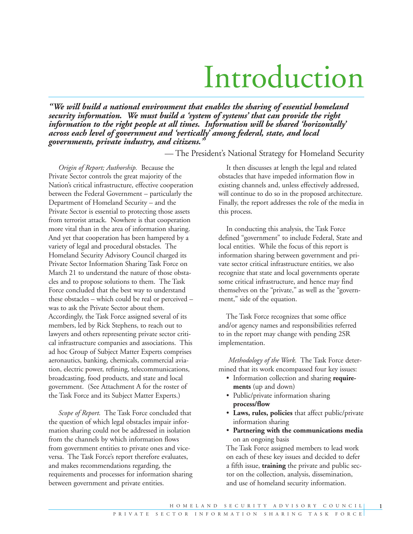### Introduction

*"We will build a national environment that enables the sharing of essential homeland security information. We must build a 'system of systems' that can provide the right information to the right people at all times. Information will be shared 'horizontally' across each level of government and 'vertically' among federal, state, and local governments, private industry, and citizens."*

— The President's National Strategy for Homeland Security

*Origin of Report; Authorship.* Because the Private Sector controls the great majority of the Nation's critical infrastructure, effective cooperation between the Federal Government – particularly the Department of Homeland Security – and the Private Sector is essential to protecting those assets from terrorist attack. Nowhere is that cooperation more vital than in the area of information sharing. And yet that cooperation has been hampered by a variety of legal and procedural obstacles. The Homeland Security Advisory Council charged its Private Sector Information Sharing Task Force on March 21 to understand the nature of those obstacles and to propose solutions to them. The Task Force concluded that the best way to understand these obstacles – which could be real or perceived – was to ask the Private Sector about them. Accordingly, the Task Force assigned several of its members, led by Rick Stephens, to reach out to lawyers and others representing private sector critical infrastructure companies and associations. This ad hoc Group of Subject Matter Experts comprises aeronautics, banking, chemicals, commercial aviation, electric power, refining, telecommunications, broadcasting, food products, and state and local government. (See Attachment A for the roster of the Task Force and its Subject Matter Experts.)

*Scope of Report.* The Task Force concluded that the question of which legal obstacles impair information sharing could not be addressed in isolation from the channels by which information flows from government entities to private ones and viceversa. The Task Force's report therefore evaluates, and makes recommendations regarding, the requirements and processes for information sharing between government and private entities.

It then discusses at length the legal and related obstacles that have impeded information flow in existing channels and, unless effectively addressed, will continue to do so in the proposed architecture. Finally, the report addresses the role of the media in this process.

In conducting this analysis, the Task Force defined "government" to include Federal, State and local entities. While the focus of this report is information sharing between government and private sector critical infrastructure entities, we also recognize that state and local governments operate some critical infrastructure, and hence may find themselves on the "private," as well as the "government," side of the equation.

The Task Force recognizes that some office and/or agency names and responsibilities referred to in the report may change with pending 2SR implementation.

*Methodology of the Work.* The Task Force determined that its work encompassed four key issues:

- Information collection and sharing **requirements** (up and down)
- Public/private information sharing **process/flow**
- **Laws, rules, policies** that affect public/private information sharing
- **Partnering with the communications media** on an ongoing basis

The Task Force assigned members to lead work on each of these key issues and decided to defer a fifth issue, **training** the private and public sector on the collection, analysis, dissemination, and use of homeland security information.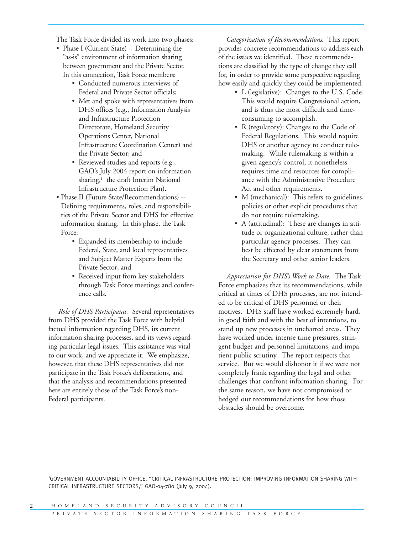The Task Force divided its work into two phases:

- Phase I (Current State) -- Determining the "as-is" environment of information sharing between government and the Private Sector. In this connection, Task Force members:
	- Conducted numerous interviews of Federal and Private Sector officials;
	- Met and spoke with representatives from DHS offices (e.g., Information Analysis and Infrastructure Protection Directorate, Homeland Security Operations Center, National Infrastructure Coordination Center) and the Private Sector; and
	- Reviewed studies and reports (e.g., GAO's July 2004 report on information sharing, $\frac{1}{1}$  the draft Interim National Infrastructure Protection Plan).
- Phase II (Future State/Recommendations) -- Defining requirements, roles, and responsibilities of the Private Sector and DHS for effective information sharing. In this phase, the Task Force:
	- Expanded its membership to include Federal, State, and local representatives and Subject Matter Experts from the Private Sector; and
	- Received input from key stakeholders through Task Force meetings and conference calls.

*Role of DHS Participants.* Several representatives from DHS provided the Task Force with helpful factual information regarding DHS, its current information sharing processes, and its views regarding particular legal issues. This assistance was vital to our work, and we appreciate it. We emphasize, however, that these DHS representatives did not participate in the Task Force's deliberations, and that the analysis and recommendations presented here are entirely those of the Task Force's non-Federal participants.

*Categorization of Recommendations.* This report provides concrete recommendations to address each of the issues we identified. These recommendations are classified by the type of change they call for, in order to provide some perspective regarding how easily and quickly they could be implemented:

- L (legislative): Changes to the U.S. Code. This would require Congressional action, and is thus the most difficult and timeconsuming to accomplish.
- R (regulatory): Changes to the Code of Federal Regulations. This would require DHS or another agency to conduct rulemaking. While rulemaking is within a given agency's control, it nonetheless requires time and resources for compliance with the Administrative Procedure Act and other requirements.
- M (mechanical): This refers to guidelines, policies or other explicit procedures that do not require rulemaking.
- A (attitudinal): These are changes in attitude or organizational culture, rather than particular agency processes. They can best be effected by clear statements from the Secretary and other senior leaders.

*Appreciation for DHS's Work to Date.* The Task Force emphasizes that its recommendations, while critical at times of DHS processes, are not intended to be critical of DHS personnel or their motives. DHS staff have worked extremely hard, in good faith and with the best of intentions, to stand up new processes in uncharted areas. They have worked under intense time pressures, stringent budget and personnel limitations, and impatient public scrutiny. The report respects that service. But we would dishonor it if we were not completely frank regarding the legal and other challenges that confront information sharing. For the same reason, we have not compromised or hedged our recommendations for how those obstacles should be overcome.

1 GOVERNMENT ACCOUNTABILITY OFFICE, "CRITICAL INFRASTRUCTURE PROTECTION: IMPROVING INFORMATION SHARING WITH CRITICAL INFRASTRUCTURE SECTORS," GAO-04-780 (July 9, 2004).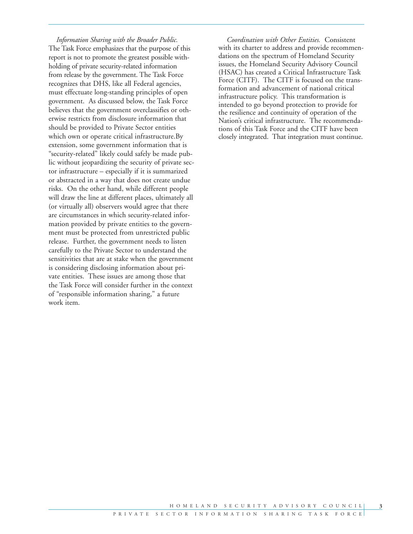*Information Sharing with the Broader Public.* The Task Force emphasizes that the purpose of this report is not to promote the greatest possible withholding of private security-related information from release by the government. The Task Force recognizes that DHS, like all Federal agencies, must effectuate long-standing principles of open government. As discussed below, the Task Force believes that the government overclassifies or otherwise restricts from disclosure information that should be provided to Private Sector entities which own or operate critical infrastructure.By extension, some government information that is "security-related" likely could safely be made public without jeopardizing the security of private sector infrastructure – especially if it is summarized or abstracted in a way that does not create undue risks. On the other hand, while different people will draw the line at different places, ultimately all (or virtually all) observers would agree that there are circumstances in which security-related information provided by private entities to the government must be protected from unrestricted public release. Further, the government needs to listen carefully to the Private Sector to understand the sensitivities that are at stake when the government is considering disclosing information about private entities. These issues are among those that the Task Force will consider further in the context of "responsible information sharing," a future work item.

*Coordination with Other Entities.* Consistent with its charter to address and provide recommendations on the spectrum of Homeland Security issues, the Homeland Security Advisory Council (HSAC) has created a Critical Infrastructure Task Force (CITF). The CITF is focused on the transformation and advancement of national critical infrastructure policy. This transformation is intended to go beyond protection to provide for the resilience and continuity of operation of the Nation's critical infrastructure. The recommendations of this Task Force and the CITF have been closely integrated. That integration must continue.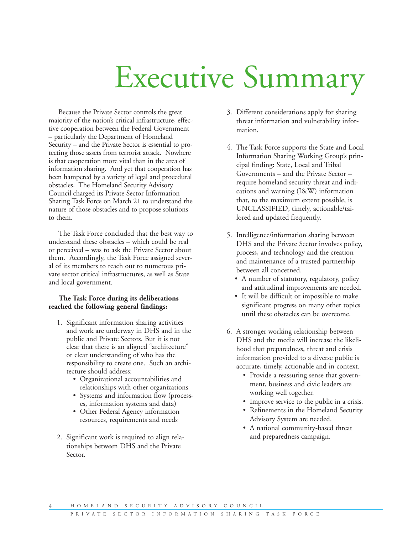# Executive Summary

Because the Private Sector controls the great majority of the nation's critical infrastructure, effective cooperation between the Federal Government – particularly the Department of Homeland Security – and the Private Sector is essential to protecting those assets from terrorist attack. Nowhere is that cooperation more vital than in the area of information sharing. And yet that cooperation has been hampered by a variety of legal and procedural obstacles. The Homeland Security Advisory Council charged its Private Sector Information Sharing Task Force on March 21 to understand the nature of those obstacles and to propose solutions to them.

The Task Force concluded that the best way to understand these obstacles – which could be real or perceived – was to ask the Private Sector about them. Accordingly, the Task Force assigned several of its members to reach out to numerous private sector critical infrastructures, as well as State and local government.

#### **The Task Force during its deliberations reached the following general findings:**

- 1. Significant information sharing activities and work are underway in DHS and in the public and Private Sectors. But it is not clear that there is an aligned "architecture" or clear understanding of who has the responsibility to create one. Such an architecture should address:
	- Organizational accountabilities and relationships with other organizations
	- Systems and information flow (processes, information systems and data)
	- Other Federal Agency information resources, requirements and needs
- 2. Significant work is required to align relationships between DHS and the Private Sector.

- 3. Different considerations apply for sharing threat information and vulnerability information.
- 4. The Task Force supports the State and Local Information Sharing Working Group's principal finding: State, Local and Tribal Governments – and the Private Sector – require homeland security threat and indications and warning (I&W) information that, to the maximum extent possible, is UNCLASSIFIED, timely, actionable/tailored and updated frequently.
- 5. Intelligence/information sharing between DHS and the Private Sector involves policy, process, and technology and the creation and maintenance of a trusted partnership between all concerned.
	- A number of statutory, regulatory, policy and attitudinal improvements are needed.
	- It will be difficult or impossible to make significant progress on many other topics until these obstacles can be overcome.
- 6. A stronger working relationship between DHS and the media will increase the likelihood that preparedness, threat and crisis information provided to a diverse public is accurate, timely, actionable and in context.
	- Provide a reassuring sense that government, business and civic leaders are working well together.
	- Improve service to the public in a crisis.
	- Refinements in the Homeland Security Advisory System are needed.
	- A national community-based threat and preparedness campaign.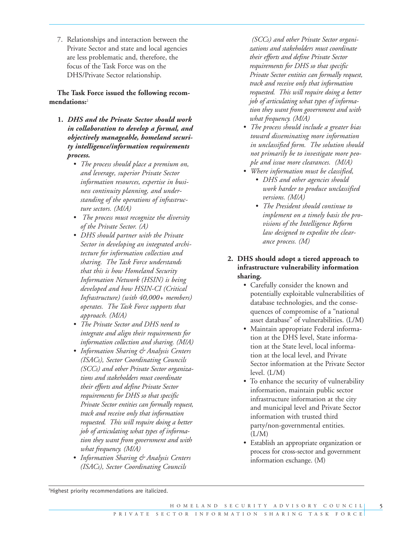7. Relationships and interaction between the Private Sector and state and local agencies are less problematic and, therefore, the focus of the Task Force was on the DHS/Private Sector relationship.

**The Task Force issued the following recommendations:**<sup>2</sup>

- **1.** *DHS and the Private Sector should work in collaboration to develop a formal, and objectively manageable, homeland security intelligence/information requirements process.*
	- *The process should place a premium on, and leverage, superior Private Sector information resources, expertise in business continuity planning, and understanding of the operations of infrastructure sectors. (M/A)*
	- *The process must recognize the diversity of the Private Sector. (A)*
	- *DHS should partner with the Private Sector in developing an integrated architecture for information collection and sharing. The Task Force understands that this is how Homeland Security Information Network (HSIN) is being developed and how HSIN-CI (Critical Infrastructure) (with 40,000+ members) operates. The Task Force supports that approach. (M/A)*
	- *The Private Sector and DHS need to integrate and align their requirements for information collection and sharing. (M/A)*
	- *Information Sharing & Analysis Centers (ISACs), Sector Coordinating Councils (SCCs) and other Private Sector organizations and stakeholders must coordinate their efforts and define Private Sector requirements for DHS so that specific Private Sector entities can formally request, track and receive only that information requested. This will require doing a better job of articulating what types of information they want from government and with what frequency. (M/A)*
	- *Information Sharing & Analysis Centers (ISACs), Sector Coordinating Councils*

*(SCCs) and other Private Sector organizations and stakeholders must coordinate their efforts and define Private Sector requirements for DHS so that specific Private Sector entities can formally request, track and receive only that information requested. This will require doing a better job of articulating what types of information they want from government and with what frequency. (M/A)*

- *The process should include a greater bias toward disseminating more information in unclassified form. The solution should not primarily be to investigate more people and issue more clearances. (M/A)*
- *Where information must be classified,*
	- *DHS and other agencies should work harder to produce unclassified versions. (M/A)*
	- *The President should continue to implement on a timely basis the provisions of the Intelligence Reform law designed to expedite the clearance process. (M)*
- **2. DHS should adopt a tiered approach to infrastructure vulnerability information sharing***.*
	- Carefully consider the known and potentially exploitable vulnerabilities of database technologies, and the consequences of compromise of a "national asset database" of vulnerabilities. (L/M)
	- Maintain appropriate Federal information at the DHS level, State information at the State level, local information at the local level, and Private Sector information at the Private Sector level. (L/M)
	- To enhance the security of vulnerability information, maintain public sector infrastructure information at the city and municipal level and Private Sector information with trusted third party/non-governmental entities.  $(L/M)$
	- Establish an appropriate organization or process for cross-sector and government information exchange. (M)

**5**

2 Highest priority recommendations are italicized.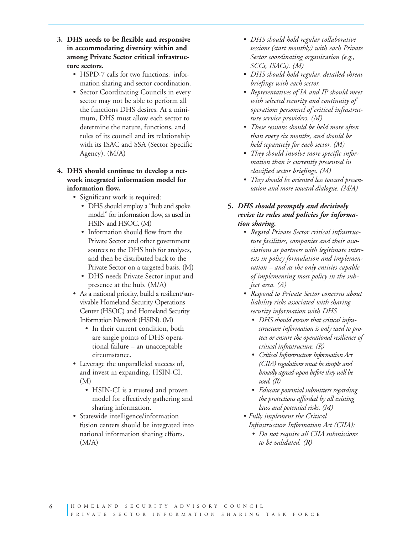- **3. DHS needs to be flexible and responsive in accommodating diversity within and among Private Sector critical infrastructure sectors.**
	- HSPD-7 calls for two functions: information sharing and sector coordination.
	- Sector Coordinating Councils in every sector may not be able to perform all the functions DHS desires. At a minimum, DHS must allow each sector to determine the nature, functions, and rules of its council and its relationship with its ISAC and SSA (Sector Specific Agency). (M/A)

#### **4. DHS should continue to develop a network integrated information model for information flow.**

- Significant work is required:
	- DHS should employ a "hub and spoke model" for information flow, as used in HSIN and HSOC. (M)
	- Information should flow from the Private Sector and other government sources to the DHS hub for analyses, and then be distributed back to the Private Sector on a targeted basis. (M)
	- DHS needs Private Sector input and presence at the hub. (M/A)
- As a national priority, build a resilient/survivable Homeland Security Operations Center (HSOC) and Homeland Security Information Network (HSIN). (M)
	- In their current condition, both are single points of DHS operational failure – an unacceptable circumstance.
- Leverage the unparalleled success of, and invest in expanding, HSIN-CI. (M)
	- HSIN-CI is a trusted and proven model for effectively gathering and sharing information.
- Statewide intelligence/information fusion centers should be integrated into national information sharing efforts.  $(M/A)$

- *DHS should hold regular collaborative sessions (start monthly) with each Private Sector coordinating organization (e.g., SCCs, ISACs). (M)*
- *DHS should hold regular, detailed threat briefings with each sector.*
- *Representatives of IA and IP should meet with selected security and continuity of operations personnel of critical infrastructure service providers. (M)*
- *These sessions should be held more often than every six months, and should be held separately for each sector. (M)*
- *They should involve more specific information than is currently presented in classified sector briefings. (M)*
- *They should be oriented less toward presentation and more toward dialogue. (M/A)*
- **5.** *DHS should promptly and decisively revise its rules and policies for information sharing.*
	- *Regard Private Sector critical infrastructure facilities, companies and their associations as partners with legitimate interests in policy formulation and implementation – and as the only entities capable of implementing most policy in the subject area. (A)*
	- *Respond to Private Sector concerns about liability risks associated with sharing security information with DHS*
		- *DHS should ensure that critical infrastructure information is only used to protect or ensure the operational resilience of critical infrastructure. (R)*
		- *Critical Infrastructure Information Act (CIIA) regulations must be simple and broadly agreed-upon before they will be used. (R)*
		- *Educate potential submitters regarding the protections afforded by all existing laws and potential risks. (M)*
	- *Fully implement the Critical Infrastructure Information Act (CIIA):*
		- *Do not require all CIIA submissions to be validated. (R)*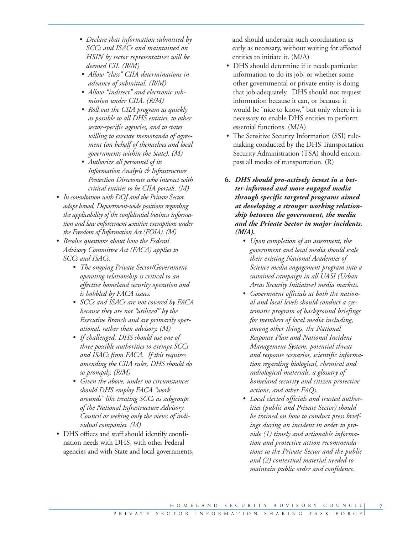- *Declare that information submitted by SCCs and ISACs and maintained on HSIN by sector representatives will be deemed CII. (R/M)*
- *Allow "class" CIIA determinations in advance of submittal. (R/M)*
- *Allow "indirect" and electronic submission under CIIA. (R/M)*
- *Roll out the CIIA program as quickly as possible to all DHS entities, to other sector-specific agencies, and to states willing to execute memoranda of agreement (on behalf of themselves and local governments within the State). (M)*
- *Authorize all personnel of its Information Analysis & Infrastructure Protection Directorate who interact with critical entities to be CIIA portals. (M)*
- *In consultation with DOJ and the Private Sector, adopt broad, Department-wide positions regarding the applicability of the confidential business information and law enforcement sensitive exemptions under the Freedom of Information Act (FOIA). (M)*
- *Resolve questions about how the Federal Advisory Committee Act (FACA) applies to SCCs and ISACs.*
	- *The ongoing Private Sector/Government operating relationship is critical to an effective homeland security operation and is hobbled by FACA issues.*
	- *SCCs and ISACs are not covered by FACA because they are not "utilized" by the Executive Branch and are primarily operational, rather than advisory. (M)*
	- *If challenged, DHS should use one of three possible authorities to exempt SCCs and ISACs from FACA. If this requires amending the CIIA rules, DHS should do so promptly. (R/M)*
	- *Given the above, under no circumstances should DHS employ FACA "work arounds" like treating SCCs as subgroups of the National Infrastructure Advisory Council or seeking only the views of individual companies. (M)*
- DHS offices and staff should identify coordination needs with DHS, with other Federal agencies and with State and local governments,

and should undertake such coordination as early as necessary, without waiting for affected entities to initiate it. (M/A)

- DHS should determine if it needs particular information to do its job, or whether some other governmental or private entity is doing that job adequately. DHS should not request information because it can, or because it would be "nice to know," but only where it is necessary to enable DHS entities to perform essential functions. (M/A)
- The Sensitive Security Information (SSI) rulemaking conducted by the DHS Transportation Security Administration (TSA) should encompass all modes of transportation. (R)
- **6.** *DHS should pro-actively invest in a better-informed and more engaged media through specific targeted programs aimed at developing a stronger working relationship between the government, the media and the Private Sector in major incidents. (M/A).*
	- *Upon completion of an assessment, the government and local media should scale their existing National Academies of Science media engagement program into a sustained campaign in all UASI (Urban Areas Security Initiative) media markets.*
	- *Government officials at both the national and local levels should conduct a systematic program of background briefings for members of local media including, among other things, the National Response Plan and National Incident Management System, potential threat and response scenarios, scientific information regarding biological, chemical and radiological materials, a glossary of homeland security and citizen protective actions, and other FAQs.*
	- *Local elected officials and trusted authorities (public and Private Sector) should be trained on how to conduct press briefings during an incident in order to provide (1) timely and actionable information and protective action recommendations to the Private Sector and the public and (2) contextual material needed to maintain public order and confidence.*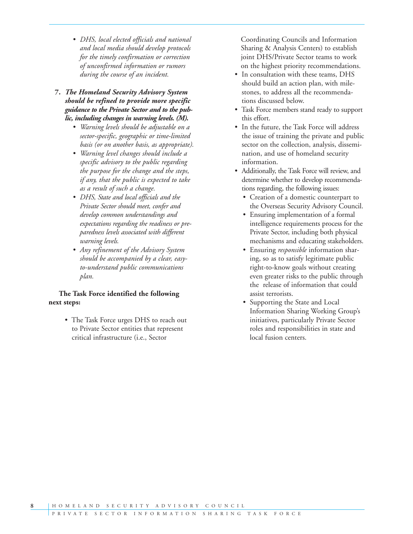- *DHS, local elected officials and national and local media should develop protocols for the timely confirmation or correction of unconfirmed information or rumors during the course of an incident.*
- **7.** *The Homeland Security Advisory System should be refined to provide more specific guidance to the Private Sector and to the public, including changes in warning levels. (M).*
	- *Warning levels should be adjustable on a sector-specific, geographic or time-limited basis (or on another basis, as appropriate).*
	- *Warning level changes should include a specific advisory to the public regarding the purpose for the change and the steps, if any, that the public is expected to take as a result of such a change.*
	- *DHS, State and local officials and the Private Sector should meet, confer and develop common understandings and expectations regarding the readiness or preparedness levels associated with different warning levels.*
	- *Any refinement of the Advisory System should be accompanied by a clear, easyto-understand public communications plan.*

#### **The Task Force identified the following next steps:**

• The Task Force urges DHS to reach out to Private Sector entities that represent critical infrastructure (i.e., Sector

Coordinating Councils and Information Sharing & Analysis Centers) to establish joint DHS/Private Sector teams to work on the highest priority recommendations.

- In consultation with these teams, DHS should build an action plan, with milestones, to address all the recommendations discussed below.
- Task Force members stand ready to support this effort.
- In the future, the Task Force will address the issue of training the private and public sector on the collection, analysis, dissemination, and use of homeland security information.
- Additionally, the Task Force will review, and determine whether to develop recommendations regarding, the following issues:
	- Creation of a domestic counterpart to the Overseas Security Advisory Council.
	- Ensuring implementation of a formal intelligence requirements process for the Private Sector, including both physical mechanisms and educating stakeholders.
	- Ensuring *responsible* information sharing, so as to satisfy legitimate public right-to-know goals without creating even greater risks to the public through the release of information that could assist terrorists.
	- Supporting the State and Local Information Sharing Working Group's initiatives, particularly Private Sector roles and responsibilities in state and local fusion centers.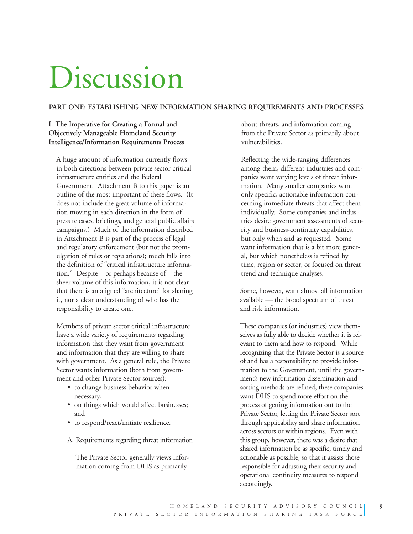## Discussion

#### **PART ONE: ESTABLISHING NEW INFORMATION SHARING REQUIREMENTS AND PROCESSES**

#### **I. The Imperative for Creating a Formal and Objectively Manageable Homeland Security Intelligence/Information Requirements Process**

A huge amount of information currently flows in both directions between private sector critical infrastructure entities and the Federal Government. Attachment B to this paper is an outline of the most important of these flows. (It does not include the great volume of information moving in each direction in the form of press releases, briefings, and general public affairs campaigns.) Much of the information described in Attachment B is part of the process of legal and regulatory enforcement (but not the promulgation of rules or regulations); much falls into the definition of "critical infrastructure information." Despite – or perhaps because of – the sheer volume of this information, it is not clear that there is an aligned "architecture" for sharing it, nor a clear understanding of who has the responsibility to create one.

Members of private sector critical infrastructure have a wide variety of requirements regarding information that they want from government and information that they are willing to share with government. As a general rule, the Private Sector wants information (both from government and other Private Sector sources):

- to change business behavior when necessary;
- on things which would affect businesses; and
- to respond/react/initiate resilience.
- ∑ A. Requirements regarding threat information

The Private Sector generally views information coming from DHS as primarily

∑ about threats, and information coming from the Private Sector as primarily about vulnerabilities.

Reflecting the wide-ranging differences among them, different industries and companies want varying levels of threat information. Many smaller companies want only specific, actionable information concerning immediate threats that affect them individually. Some companies and industries desire government assessments of security and business-continuity capabilities, but only when and as requested. Some want information that is a bit more general, but which nonetheless is refined by time, region or sector, or focused on threat trend and technique analyses.

Some, however, want almost all information available — the broad spectrum of threat and risk information.

These companies (or industries) view themselves as fully able to decide whether it is relevant to them and how to respond. While recognizing that the Private Sector is a source of and has a responsibility to provide information to the Government, until the government's new information dissemination and sorting methods are refined, these companies want DHS to spend more effort on the process of getting information out to the Private Sector, letting the Private Sector sort through applicability and share information across sectors or within regions. Even with this group, however, there was a desire that shared information be as specific, timely and actionable as possible, so that it assists those responsible for adjusting their security and operational continuity measures to respond accordingly.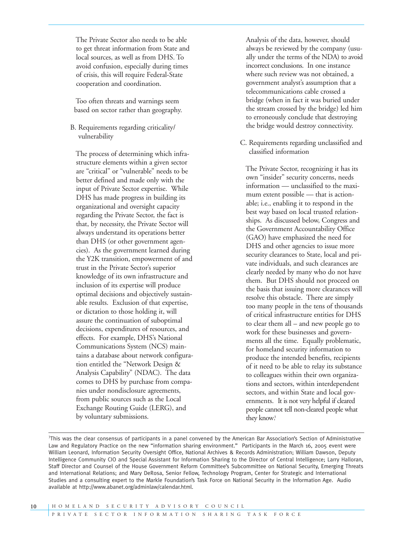The Private Sector also needs to be able to get threat information from State and local sources, as well as from DHS. To avoid confusion, especially during times of crisis, this will require Federal-State cooperation and coordination.

Too often threats and warnings seem based on sector rather than geography.

B. Requirements regarding criticality/ vulnerability

The process of determining which infrastructure elements within a given sector are "critical" or "vulnerable" needs to be better defined and made only with the input of Private Sector expertise. While DHS has made progress in building its organizational and oversight capacity regarding the Private Sector, the fact is that, by necessity, the Private Sector will always understand its operations better than DHS (or other government agencies). As the government learned during the Y2K transition, empowerment of and trust in the Private Sector's superior knowledge of its own infrastructure and inclusion of its expertise will produce optimal decisions and objectively sustainable results. Exclusion of that expertise, or dictation to those holding it, will assure the continuation of suboptimal decisions, expenditures of resources, and effects. For example, DHS's National Communications System (NCS) maintains a database about network configuration entitled the "Network Design & Analysis Capability" (NDAC). The data comes to DHS by purchase from companies under nondisclosure agreements, from public sources such as the Local Exchange Routing Guide (LERG), and by voluntary submissions.

Analysis of the data, however, should always be reviewed by the company (usually under the terms of the NDA) to avoid incorrect conclusions. In one instance where such review was not obtained, a government analyst's assumption that a telecommunications cable crossed a bridge (when in fact it was buried under the stream crossed by the bridge) led him to erroneously conclude that destroying the bridge would destroy connectivity.

C. Requirements regarding unclassified and classified information

The Private Sector, recognizing it has its own "insider" security concerns, needs information — unclassified to the maximum extent possible — that is actionable; i.e., enabling it to respond in the best way based on local trusted relationships. As discussed below, Congress and the Government Accountability Office (GAO) have emphasized the need for DHS and other agencies to issue more security clearances to State, local and private individuals, and such clearances are clearly needed by many who do not have them. But DHS should not proceed on the basis that issuing more clearances will resolve this obstacle. There are simply too many people in the tens of thousands of critical infrastructure entities for DHS to clear them all – and new people go to work for these businesses and governments all the time. Equally problematic, for homeland security information to produce the intended benefits, recipients of it need to be able to relay its substance to colleagues within their own organizations and sectors, within interdependent sectors, and within State and local governments. It is not very helpful if cleared people cannot tell non-cleared people what they know?

<sup>3</sup> This was the clear consensus of participants in a panel convened by the American Bar Association's Section of Administrative Law and Regulatory Practice on the new "information sharing environment." Participants in the March 16, 2005 event were William Leonard, Information Security Oversight Office, National Archives & Records Administration; William Dawson, Deputy Intelligence Community CIO and Special Assistant for Information Sharing to the Director of Central Intelligence; Larry Halloran, Staff Director and Counsel of the House Government Reform Committee's Subcommittee on National Security, Emerging Threats and International Relations; and Mary DeRosa, Senior Fellow, Technology Program, Center for Strategic and International Studies and a consulting expert to the Markle Foundation's Task Force on National Security in the Information Age. Audio available at http://www.abanet.org/adminlaw/calendar.html.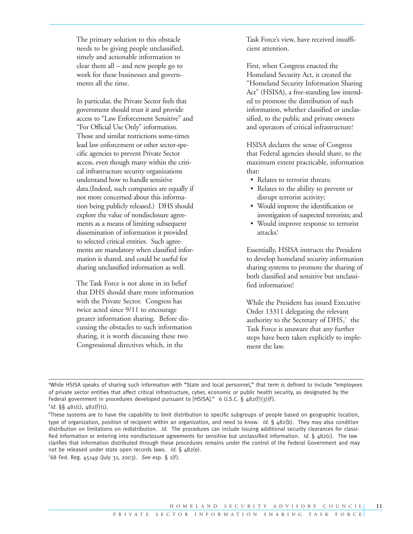The primary solution to this obstacle needs to be giving people unclassified, timely and actionable information to clear them all – and new people go to work for these businesses and governments all the time.

In particular, the Private Sector feels that government should trust it and provide access to "Law Enforcement Sensitive" and "For Official Use Only" information. Those and similar restrictions some-times lead law enforcement or other sector-specific agencies to prevent Private Sector access, even though many within the critical infrastructure security organizations understand how to handle sensitive data.(Indeed, such companies are equally if not more concerned about this information being publicly released.) DHS should explore the value of nondisclosure agreements as a means of limiting subsequent dissemination of information it provided to selected critical entities. Such agreements are mandatory when classified information is shared, and could be useful for sharing unclassified information as well.

The Task Force is not alone in its belief that DHS should share more information with the Private Sector. Congress has twice acted since 9/11 to encourage greater information sharing. Before discussing the obstacles to such information sharing, it is worth discussing these two Congressional directives which, in the

Task Force's view, have received insufficient attention.

First, when Congress enacted the Homeland Security Act, it created the "Homeland Security Information Sharing Act" (HSISA), a free-standing law intended to promote the distribution of such information, whether classified or unclassified, to the public and private owners and operators of critical infrastructure.4

HSISA declares the sense of Congress that Federal agencies should share, to the maximum extent practicable, information that:

- Relates to terrorist threats;
- Relates to the ability to prevent or disrupt terrorist activity;
- Would improve the identification or investigation of suspected terrorists; and
- Would improve response to terrorist attacks<sup>5</sup>

Essentially, HSISA instructs the President to develop homeland security information sharing systems to promote the sharing of both classified and sensitive but unclassified information.<sup>6</sup>

While the President has issued Executive Order 13311 delegating the relevant authority to the Secretary of DHS, $^7$  the Task Force is unaware that any further steps have been taken explicitly to implement the law.

<sup>4</sup> While HSISA speaks of sharing such information with "State and local personnel," that term is defined to include "employees of private sector entities that affect critical infrastructure, cyber, economic or public health security, as designated by the Federal government in procedures developed pursuant to [HSISA]." 6 U.S.C. § 482(f)(3)(F).

 $5$ Id. §§  $481(c)$ ,  $482(f)(1)$ .

<sup>6</sup> These systems are to have the capability to limit distribution to specific subgroups of people based on geographic location, type of organization, position of recipient within an organization, and need to know. Id. § 482(b). They may also condition distribution on limitations on redistribution. Id. The procedures can include issuing additional security clearances for classified information or entering into nondisclosure agreements for sensitive but unclassified information. Id. §  $482(c)$ . The law clarifies that information distributed through these procedures remains under the control of the Federal Government and may not be released under state open records laws. Id. § 482(e).

 $768$  Fed. Reg. 45149 (luly 31, 2003). See esp. § 1(f).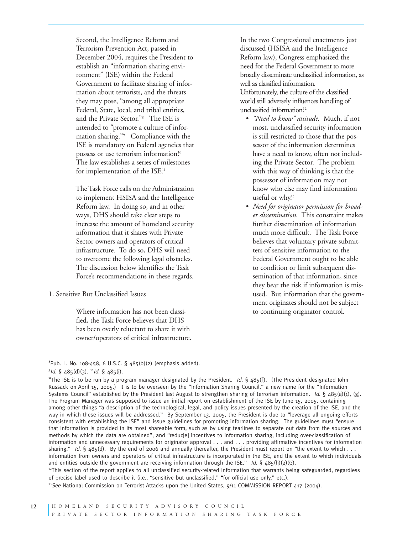Second, the Intelligence Reform and Terrorism Prevention Act, passed in December 2004, requires the President to establish an "information sharing environment" (ISE) within the Federal Government to facilitate sharing of information about terrorists, and the threats they may pose, "among all appropriate Federal, State, local, and tribal entities, and the Private Sector."8 The ISE is intended to "promote a culture of information sharing."9 Compliance with the ISE is mandatory on Federal agencies that possess or use terrorism information.<sup>10</sup> The law establishes a series of milestones for implementation of the ISE.<sup>11</sup>

The Task Force calls on the Administration to implement HSISA and the Intelligence Reform law. In doing so, and in other ways, DHS should take clear steps to increase the amount of homeland security information that it shares with Private Sector owners and operators of critical infrastructure. To do so, DHS will need to overcome the following legal obstacles. The discussion below identifies the Task Force's recommendations in these regards.

1. Sensitive But Unclassified Issues

Where information has not been classified, the Task Force believes that DHS has been overly reluctant to share it with owner/operators of critical infrastructure. In the two Congressional enactments just discussed (HSISA and the Intelligence Reform law), Congress emphasized the need for the Federal Government to more broadly disseminate unclassified information, as well as classified information.

Unfortunately, the culture of the classified world still adversely influences handling of unclassified information.<sup>12</sup>

- *"Need to know" attitude.* Much, if not most, unclassified security information is still restricted to those that the possessor of the information determines have a need to know, often not including the Private Sector. The problem with this way of thinking is that the possessor of information may not know who else may find information useful or why. $13$
- *Need for originator permission for broader dissemination.* This constraint makes further dissemination of information much more difficult. The Task Force believes that voluntary private submitters of sensitive information to the Federal Government ought to be able to condition or limit subsequent dissemination of that information, since they bear the risk if information is misused. But information that the government originates should not be subject to continuing originator control.

<sup>12</sup>This section of the report applies to all unclassified security-related information that warrants being safeguarded, regardless of precise label used to describe it (i.e., "sensitive but unclassified," "for official use only," etc.).

<sup>13</sup>See National Commission on Terrorist Attacks upon the United States,  $9/11$  COMMISSION REPORT  $417$  (2004).

#### HOMELAND SECURITY ADVISORY COUNCIL **12**

 ${}^{8}$ Pub. L. No. 108-458, 6 U.S.C. § 485(b)(2) (emphasis added).

 $9$ Id. § 485(d)(3).  $^{10}$ Id. § 485(j).

<sup>&</sup>quot;The ISE is to be run by a program manager designated by the President. *Id.*  $\S$  485(f). (The President designated John Russack on April 15, 2005.) It is to be overseen by the "Information Sharing Council," a new name for the "Information Systems Council" established by the President last August to strengthen sharing of terrorism information. Id. §  $485(a)(1)$ , (g). The Program Manager was supposed to issue an initial report on establishment of the ISE by June 15, 2005, containing among other things "a description of the technological, legal, and policy issues presented by the creation of the ISE, and the way in which these issues will be addressed." By September 13, 2005, the President is due to "leverage all ongoing efforts consistent with establishing the ISE" and issue guidelines for promoting information sharing. The guidelines must "ensure that information is provided in its most shareable form, such as by using tearlines to separate out data from the sources and methods by which the data are obtained"; and "reduc[e] incentives to information sharing, including over-classification of information and unnecessary requirements for originator approval . . . and . . . providing affirmative incentives for information sharing." Id.  $\S$  485(d). By the end of 2006 and annually thereafter, the President must report on "the extent to which . . . information from owners and operators of critical infrastructure is incorporated in the ISE, and the extent to which individuals and entities outside the government are receiving information through the ISE." Id. §  $485(h)(2)(G)$ .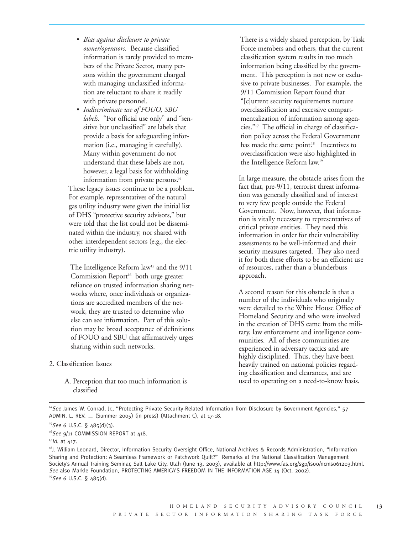- *Bias against disclosure to private owner/operators.* Because classified information is rarely provided to members of the Private Sector, many persons within the government charged with managing unclassified information are reluctant to share it readily with private personnel.
- *Indiscriminate use of FOUO, SBU labels.* "For official use only" and "sensitive but unclassified" are labels that provide a basis for safeguarding information (i.e., managing it carefully). Many within government do not understand that these labels are not, however, a legal basis for withholding information from private persons.<sup>14</sup>

These legacy issues continue to be a problem. For example, representatives of the natural gas utility industry were given the initial list of DHS "protective security advisors," but were told that the list could not be disseminated within the industry, nor shared with other interdependent sectors (e.g., the electric utility industry).

The Intelligence Reform law<sup>15</sup> and the 9/11 Commission Report<sup>16</sup> both urge greater reliance on trusted information sharing networks where, once individuals or organizations are accredited members of the network, they are trusted to determine who else can see information. Part of this solution may be broad acceptance of definitions of FOUO and SBU that affirmatively urges sharing within such networks.

- 2. Classification Issues
	- A. Perception that too much information is classified

There is a widely shared perception, by Task Force members and others, that the current classification system results in too much information being classified by the government. This perception is not new or exclusive to private businesses. For example, the 9/11 Commission Report found that

"[c]urrent security requirements nurture overclassification and excessive compartmentalization of information among agencies."17 The official in charge of classification policy across the Federal Government has made the same point.<sup>18</sup> Incentives to overclassification were also highlighted in the Intelligence Reform law.19

In large measure, the obstacle arises from the fact that, pre-9/11, terrorist threat information was generally classified and of interest to very few people outside the Federal Government. Now, however, that information is vitally necessary to representatives of critical private entities. They need this information in order for their vulnerability assessments to be well-informed and their security measures targeted. They also need it for both these efforts to be an efficient use of resources, rather than a blunderbuss approach.

A second reason for this obstacle is that a number of the individuals who originally were detailed to the White House Office of Homeland Security and who were involved in the creation of DHS came from the military, law enforcement and intelligence communities. All of these communities are experienced in adversary tactics and are highly disciplined. Thus, they have been heavily trained on national policies regarding classification and clearances, and are used to operating on a need-to-know basis.

 $15$ See 6 U.S.C. § 485(d)(3).

<sup>16</sup>See 9/11 COMMISSION REPORT at 418.

<sup>&</sup>lt;sup>14</sup>See James W. Conrad, Jr., "Protecting Private Security-Related Information from Disclosure by Government Agencies," 57 ADMIN. L. REV. — (Summer 2005) (in press) (Attachment C), at 17-18.

 $17$ *Id.* at 417.

<sup>&</sup>lt;sup>18</sup>J. William Leonard, Director, Information Security Oversight Office, National Archives & Records Administration, "Information Sharing and Protection: A Seamless Framework or Patchwork Quilt?" Remarks at the National Classification Management Society's Annual Training Seminar, Salt Lake City, Utah (June 13, 2003), available at http://www.fas.org/sgp/isoo/ncmso61203.html. See also Markle Foundation, PROTECTING AMERICA'S FREEDOM IN THE INFORMATION AGE 14 (Oct. 2002).  $^{19}$ See 6 U.S.C. § 485(d).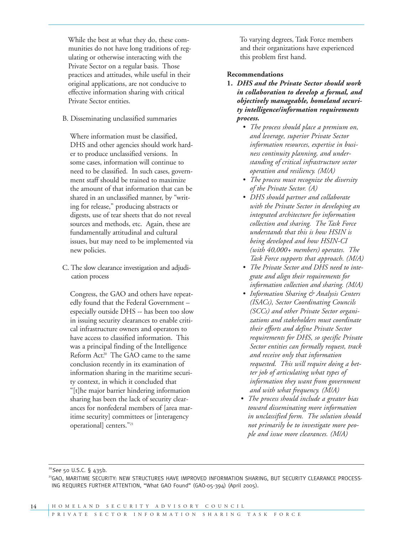While the best at what they do, these communities do not have long traditions of regulating or otherwise interacting with the Private Sector on a regular basis. Those practices and attitudes, while useful in their original applications, are not conducive to effective information sharing with critical Private Sector entities.

B. Disseminating unclassified summaries

Where information must be classified, DHS and other agencies should work harder to produce unclassified versions. In some cases, information will continue to need to be classified. In such cases, government staff should be trained to maximize the amount of that information that can be shared in an unclassified manner, by "writing for release," producing abstracts or digests, use of tear sheets that do not reveal sources and methods, etc. Again, these are fundamentally attitudinal and cultural issues, but may need to be implemented via new policies.

C. The slow clearance investigation and adjudication process

Congress, the GAO and others have repeatedly found that the Federal Government – especially outside DHS -- has been too slow in issuing security clearances to enable critical infrastructure owners and operators to have access to classified information. This was a principal finding of the Intelligence Reform Act<sup>20</sup> The GAO came to the same conclusion recently in its examination of information sharing in the maritime security context, in which it concluded that "[t]he major barrier hindering information sharing has been the lack of security clearances for nonfederal members of [area maritime security] committees or [interagency operational] centers."21

To varying degrees, Task Force members and their organizations have experienced this problem first hand.

#### **Recommendations**

- **1.** *DHS and the Private Sector should work in collaboration to develop a formal, and objectively manageable, homeland security intelligence/information requirements process.*
	- *The process should place a premium on, and leverage, superior Private Sector information resources, expertise in business continuity planning, and understanding of critical infrastructure sector operation and resiliency. (M/A)*
	- *The process must recognize the diversity of the Private Sector. (A)*
	- *DHS should partner and collaborate with the Private Sector in developing an integrated architecture for information collection and sharing. The Task Force understands that this is how HSIN is being developed and how HSIN-CI (with 40,000+ members) operates. The Task Force supports that approach. (M/A)*
	- *The Private Sector and DHS need to integrate and align their requirements for information collection and sharing. (M/A)*
	- *Information Sharing & Analysis Centers (ISACs), Sector Coordinating Councils (SCCs) and other Private Sector organizations and stakeholders must coordinate their efforts and define Private Sector requirements for DHS, so specific Private Sector entities can formally request, track and receive only that information requested. This will require doing a better job of articulating what types of information they want from government and with what frequency. (M/A)*
	- *The process should include a greater bias toward disseminating more information in unclassified form. The solution should not primarily be to investigate more people and issue more clearances. (M/A)*

<sup>20</sup>See 50 U.S.C. § 435b.

<sup>21</sup>GAO, MARITIME SECURITY: NEW STRUCTURES HAVE IMPROVED INFORMATION SHARING, BUT SECURITY CLEARANCE PROCESS-ING REQUIRES FURTHER ATTENTION, "What GAO Found" (GAO-05-394) (April 2005).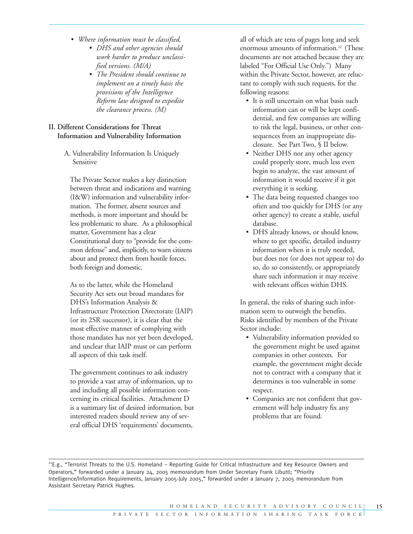- *Where information must be classified,*
	- *DHS and other agencies should work harder to produce unclassified versions. (M/A)*
	- *The President should continue to implement on a timely basis the provisions of the Intelligence Reform law designed to expedite the clearance process. (M)*

#### **II. Different Considerations for Threat Information and Vulnerability Information**

A. Vulnerability Information Is Uniquely Sensitive

The Private Sector makes a key distinction between threat and indications and warning (I&W) information and vulnerability information. The former, absent sources and methods, is more important and should be less problematic to share. As a philosophical matter, Government has a clear Constitutional duty to "provide for the common defense" and, implicitly, to warn citizens about and protect them from hostile forces, both foreign and domestic.

As to the latter, while the Homeland Security Act sets out broad mandates for DHS's Information Analysis & Infrastructure Protection Directorate (IAIP) (or its 2SR successor), it is clear that the most effective manner of complying with those mandates has not yet been developed, and unclear that IAIP must or can perform all aspects of this task itself.

The government continues to ask industry to provide a vast array of information, up to and including all possible information concerning its critical facilities. Attachment D is a summary list of desired information, but interested readers should review any of several official DHS 'requirements' documents,

all of which are tens of pages long and seek enormous amounts of information.<sup>22</sup> (These documents are not attached because they are labeled "For Official Use Only.") Many within the Private Sector, however, are reluctant to comply with such requests, for the following reasons:

- It is still uncertain on what basis such information can or will be kept confidential, and few companies are willing to risk the legal, business, or other consequences from an inappropriate disclosure. See Part Two, § II below.
- Neither DHS nor any other agency could properly store, much less even begin to analyze, the vast amount of information it would receive if it got everything it is seeking.
- The data being requested changes too often and too quickly for DHS (or any other agency) to create a stable, useful database.
- DHS already knows, or should know, where to get specific, detailed industry information when it is truly needed, but does not (or does not appear to) do so, do so consistently, or appropriately share such information it may receive with relevant offices within DHS.

In general, the risks of sharing such information seem to outweigh the benefits. Risks identified by members of the Private Sector include:

- Vulnerability information provided to the government might be used against companies in other contexts. For example, the government might decide not to contract with a company that it determines is too vulnerable in some respect.
- Companies are not confident that government will help industry fix any problems that are found.

 $22E$ , "Terrorist Threats to the U.S. Homeland – Reporting Guide for Critical Infrastructure and Key Resource Owners and Operators," forwarded under a January 24, 2005 memorandum from Under Secretary Frank Libutti; "Priority Intelligence/Information Requirements, January 2005-July 2005," forwarded under a January 7, 2005 memorandum from Assistant Secretary Patrick Hughes.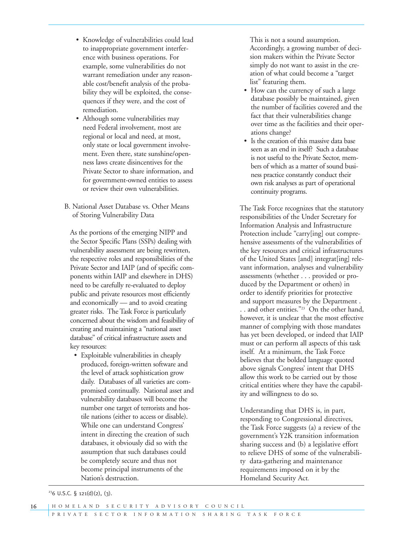- Knowledge of vulnerabilities could lead to inappropriate government interference with business operations. For example, some vulnerabilities do not warrant remediation under any reasonable cost/benefit analysis of the probability they will be exploited, the consequences if they were, and the cost of remediation.
- Although some vulnerabilities may need Federal involvement, most are regional or local and need, at most, only state or local government involvement. Even there, state sunshine/openness laws create disincentives for the Private Sector to share information, and for government-owned entities to assess or review their own vulnerabilities.
- B. National Asset Database vs. Other Means of Storing Vulnerability Data

As the portions of the emerging NIPP and the Sector Specific Plans (SSPs) dealing with vulnerability assessment are being rewritten, the respective roles and responsibilities of the Private Sector and IAIP (and of specific components within IAIP and elsewhere in DHS) need to be carefully re-evaluated to deploy public and private resources most efficiently and economically — and to avoid creating greater risks. The Task Force is particularly concerned about the wisdom and feasibility of creating and maintaining a "national asset database" of critical infrastructure assets and key resources:

• Exploitable vulnerabilities in cheaply produced, foreign-written software and the level of attack sophistication grow daily. Databases of all varieties are compromised continually. National asset and vulnerability databases will become the number one target of terrorists and hostile nations (either to access or disable). While one can understand Congress' intent in directing the creation of such databases, it obviously did so with the assumption that such databases could be completely secure and thus not become principal instruments of the Nation's destruction.

This is not a sound assumption. Accordingly, a growing number of decision makers within the Private Sector simply do not want to assist in the creation of what could become a "target list" featuring them.

- How can the currency of such a large database possibly be maintained, given the number of facilities covered and the fact that their vulnerabilities change over time as the facilities and their operations change?
- Is the creation of this massive data base seen as an end in itself? Such a database is not useful to the Private Sector, members of which as a matter of sound business practice constantly conduct their own risk analyses as part of operational continuity programs.

The Task Force recognizes that the statutory responsibilities of the Under Secretary for Information Analysis and Infrastructure Protection include "carry[ing] out comprehensive assessments of the vulnerabilities of the key resources and critical infrastructures of the United States [and] integrat[ing] relevant information, analyses and vulnerability assessments (whether . . . provided or produced by the Department or others) in order to identify priorities for protective and support measures by the Department . . . and other entities."23 On the other hand, however, it is unclear that the most effective manner of complying with those mandates has yet been developed, or indeed that IAIP must or can perform all aspects of this task itself. At a minimum, the Task Force believes that the bolded language quoted above signals Congress' intent that DHS allow this work to be carried out by those critical entities where they have the capability and willingness to do so.

Understanding that DHS is, in part, responding to Congressional directives, the Task Force suggests (a) a review of the government's Y2K transition information sharing success and (b) a legislative effort to relieve DHS of some of the vulnerability data-gathering and maintenance requirements imposed on it by the Homeland Security Act.

 $236$  U.S.C. § 121(d)(2), (3).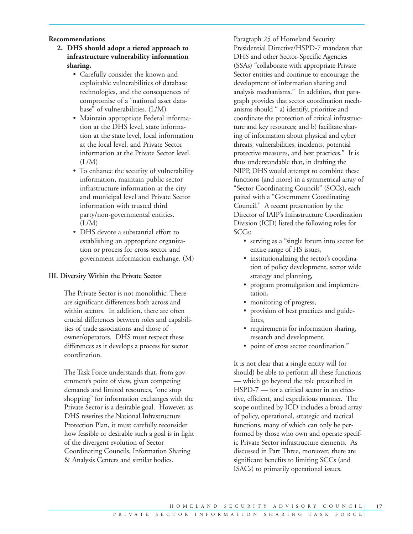#### **Recommendations**

- **2. DHS should adopt a tiered approach to infrastructure vulnerability information sharing.**
	- Carefully consider the known and exploitable vulnerabilities of database technologies, and the consequences of compromise of a "national asset database" of vulnerabilities. (L/M)
	- Maintain appropriate Federal information at the DHS level, state information at the state level, local information at the local level, and Private Sector information at the Private Sector level.  $(LM)$
	- To enhance the security of vulnerability information, maintain public sector infrastructure information at the city and municipal level and Private Sector information with trusted third party/non-governmental entities.  $(L/M)$
	- DHS devote a substantial effort to establishing an appropriate organization or process for cross-sector and government information exchange. (M)

#### **III. Diversity Within the Private Sector**

The Private Sector is not monolithic. There are significant differences both across and within sectors. In addition, there are often crucial differences between roles and capabilities of trade associations and those of owner/operators. DHS must respect these differences as it develops a process for sector coordination.

The Task Force understands that, from government's point of view, given competing demands and limited resources, "one stop shopping" for information exchanges with the Private Sector is a desirable goal. However, as DHS rewrites the National Infrastructure Protection Plan, it must carefully reconsider how feasible or desirable such a goal is in light of the divergent evolution of Sector Coordinating Councils, Information Sharing & Analysis Centers and similar bodies.

Paragraph 25 of Homeland Security Presidential Directive/HSPD-7 mandates that DHS and other Sector-Specific Agencies (SSAs) "collaborate with appropriate Private Sector entities and continue to encourage the development of information sharing and analysis mechanisms." In addition, that paragraph provides that sector coordination mechanisms should " a) identify, prioritize and coordinate the protection of critical infrastructure and key resources; and b) facilitate sharing of information about physical and cyber threats, vulnerabilities, incidents, potential protective measures, and best practices." It is thus understandable that, in drafting the NIPP, DHS would attempt to combine these functions (and more) in a symmetrical array of "Sector Coordinating Councils" (SCCs), each paired with a "Government Coordinating Council." A recent presentation by the Director of IAIP's Infrastructure Coordination Division (ICD) listed the following roles for SCCs:

- serving as a "single forum into sector for entire range of HS issues,
- institutionalizing the sector's coordination of policy development, sector wide strategy and planning,
- program promulgation and implementation,
- monitoring of progress,
- provision of best practices and guidelines,
- requirements for information sharing, research and development,
- point of cross sector coordination."

It is not clear that a single entity will (or should) be able to perform all these functions — which go beyond the role prescribed in HSPD-7 — for a critical sector in an effective, efficient, and expeditious manner. The scope outlined by ICD includes a broad array of policy, operational, strategic and tactical functions, many of which can only be performed by those who own and operate specific Private Sector infrastructure elements. As discussed in Part Three, moreover, there are significant benefits to limiting SCCs (and ISACs) to primarily operational issues.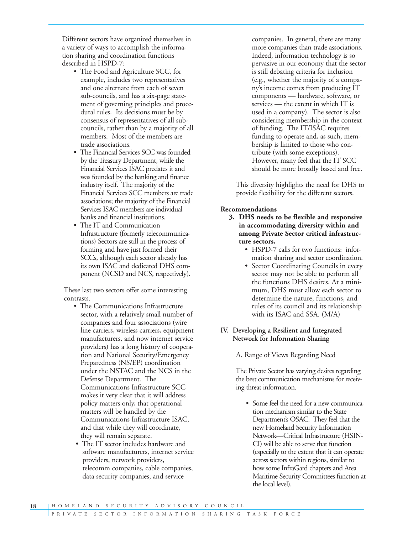Different sectors have organized themselves in a variety of ways to accomplish the information sharing and coordination functions described in HSPD-7:

- The Food and Agriculture SCC, for example, includes two representatives and one alternate from each of seven sub-councils, and has a six-page statement of governing principles and procedural rules. Its decisions must be by consensus of representatives of all subcouncils, rather than by a majority of all members. Most of the members are trade associations.
- The Financial Services SCC was founded by the Treasury Department, while the Financial Services ISAC predates it and was founded by the banking and finance industry itself. The majority of the Financial Services SCC members are trade associations; the majority of the Financial Services ISAC members are individual banks and financial institutions.
- The IT and Communication Infrastructure (formerly telecommunications) Sectors are still in the process of forming and have just formed their SCCs, although each sector already has its own ISAC and dedicated DHS component (NCSD and NCS, respectively).

These last two sectors offer some interesting contrasts.

- The Communications Infrastructure sector, with a relatively small number of companies and four associations (wire line carriers, wireless carriers, equipment manufacturers, and now internet service providers) has a long history of cooperation and National Security/Emergency Preparedness (NS/EP) coordination under the NSTAC and the NCS in the Defense Department. The Communications Infrastructure SCC makes it very clear that it will address policy matters only, that operational matters will be handled by the Communications Infrastructure ISAC, and that while they will coordinate, they will remain separate.
- The IT sector includes hardware and software manufacturers, internet service providers, network providers, telecomm companies, cable companies, data security companies, and service

companies. In general, there are many more companies than trade associations. Indeed, information technology is so pervasive in our economy that the sector is still debating criteria for inclusion (e.g., whether the majority of a company's income comes from producing IT components — hardware, software, or services — the extent in which IT is used in a company). The sector is also considering membership in the context of funding. The IT/ISAC requires funding to operate and, as such, membership is limited to those who contribute (with some exceptions). However, many feel that the IT SCC should be more broadly based and free.

This diversity highlights the need for DHS to provide flexibility for the different sectors.

#### **Recommendations**

- **3. DHS needs to be flexible and responsive in accommodating diversity within and among Private Sector critical infrastructure sectors.**
	- HSPD-7 calls for two functions: information sharing and sector coordination.
	- Sector Coordinating Councils in every sector may not be able to perform all the functions DHS desires. At a minimum, DHS must allow each sector to determine the nature, functions, and rules of its council and its relationship with its ISAC and SSA. (M/A)

#### **IV. Developing a Resilient and Integrated Network for Information Sharing**

A. Range of Views Regarding Need

The Private Sector has varying desires regarding the best communication mechanisms for receiving threat information.

• Some feel the need for a new communication mechanism similar to the State Department's OSAC. They feel that the new Homeland Security Information Network—Critical Infrastructure (HSIN-CI) will be able to serve that function (especially to the extent that it can operate across sectors within regions, similar to how some InfraGard chapters and Area Maritime Security Committees function at the local level).

HOMELAND SECURITY ADVISORY COUNCIL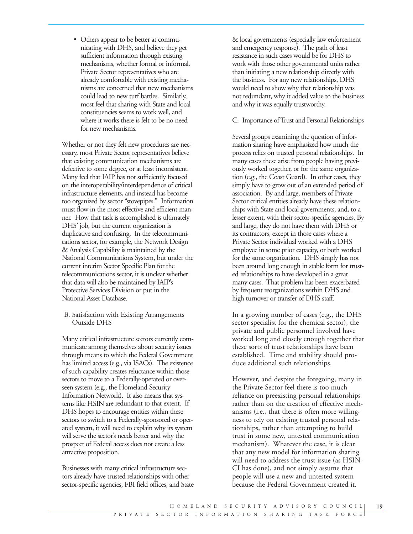• Others appear to be better at communicating with DHS, and believe they get sufficient information through existing mechanisms, whether formal or informal. Private Sector representatives who are already comfortable with existing mechanisms are concerned that new mechanisms could lead to new turf battles. Similarly, most feel that sharing with State and local constituencies seems to work well, and where it works there is felt to be no need for new mechanisms.

Whether or not they felt new procedures are necessary, most Private Sector representatives believe that existing communication mechanisms are defective to some degree, or at least inconsistent. Many feel that IAIP has not sufficiently focused on the interoperability/interdependence of critical infrastructure elements, and instead has become too organized by sector "stovepipes." Information must flow in the most effective and efficient manner. How that task is accomplished is ultimately DHS' job, but the current organization is duplicative and confusing. In the telecommunications sector, for example, the Network Design & Analysis Capability is maintained by the National Communications System, but under the current interim Sector Specific Plan for the telecommunications sector, it is unclear whether that data will also be maintained by IAIP's Protective Services Division or put in the National Asset Database.

B. Satisfaction with Existing Arrangements Outside DHS

Many critical infrastructure sectors currently communicate among themselves about security issues through means to which the Federal Government has limited access (e.g., via ISACs). The existence of such capability creates reluctance within those sectors to move to a Federally-operated or overseen system (e.g., the Homeland Security Information Network). It also means that systems like HSIN are redundant to that extent. If DHS hopes to encourage entities within these sectors to switch to a Federally-sponsored or operated system, it will need to explain why its system will serve the sector's needs better and why the prospect of Federal access does not create a less attractive proposition.

Businesses with many critical infrastructure sectors already have trusted relationships with other sector-specific agencies, FBI field offices, and State

& local governments (especially law enforcement and emergency response). The path of least resistance in such cases would be for DHS to work with those other governmental units rather than initiating a new relationship directly with the business. For any new relationships, DHS would need to show why that relationship was not redundant, why it added value to the business and why it was equally trustworthy.

#### C. Importance of Trust and Personal Relationships

Several groups examining the question of information sharing have emphasized how much the process relies on trusted personal relationships. In many cases these arise from people having previously worked together, or for the same organization (e.g., the Coast Guard). In other cases, they simply have to grow out of an extended period of association. By and large, members of Private Sector critical entities already have these relationships with State and local governments, and, to a lesser extent, with their sector-specific agencies. By and large, they do not have them with DHS or its contractors, except in those cases where a Private Sector individual worked with a DHS employee in some prior capacity, or both worked for the same organization. DHS simply has not been around long enough in stable form for trusted relationships to have developed in a great many cases. That problem has been exacerbated by frequent reorganizations within DHS and high turnover or transfer of DHS staff.

In a growing number of cases (e.g., the DHS sector specialist for the chemical sector), the private and public personnel involved have worked long and closely enough together that these sorts of trust relationships have been established. Time and stability should produce additional such relationships.

However, and despite the foregoing, many in the Private Sector feel there is too much reliance on preexisting personal relationships rather than on the creation of effective mechanisms (i.e., that there is often more willingness to rely on existing trusted personal relationships, rather than attempting to build trust in some new, untested communication mechanism). Whatever the case, it is clear that any new model for information sharing will need to address the trust issue (as HSIN-CI has done), and not simply assume that people will use a new and untested system because the Federal Government created it.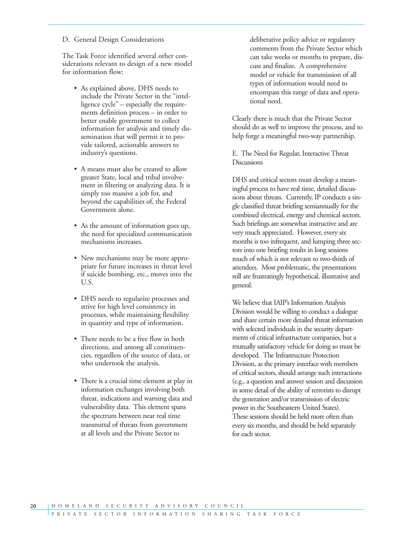D. General Design Considerations

The Task Force identified several other considerations relevant to design of a new model for information flow:

- As explained above, DHS needs to include the Private Sector in the "intelligence cycle" – especially the requirements definition process – in order to better enable government to collect information for analysis and timely dissemination that will permit it to provide tailored, actionable answers to industry's questions.
- A means must also be created to allow greater State, local and tribal involvement in filtering or analyzing data. It is simply too massive a job for, and beyond the capabilities of, the Federal Government alone.
- As the amount of information goes up, the need for specialized communication mechanisms increases.
- New mechanisms may be more appropriate for future increases in threat level if suicide bombing, etc., moves into the U.S.
- DHS needs to regularize processes and strive for high level consistency in processes, while maintaining flexibility in quantity and type of information.
- There needs to be a free flow in both directions, and among all constituencies, regardless of the source of data, or who undertook the analysis.
- There is a crucial time element at play in information exchanges involving both threat, indications and warning data and vulnerability data. This element spans the spectrum between near real time transmittal of threats from government at all levels and the Private Sector to

deliberative policy advice or regulatory comments from the Private Sector which can take weeks or months to prepare, discuss and finalize. A comprehensive model or vehicle for transmission of all types of information would need to encompass this range of data and operational need.

Clearly there is much that the Private Sector should do as well to improve the process, and to help forge a meaningful two-way partnership.

E. The Need for Regular, Interactive Threat **Discussions** 

DHS and critical sectors must develop a meaningful process to have real time, detailed discussions about threats. Currently, IP conducts a single classified threat briefing semiannually for the combined electrical, energy and chemical sectors. Such briefings are somewhat instructive and are very much appreciated. However, every six months is too infrequent, and lumping three sectors into one briefing results in long sessions much of which is not relevant to two-thirds of attendees. Most problematic, the presentations still are frustratingly hypothetical, illustrative and general.

We believe that IAIP's Information Analysis Division would be willing to conduct a dialogue and share certain more detailed threat information with selected individuals in the security departments of critical infrastructure companies, but a mutually satisfactory vehicle for doing so must be developed. The Infrastructure Protection Division, as the primary interface with members of critical sectors, should arrange such interactions (e.g., a question and answer session and discussion in some detail of the ability of terrorists to disrupt the generation and/or transmission of electric power in the Southeastern United States). These sessions should be held more often than every six months, and should be held separately for each sector.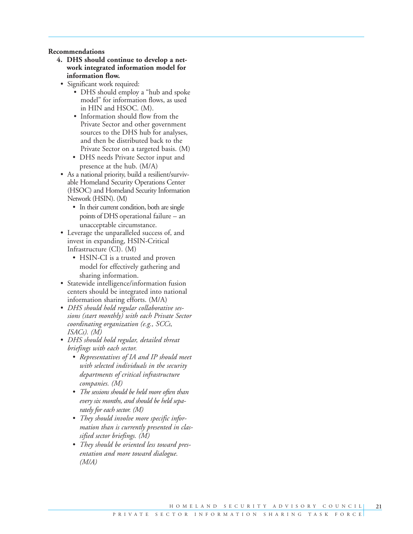#### **Recommendations**

- **4. DHS should continue to develop a network integrated information model for information flow.**
	- Significant work required:
		- DHS should employ a "hub and spoke model" for information flows, as used in HIN and HSOC. (M).
		- Information should flow from the Private Sector and other government sources to the DHS hub for analyses, and then be distributed back to the Private Sector on a targeted basis. (M)
		- DHS needs Private Sector input and presence at the hub. (M/A)
	- As a national priority, build a resilient/survivable Homeland Security Operations Center (HSOC) and Homeland Security Information Network (HSIN). (M)
		- In their current condition, both are single points of DHS operational failure – an unacceptable circumstance.
- Leverage the unparalleled success of, and invest in expanding, HSIN-Critical Infrastructure (CI). (M)
	- HSIN-CI is a trusted and proven model for effectively gathering and sharing information.
- Statewide intelligence/information fusion centers should be integrated into national information sharing efforts. (M/A)
- *DHS should hold regular collaborative sessions (start monthly) with each Private Sector coordinating organization (e.g., SCCs, ISACs). (M)*
- *DHS should hold regular, detailed threat briefings with each sector.*
	- *Representatives of IA and IP should meet with selected individuals in the security departments of critical infrastructure companies. (M)*
	- *The sessions should be held more often than every six months, and should be held separately for each sector. (M)*
	- *They should involve more specific information than is currently presented in classified sector briefings. (M)*
	- *They should be oriented less toward presentation and more toward dialogue. (M/A)*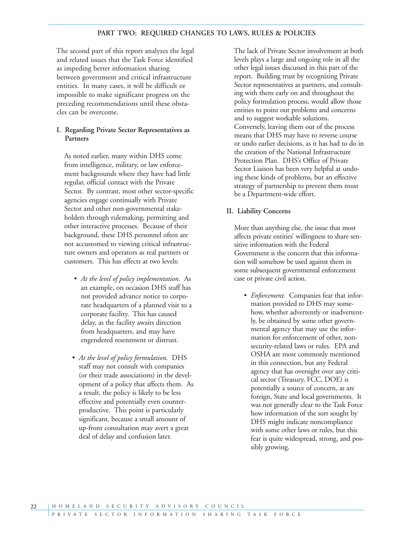#### **PART TWO: REQUIRED CHANGES TO LAWS, RULES & POLICIES**

The second part of this report analyzes the legal and related issues that the Task Force identified as impeding better information sharing between government and critical infrastructure entities. In many cases, it will be difficult or impossible to make significant progress on the preceding recommendations until these obstacles can be overcome.

#### **I. Regarding Private Sector Representatives as Partners**

As noted earlier, many within DHS come from intelligence, military, or law enforcement backgrounds where they have had little regular, official contact with the Private Sector. By contrast, most other sector-specific agencies engage continually with Private Sector and other non-governmental stakeholders through rulemaking, permitting and other interactive processes. Because of their background, these DHS personnel often are not accustomed to viewing critical infrastructure owners and operators as real partners or customers. This has effects at two levels:

- *At the level of policy implementation.* As an example, on occasion DHS staff has not provided advance notice to corporate headquarters of a planned visit to a corporate facility. This has caused delay, as the facility awaits direction from headquarters, and may have engendered resentment or distrust.
- *At the level of policy formulation.* DHS staff may not consult with companies (or their trade associations) in the development of a policy that affects them. As a result, the policy is likely to be less effective and potentially even counterproductive. This point is particularly significant, because a small amount of up-front consultation may avert a great deal of delay and confusion later.

The lack of Private Sector involvement at both levels plays a large and ongoing role in all the other legal issues discussed in this part of the report. Building trust by recognizing Private Sector representatives as partners, and consulting with them early on and throughout the policy formulation process, would allow those entities to point out problems and concerns and to suggest workable solutions. Conversely, leaving them out of the process means that DHS may have to reverse course or undo earlier decisions, as it has had to do in the creation of the National Infrastructure Protection Plan. DHS's Office of Private Sector Liaison has been very helpful at undoing these kinds of problems, but an effective strategy of partnership to prevent them must be a Department-wide effort.

#### **II. Liability Concerns**

More than anything else, the issue that most affects private entities' willingness to share sensitive information with the Federal Government is the concern that this information will somehow be used against them in some subsequent governmental enforcement case or private civil action.

• *Enforcement.* Companies fear that information provided to DHS may somehow, whether advertently or inadvertently, be obtained by some other governmental agency that may use the information for enforcement of other, nonsecurity-related laws or rules. EPA and OSHA are most commonly mentioned in this connection, but any Federal agency that has oversight over any critical sector (Treasury, FCC, DOE) is potentially a source of concern, as are foreign, State and local governments. It was not generally clear to the Task Force how information of the sort sought by DHS might indicate noncompliance with some other laws or rules, but this fear is quite widespread, strong, and possibly growing.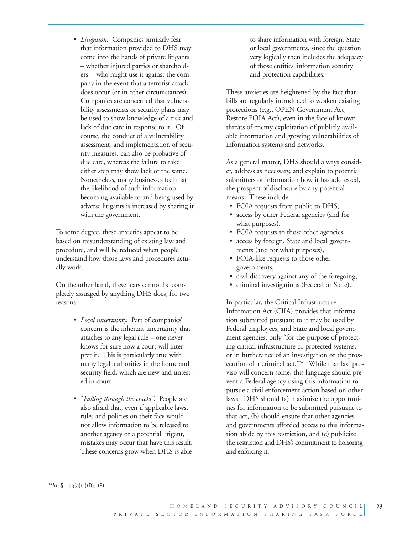• *Litigation.* Companies similarly fear that information provided to DHS may come into the hands of private litigants – whether injured parties or shareholders -- who might use it against the company in the event that a terrorist attack does occur (or in other circumstances). Companies are concerned that vulnerability assessments or security plans may be used to show knowledge of a risk and lack of due care in response to it. Of course, the conduct of a vulnerability assessment, and implementation of security measures, can also be probative of due care, whereas the failure to take either step may show lack of the same. Nonetheless, many businesses feel that the likelihood of such information becoming available to and being used by adverse litigants is increased by sharing it with the government.

To some degree, these anxieties appear to be based on misunderstanding of existing law and procedure, and will be reduced when people understand how those laws and procedures actually work.

On the other hand, these fears cannot be completely assuaged by anything DHS does, for two reasons:

- *Legal uncertainty.* Part of companies' concern is the inherent uncertainty that attaches to any legal rule – one never knows for sure how a court will interpret it. This is particularly true with many legal authorities in the homeland security field, which are new and untested in court.
- "*Falling through the cracks".* People are also afraid that, even if applicable laws, rules and policies on their face would not allow information to be released to another agency or a potential litigant, mistakes may occur that have this result. These concerns grow when DHS is able

to share information with foreign, State or local governments, since the question very logically then includes the adequacy of those entities' information security and protection capabilities.

These anxieties are heightened by the fact that bills are regularly introduced to weaken existing protections (e.g., OPEN Government Act, Restore FOIA Act), even in the face of known threats of enemy exploitation of publicly available information and growing vulnerabilities of information systems and networks.

As a general matter, DHS should always consider, address as necessary, and explain to potential submitters of information how it has addressed, the prospect of disclosure by any potential means. These include:

- FOIA requests from public to DHS,
- ∑ access by other Federal agencies (and for what purposes),
- FOIA requests to those other agencies,
- access by foreign, State and local governments (and for what purposes),
- FOIA-like requests to those other governments,
- ∑ civil discovery against any of the foregoing,
- criminal investigations (Federal or State).

In particular, the Critical Infrastructure Information Act (CIIA) provides that information submitted pursuant to it may be used by Federal employees, and State and local government agencies, only "for the purpose of protecting critical infrastructure or protected systems, or in furtherance of an investigation or the prosecution of a criminal act."<sup>24</sup> While that last proviso will concern some, this language should prevent a Federal agency using this information to pursue a civil enforcement action based on other laws. DHS should (a) maximize the opportunities for information to be submitted pursuant to that act, (b) should ensure that other agencies and governments afforded access to this information abide by this restriction, and (c) publicize the restriction and DHS's commitment to honoring and enforcing it.

 $24/1d.$  § 133(a)(1)(D), (E).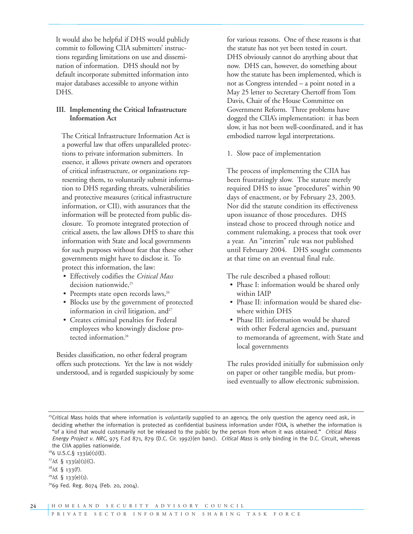It would also be helpful if DHS would publicly commit to following CIIA submitters' instructions regarding limitations on use and dissemination of information. DHS should not by default incorporate submitted information into major databases accessible to anyone within DHS.

#### **III. Implementing the Critical Infrastructure Information Act**

The Critical Infrastructure Information Act is a powerful law that offers unparalleled protections to private information submitters. In essence, it allows private owners and operators of critical infrastructure, or organizations representing them, to voluntarily submit information to DHS regarding threats, vulnerabilities and protective measures (critical infrastructure information, or CII), with assurances that the information will be protected from public disclosure. To promote integrated protection of critical assets, the law allows DHS to share this information with State and local governments for such purposes without fear that these other governments might have to disclose it. To protect this information, the law:

- ∑ Effectively codifies the *Critical Mass* decision nationwide,<sup>25</sup>
- Preempts state open records laws,<sup>26</sup>
- Blocks use by the government of protected information in civil litigation, and<sup>27</sup>
- ∑ Creates criminal penalties for Federal employees who knowingly disclose protected information. 28

Besides classification, no other federal program offers such protections. Yet the law is not widely understood, and is regarded suspiciously by some for various reasons. One of these reasons is that the statute has not yet been tested in court. DHS obviously cannot do anything about that now. DHS can, however, do something about how the statute has been implemented, which is not as Congress intended – a point noted in a May 25 letter to Secretary Chertoff from Tom Davis, Chair of the House Committee on Government Reform. Three problems have dogged the CIIA's implementation: it has been slow, it has not been well-coordinated, and it has embodied narrow legal interpretations.

1. Slow pace of implementation

The process of implementing the CIIA has been frustratingly slow. The statute merely required DHS to issue "procedures" within 90 days of enactment, or by February 23, 2003. Nor did the statute condition its effectiveness upon issuance of those procedures. DHS instead chose to proceed through notice and comment rulemaking, a process that took over a year. An "interim" rule was not published until February 2004. DHS sought comments at that time on an eventual final rule.

The rule described a phased rollout:

- ∑ Phase I: information would be shared only within IAIP
- ∑ Phase II: information would be shared elsewhere within DHS
- Phase III: information would be shared with other Federal agencies and, pursuant to memoranda of agreement, with State and local governments

The rules provided initially for submission only on paper or other tangible media, but promised eventually to allow electronic submission.

<sup>&</sup>lt;sup>25</sup>Critical Mass holds that where information is voluntarily supplied to an agency, the only question the agency need ask, in deciding whether the information is protected as confidential business information under FOIA, is whether the information is "of a kind that would customarily not be released to the public by the person from whom it was obtained." Critical Mass Energy Project v. NRC, 975 F.2d 871, 879 (D.C. Cir. 1992)(en banc). Critical Mass is only binding in the D.C. Circuit, whereas the CIIA applies nationwide.

 $266$  U.S.C.§ 133(a)(1)(E).

 $27$ *Id.* § 133(a)(1)(C).

 $28$ Id. § 133(f).

 $29$ Id. § 133(e)(1).

<sup>3</sup>º69 Fed. Reg. 8074 (Feb. 20, 2004).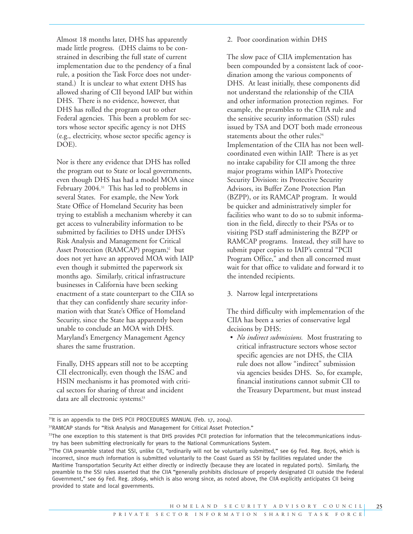Almost 18 months later, DHS has apparently made little progress. (DHS claims to be constrained in describing the full state of current implementation due to the pendency of a final rule, a position the Task Force does not understand.) It is unclear to what extent DHS has allowed sharing of CII beyond IAIP but within DHS. There is no evidence, however, that DHS has rolled the program out to other Federal agencies. This been a problem for sectors whose sector specific agency is not DHS (e.g., electricity, whose sector specific agency is DOE).

Nor is there any evidence that DHS has rolled the program out to State or local governments, even though DHS has had a model MOA since February 2004.<sup>31</sup> This has led to problems in several States. For example, the New York State Office of Homeland Security has been trying to establish a mechanism whereby it can get access to vulnerability information to be submitted by facilities to DHS under DHS's Risk Analysis and Management for Critical Asset Protection (RAMCAP) program<sup>32</sup> but does not yet have an approved MOA with IAIP even though it submitted the paperwork six months ago. Similarly, critical infrastructure businesses in California have been seeking enactment of a state counterpart to the CIIA so that they can confidently share security information with that State's Office of Homeland Security, since the State has apparently been unable to conclude an MOA with DHS. Maryland's Emergency Management Agency shares the same frustration.

Finally, DHS appears still not to be accepting CII electronically, even though the ISAC and HSIN mechanisms it has promoted with critical sectors for sharing of threat and incident data are all electronic systems.<sup>33</sup>

2. Poor coordination within DHS

The slow pace of CIIA implementation has been compounded by a consistent lack of coordination among the various components of DHS. At least initially, these components did not understand the relationship of the CIIA and other information protection regimes. For example, the preambles to the CIIA rule and the sensitive security information (SSI) rules issued by TSA and DOT both made erroneous statements about the other rules.<sup>34</sup> Implementation of the CIIA has not been wellcoordinated even within IAIP. There is as yet no intake capability for CII among the three major programs within IAIP's Protective Security Division: its Protective Security Advisors, its Buffer Zone Protection Plan (BZPP), or its RAMCAP program. It would be quicker and administratively simpler for facilities who want to do so to submit information in the field, directly to their PSAs or to visiting PSD staff administering the BZPP or RAMCAP programs. Instead, they still have to submit paper copies to IAIP's central "PCII Program Office," and then all concerned must wait for that office to validate and forward it to the intended recipients.

#### 3. Narrow legal interpretations

The third difficulty with implementation of the CIIA has been a series of conservative legal decisions by DHS:

• *No indirect submissions.* Most frustrating to critical infrastructure sectors whose sector specific agencies are not DHS, the CIIA rule does not allow "indirect" submission via agencies besides DHS. So, for example, financial institutions cannot submit CII to the Treasury Department, but must instead

<sup>&</sup>lt;sup>31</sup>It is an appendix to the DHS PCII PROCEDURES MANUAL (Feb. 17, 2004).

<sup>&</sup>lt;sup>32</sup>RAMCAP stands for "Risk Analysis and Management for Critical Asset Protection."

 $33$ The one exception to this statement is that DHS provides PCII protection for information that the telecommunications industry has been submitting electronically for years to the National Communications System.

<sup>&</sup>lt;sup>34</sup>The CIIA preamble stated that SSI, unlike CII, "ordinarily will not be voluntarily submitted," see 69 Fed. Reg. 8076, which is incorrect, since much information is submitted voluntarily to the Coast Guard as SSI by facilities regulated under the Maritime Transportation Security Act either directly or indirectly (because they are located in regulated ports). Similarly, the preamble to the SSI rules asserted that the CIIA "generally prohibits disclosure of properly designated CII outside the Federal Government," see 69 Fed. Reg. 28069, which is also wrong since, as noted above, the CIIA explicitly anticipates CII being provided to state and local governments.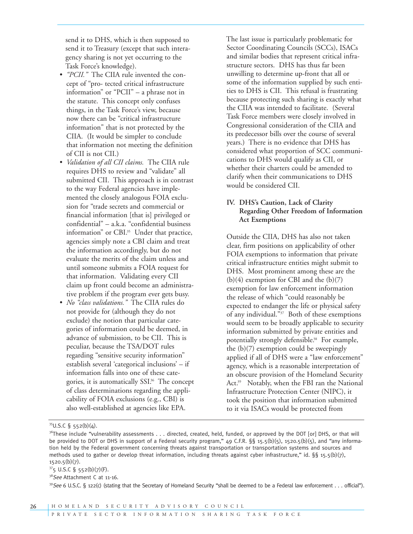send it to DHS, which is then supposed to send it to Treasury (except that such interagency sharing is not yet occurring to the Task Force's knowledge).

- ∑ *"PCII."* The CIIA rule invented the concept of "pro- tected critical infrastructure information" or "PCII" – a phrase not in the statute. This concept only confuses things, in the Task Force's view, because now there can be "critical infrastructure information" that is not protected by the CIIA. (It would be simpler to conclude that information not meeting the definition of CII is not CII.)
- ∑ *Validation of all CII claims.* The CIIA rule requires DHS to review and "validate" all submitted CII. This approach is in contrast to the way Federal agencies have implemented the closely analogous FOIA exclusion for "trade secrets and commercial or financial information [that is] privileged or confidential" – a.k.a. "confidential business information" or CBI.<sup>35</sup> Under that practice, agencies simply note a CBI claim and treat the information accordingly, but do not evaluate the merits of the claim unless and until someone submits a FOIA request for that information. Validating every CII claim up front could become an administrative problem if the program ever gets busy.
- ∑ *No "class validations."* The CIIA rules do not provide for (although they do not exclude) the notion that particular categories of information could be deemed, in advance of submission, to be CII. This is peculiar, because the TSA/DOT rules regarding "sensitive security information" establish several 'categorical inclusions' – if information falls into one of these categories, it is automatically SSI. <sup>36</sup> The concept of class determinations regarding the applicability of FOIA exclusions (e.g., CBI) is also well-established at agencies like EPA.

The last issue is particularly problematic for Sector Coordinating Councils (SCCs), ISACs and similar bodies that represent critical infrastructure sectors. DHS has thus far been unwilling to determine up-front that all or some of the information supplied by such entities to DHS is CII. This refusal is frustrating because protecting such sharing is exactly what the CIIA was intended to facilitate. (Several Task Force members were closely involved in Congressional consideration of the CIIA and its predecessor bills over the course of several years.) There is no evidence that DHS has considered what proportion of SCC communications to DHS would qualify as CII, or whether their charters could be amended to clarify when their communications to DHS would be considered CII.

### **IV. DHS's Caution, Lack of Clarity Regarding Other Freedom of Information Act Exemptions**

Outside the CIIA, DHS has also not taken clear, firm positions on applicability of other FOIA exemptions to information that private critical infrastructure entities might submit to DHS. Most prominent among these are the  $(b)(4)$  exemption for CBI and the  $(b)(7)$ exemption for law enforcement information the release of which "could reasonably be expected to endanger the life or physical safety of any individual."37 Both of these exemptions would seem to be broadly applicable to security information submitted by private entities and potentially strongly defensible.<sup>38</sup> For example, the (b)(7) exemption could be sweepingly applied if all of DHS were a "law enforcement" agency, which is a reasonable interpretation of an obscure provision of the Homeland Security Act.<sup>39</sup> Notably, when the FBI ran the National Infrastructure Protection Center (NIPC), it took the position that information submitted to it via ISACs would be protected from

35U.S.C § 552(b)(4).

**26**

 $375$  U.S.C § 552(b)(7)(F).

<sup>38</sup> See Attachment C at 11-16.

<sup>39</sup> See 6 U.S.C. § 122(c) (stating that the Secretary of Homeland Security "shall be deemed to be a Federal law enforcement . . . official").

#### HOMELAND SECURITY ADVISORY COUNCIL

<sup>&</sup>lt;sup>36</sup>These include "vulnerability assessments . . . directed, created, held, funded, or approved by the DOT [or] DHS, or that will be provided to DOT or DHS in support of a Federal security program," 49 C.F.R. §§ 15.5(b)(5), 1520.5(b)(5), and "any information held by the Federal government concerning threats against transportation or transportation systems and sources and methods used to gather or develop threat information, including threats against cyber infrastructure," id. §§ 15.5(b)(7), 1520.5(b)(7).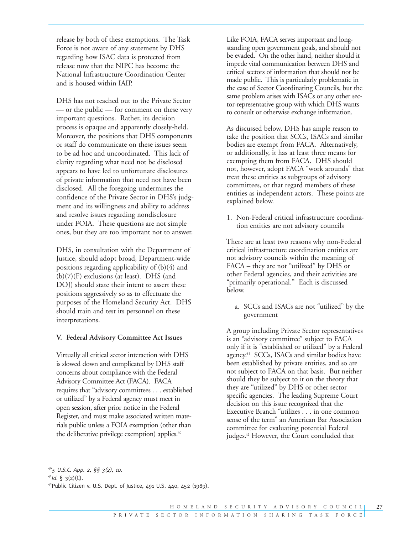release by both of these exemptions. The Task Force is not aware of any statement by DHS regarding how ISAC data is protected from release now that the NIPC has become the National Infrastructure Coordination Center and is housed within IAIP.

DHS has not reached out to the Private Sector — or the public — for comment on these very important questions. Rather, its decision process is opaque and apparently closely-held. Moreover, the positions that DHS components or staff do communicate on these issues seem to be ad hoc and uncoordinated. This lack of clarity regarding what need not be disclosed appears to have led to unfortunate disclosures of private information that need not have been disclosed. All the foregoing undermines the confidence of the Private Sector in DHS's judgment and its willingness and ability to address and resolve issues regarding nondisclosure under FOIA. These questions are not simple ones, but they are too important not to answer.

DHS, in consultation with the Department of Justice, should adopt broad, Department-wide positions regarding applicability of (b)(4) and (b)(7)(F) exclusions (at least). DHS (and DOJ) should state their intent to assert these positions aggressively so as to effectuate the purposes of the Homeland Security Act. DHS should train and test its personnel on these interpretations.

#### **V. Federal Advisory Committee Act Issues**

Virtually all critical sector interaction with DHS is slowed down and complicated by DHS staff concerns about compliance with the Federal Advisory Committee Act (FACA). FACA requires that "advisory committees . . . established or utilized" by a Federal agency must meet in open session, after prior notice in the Federal Register, and must make associated written materials public unless a FOIA exemption (other than the deliberative privilege exemption) applies.<sup>40</sup>

Like FOIA, FACA serves important and longstanding open government goals, and should not be evaded. On the other hand, neither should it impede vital communication between DHS and critical sectors of information that should not be made public. This is particularly problematic in the case of Sector Coordinating Councils, but the same problem arises with ISACs or any other sector-representative group with which DHS wants to consult or otherwise exchange information.

As discussed below, DHS has ample reason to take the position that SCCs, ISACs and similar bodies are exempt from FACA. Alternatively, or additionally, it has at least three means for exempting them from FACA. DHS should not, however, adopt FACA "work arounds" that treat these entities as subgroups of advisory committees, or that regard members of these entities as independent actors. These points are explained below.

1. Non-Federal critical infrastructure coordination entities are not advisory councils

There are at least two reasons why non-Federal critical infrastructure coordination entities are not advisory councils within the meaning of FACA – they are not "utilized" by DHS or other Federal agencies, and their activities are "primarily operational." Each is discussed below.

a. SCCs and ISACs are not "utilized" by the government

A group including Private Sector representatives is an "advisory committee" subject to FACA only if it is "established or utilized" by a Federal agency. <sup>41</sup> SCCs, ISACs and similar bodies have been established by private entities, and so are not subject to FACA on that basis. But neither should they be subject to it on the theory that they are "utilized" by DHS or other sector specific agencies. The leading Supreme Court decision on this issue recognized that the Executive Branch "utilizes . . . in one common sense of the term" an American Bar Association committee for evaluating potential Federal judges.42 However, the Court concluded that

<sup>40</sup>5 U.S.C. App. 2, §§ 3(2), 10.

42Public Citizen v. U.S. Dept. of Justice, 491 U.S. 440, 452 (1989).

 $411d. \S$  3(2)(C).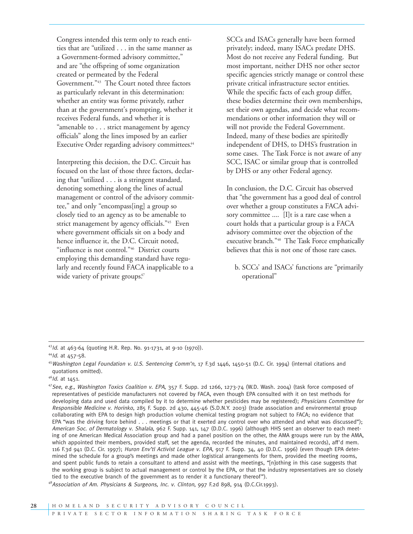Congress intended this term only to reach entities that are "utilized . . . in the same manner as a Government-formed advisory committee," and are "the offspring of some organization created or permeated by the Federal Government."43 The Court noted three factors as particularly relevant in this determination: whether an entity was forme privately, rather than at the government's prompting, whether it receives Federal funds, and whether it is "amenable to . . . strict management by agency officials" along the lines imposed by an earlier Executive Order regarding advisory committees.<sup>44</sup>

Interpreting this decision, the D.C. Circuit has focused on the last of those three factors, declaring that "utilized . . . is a stringent standard, denoting something along the lines of actual management or control of the advisory committee," and only "encompass[ing] a group so closely tied to an agency as to be amenable to strict management by agency officials."45 Even where government officials sit on a body and hence influence it, the D.C. Circuit noted, "influence is not control."46 District courts employing this demanding standard have regularly and recently found FACA inapplicable to a wide variety of private groups.<sup>47</sup>

SCCs and ISACs generally have been formed privately; indeed, many ISACs predate DHS. Most do not receive any Federal funding. But most important, neither DHS nor other sector specific agencies strictly manage or control these private critical infrastructure sector entities. While the specific facts of each group differ, these bodies determine their own memberships, set their own agendas, and decide what recommendations or other information they will or will not provide the Federal Government. Indeed, many of these bodies are spiritedly independent of DHS, to DHS's frustration in some cases. The Task Force is not aware of any SCC, ISAC or similar group that is controlled by DHS or any other Federal agency.

In conclusion, the D.C. Circuit has observed that "the government has a good deal of control over whether a group constitutes a FACA advisory committee .... [I]t is a rare case when a court holds that a particular group is a FACA advisory committee over the objection of the executive branch."48 The Task Force emphatically believes that this is not one of those rare cases.

b. SCCs' and ISACs' functions are "primarily operational"

 $43$ Id. at 463-64 (quoting H.R. Rep. No. 91-1731, at 9-10 (1970)).

<sup>&</sup>lt;sup>44</sup>Id. at 457-58.

<sup>45</sup> Washington Legal Foundation v. U.S. Sentencing Comm'n, 17 F.3d 1446, 1450-51 (D.C. Cir. 1994) (internal citations and quotations omitted).

<sup>&</sup>lt;sup>46</sup>Id. at 1451.

 $47$ See, e.g., Washington Toxics Coalition v. EPA, 357 F. Supp. 2d 1266, 1273-74 (W.D. Wash. 2004) (task force composed of representatives of pesticide manufacturers not covered by FACA, even though EPA consulted with it on test methods for developing data and used data compiled by it to determine whether pesticides may be registered); Physicians Committee for Responsible Medicine v. Horinko, 285 F. Supp. 2d 430, 445-46 (S.D.N.Y. 2003) (trade association and environmental group collaborating with EPA to design high production volume chemical testing program not subject to FACA; no evidence that EPA "was the driving force behind . . . meetings or that it exerted any control over who attended and what was discussed"); American Soc. of Dermatology v. Shalala, 962 F. Supp. 141, 147 (D.D.C. 1996) (although HHS sent an observer to each meeting of one American Medical Association group and had a panel position on the other, the AMA groups were run by the AMA, which appointed their members, provided staff, set the agenda, recorded the minutes, and maintained records), aff'd mem. 116 F.3d 941 (D.C. Cir. 1997); Huron Env'tl Activist League v. EPA, 917 F. Supp. 34, 40 (D.D.C. 1996) (even though EPA determined the schedule for a group's meetings and made other logistical arrangements for them, provided the meeting rooms, and spent public funds to retain a consultant to attend and assist with the meetings, "[n]othing in this case suggests that the working group is subject to actual management or control by the EPA, or that the industry representatives are so closely tied to the executive branch of the government as to render it a functionary thereof").

 $48$ Association of Am. Physicians & Surgeons, Inc. v. Clinton, 997 F.2d 898, 914 (D.C.Cir.1993).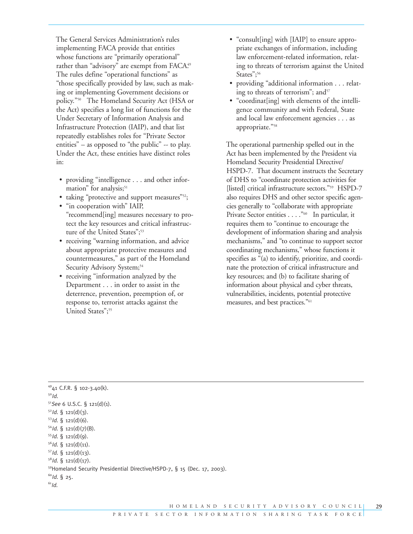The General Services Administration's rules implementing FACA provide that entities whose functions are "primarily operational" rather than "advisory" are exempt from FACA.<sup>49</sup> The rules define "operational functions" as "those specifically provided by law, such as making or implementing Government decisions or policy."50 The Homeland Security Act (HSA or the Act) specifies a long list of functions for the Under Secretary of Information Analysis and Infrastructure Protection (IAIP), and that list repeatedly establishes roles for "Private Sector entities" – as opposed to "the public" -- to play. Under the Act, these entities have distinct roles in:

- providing "intelligence . . . and other information" for analysis;<sup>51</sup>
- taking "protective and support measures"<sup>52</sup>;
	- "in cooperation with" IAIP, "recommend[ing] measures necessary to protect the key resources and critical infrastructure of the United States";<sup>53</sup>
	- receiving "warning information, and advice about appropriate protective measures and countermeasures," as part of the Homeland Security Advisory System;<sup>54</sup>
	- receiving "information analyzed by the Department . . . in order to assist in the deterrence, prevention, preemption of, or response to, terrorist attacks against the United States";<sup>55</sup>
- "consult[ing] with [IAIP] to ensure appropriate exchanges of information, including law enforcement-related information, relating to threats of terrorism against the United States";<sup>56</sup>
- ∑ providing "additional information . . . relating to threats of terrorism"; and<sup>57</sup>
- ∑ "coordinat[ing] with elements of the intelligence community and with Federal, State and local law enforcement agencies . . . as appropriate."58

The operational partnership spelled out in the Act has been implemented by the President via Homeland Security Presidential Directive/ HSPD-7. That document instructs the Secretary of DHS to "coordinate protection activities for [listed] critical infrastructure sectors."59 HSPD-7 also requires DHS and other sector specific agencies generally to "collaborate with appropriate Private Sector entities . . . . "60 In particular, it requires them to "continue to encourage the development of information sharing and analysis mechanisms," and "to continue to support sector coordinating mechanisms," whose functions it specifies as "(a) to identify, prioritize, and coordinate the protection of critical infrastructure and key resources; and (b) to facilitate sharing of information about physical and cyber threats, vulnerabilities, incidents, potential protective measures, and best practices."61

| <sup>49</sup> 41 C.F.R. § 102-3.40(k).                                               |
|--------------------------------------------------------------------------------------|
| $5^{\circ}$ Id.                                                                      |
| $51$ See 6 U.S.C. § 121(d)(1).                                                       |
| $5^2$ ld. § 121(d)(3).                                                               |
| $53$ ld. § 121(d)(6).                                                                |
| $54$ /d. § 121(d)(7)(B).                                                             |
| $55$ Id. § 121(d)(9).                                                                |
| $56/16$ , § 121(d)(11).                                                              |
| $57$ d. § 121(d)(13).                                                                |
| $58/10.$ § 121(d)(17).                                                               |
| <sup>59</sup> Homeland Security Presidential Directive/HSPD-7, § 15 (Dec. 17, 2003). |
| $60/10.$ § 25.                                                                       |
| $6^{4}$ Id.                                                                          |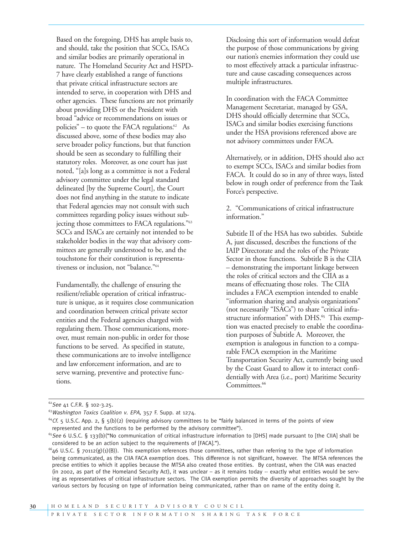Based on the foregoing, DHS has ample basis to, and should, take the position that SCCs, ISACs and similar bodies are primarily operational in nature. The Homeland Security Act and HSPD-7 have clearly established a range of functions that private critical infrastructure sectors are intended to serve, in cooperation with DHS and other agencies. These functions are not primarily about providing DHS or the President with broad "advice or recommendations on issues or policies" – to quote the FACA regulations. $62$  As discussed above, some of these bodies may also serve broader policy functions, but that function should be seen as secondary to fulfilling their statutory roles. Moreover, as one court has just noted, "[a]s long as a committee is not a Federal advisory committee under the legal standard delineated [by the Supreme Court], the Court does not find anything in the statute to indicate that Federal agencies may not consult with such committees regarding policy issues without subjecting those committees to FACA regulations."<sup>63</sup> SCCs and ISACs are certainly not intended to be stakeholder bodies in the way that advisory committees are generally understood to be, and the touchstone for their constitution is representativeness or inclusion, not "balance."<sup>64</sup>

Fundamentally, the challenge of ensuring the resilient/reliable operation of critical infrastructure is unique, as it requires close communication and coordination between critical private sector entities and the Federal agencies charged with regulating them. Those communications, moreover, must remain non-public in order for those functions to be served. As specified in statute, these communications are to involve intelligence and law enforcement information, and are to serve warning, preventive and protective functions.

Disclosing this sort of information would defeat the purpose of those communications by giving our nation's enemies information they could use to most effectively attack a particular infrastructure and cause cascading consequences across multiple infrastructures.

In coordination with the FACA Committee Management Secretariat, managed by GSA, DHS should officially determine that SCCs, ISACs and similar bodies exercising functions under the HSA provisions referenced above are not advisory committees under FACA.

Alternatively, or in addition, DHS should also act to exempt SCCs, ISACs and similar bodies from FACA. It could do so in any of three ways, listed below in rough order of preference from the Task Force's perspective.

2. "Communications of critical infrastructure information."

Subtitle II of the HSA has two subtitles. Subtitle A, just discussed, describes the functions of the IAIP Directorate and the roles of the Private Sector in those functions. Subtitle B is the CIIA – demonstrating the important linkage between the roles of critical sectors and the CIIA as a means of effectuating those roles. The CIIA includes a FACA exemption intended to enable "information sharing and analysis organizations" (not necessarily "ISACs") to share "critical infrastructure information" with DHS.<sup>65</sup> This exemption was enacted precisely to enable the coordination purposes of Subtitle A. Moreover, the exemption is analogous in function to a comparable FACA exemption in the Maritime Transportation Security Act, currently being used by the Coast Guard to allow it to interact confidentially with Area (i.e., port) Maritime Security Committees.<sup>66</sup>

 $62$  See 41 C.F.R. § 102-3.25.<br> $63$ *Washington Toxics Coalition v. EPA*, 357 F. Supp. at 1274.

 $64$ Cf. 5 U.S.C. App. 2, § 5(b)(2) (requiring advisory committees to be "fairly balanced in terms of the points of view represented and the functions to be performed by the advisory committee").

<sup>&</sup>lt;sup>65</sup>See 6 U.S.C. § 133(b)("No communication of critical infrastructure information to [DHS] made pursuant to [the CIIA] shall be considered to be an action subject to the requirements of [FACA].").

<sup>&</sup>lt;sup>66</sup>46 U.S.C. § 70112(g)(1)(B)). This exemption references those committees, rather than referring to the type of information being communicated, as the CIIA FACA exemption does. This difference is not significant, however. The MTSA references the precise entities to which it applies because the MTSA also created those entities. By contrast, when the CIIA was enacted (in 2002, as part of the Homeland Security Act), it was unclear – as it remains today -- exactly what entities would be serving as representatives of critical infrastructure sectors. The CIIA exemption permits the diversity of approaches sought by the various sectors by focusing on type of information being communicated, rather than on name of the entity doing it.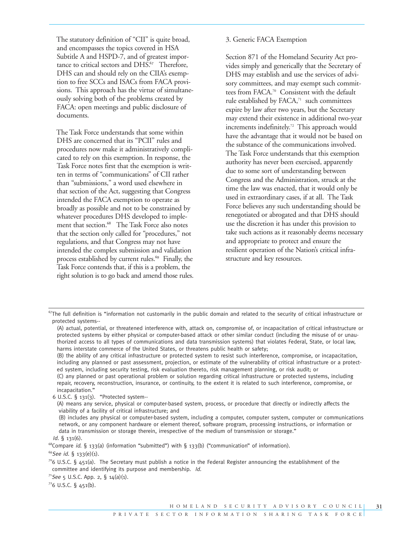The statutory definition of "CII" is quite broad, and encompasses the topics covered in HSA Subtitle A and HSPD-7, and of greatest importance to critical sectors and DHS.<sup>67</sup> Therefore, DHS can and should rely on the CIIA's exemption to free SCCs and ISACs from FACA provisions. This approach has the virtue of simultaneously solving both of the problems created by FACA: open meetings and public disclosure of documents.

The Task Force understands that some within DHS are concerned that its "PCII" rules and procedures now make it administratively complicated to rely on this exemption. In response, the Task Force notes first that the exemption is written in terms of "communications" of CII rather than "submissions," a word used elsewhere in that section of the Act, suggesting that Congress intended the FACA exemption to operate as broadly as possible and not to be constrained by whatever procedures DHS developed to implement that section.<sup>68</sup> The Task Force also notes that the section only called for "procedures," not regulations, and that Congress may not have intended the complex submission and validation process established by current rules.<sup>69</sup> Finally, the Task Force contends that, if this is a problem, the right solution is to go back and amend those rules.

#### 3. Generic FACA Exemption

Section 871 of the Homeland Security Act provides simply and generically that the Secretary of DHS may establish and use the services of advisory committees, and may exempt such committees from FACA.70 Consistent with the default rule established by FACA,<sup>71</sup> such committees expire by law after two years, but the Secretary may extend their existence in additional two-year increments indefinitely.<sup>72</sup> This approach would have the advantage that it would not be based on the substance of the communications involved. The Task Force understands that this exemption authority has never been exercised, apparently due to some sort of understanding between Congress and the Administration, struck at the time the law was enacted, that it would only be used in extraordinary cases, if at all. The Task Force believes any such understanding should be renegotiated or abrogated and that DHS should use the discretion it has under this provision to take such actions as it reasonably deems necessary and appropriate to protect and ensure the resilient operation of the Nation's critical infrastructure and key resources.

 $67$ The full definition is "information not customarily in the public domain and related to the security of critical infrastructure or protected systems--

<sup>(</sup>A) actual, potential, or threatened interference with, attack on, compromise of, or incapacitation of critical infrastructure or protected systems by either physical or computer-based attack or other similar conduct (including the misuse of or unauthorized access to all types of communications and data transmission systems) that violates Federal, State, or local law, harms interstate commerce of the United States, or threatens public health or safety;

<sup>(</sup>B) the ability of any critical infrastructure or protected system to resist such interference, compromise, or incapacitation, including any planned or past assessment, projection, or estimate of the vulnerability of critical infrastructure or a protected system, including security testing, risk evaluation thereto, risk management planning, or risk audit; or

<sup>(</sup>C) any planned or past operational problem or solution regarding critical infrastructure or protected systems, including repair, recovery, reconstruction, insurance, or continuity, to the extent it is related to such interference, compromise, or incapacitation."

<sup>6</sup> U.S.C. § 131(3). "Protected system--

<sup>(</sup>A) means any service, physical or computer-based system, process, or procedure that directly or indirectly affects the viability of a facility of critical infrastructure; and

<sup>(</sup>B) includes any physical or computer-based system, including a computer, computer system, computer or communications network, or any component hardware or element thereof, software program, processing instructions, or information or data in transmission or storage therein, irrespective of the medium of transmission or storage." Id. § 131(6).

 $^{68}$ Compare id. § 133(a) (information "submitted") with § 133(b) ("communication" of information).

<sup>69</sup>See id. § 133(e)(1).

 $706$  U.S.C. § 451(a). The Secretary must publish a notice in the Federal Register announcing the establishment of the committee and identifying its purpose and membership. Id.

 $71$ See 5 U.S.C. App. 2, § 14(a)(1).

 $726$  U.S.C. § 451(b).

**<sup>31</sup>**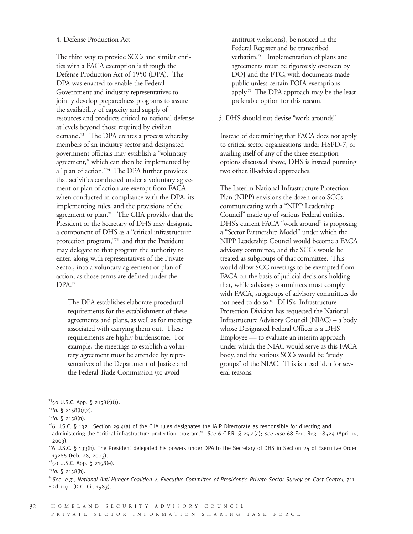#### 4. Defense Production Act

The third way to provide SCCs and similar entities with a FACA exemption is through the Defense Production Act of 1950 (DPA). The DPA was enacted to enable the Federal Government and industry representatives to jointly develop preparedness programs to assure the availability of capacity and supply of resources and products critical to national defense at levels beyond those required by civilian demand.73 The DPA creates a process whereby members of an industry sector and designated government officials may establish a "voluntary agreement," which can then be implemented by a "plan of action."74 The DPA further provides that activities conducted under a voluntary agreement or plan of action are exempt from FACA when conducted in compliance with the DPA, its implementing rules, and the provisions of the agreement or plan.<sup>75</sup> The CIIA provides that the President or the Secretary of DHS may designate a component of DHS as a "critical infrastructure protection program,"76 and that the President may delegate to that program the authority to enter, along with representatives of the Private Sector, into a voluntary agreement or plan of action, as those terms are defined under the DPA.<sup>77</sup>

The DPA establishes elaborate procedural requirements for the establishment of these agreements and plans, as well as for meetings associated with carrying them out. These requirements are highly burdensome. For example, the meetings to establish a voluntary agreement must be attended by representatives of the Department of Justice and the Federal Trade Commission (to avoid

antitrust violations), be noticed in the Federal Register and be transcribed verbatim.78 Implementation of plans and agreements must be rigorously overseen by DOJ and the FTC, with documents made public unless certain FOIA exemptions apply.79 The DPA approach may be the least preferable option for this reason.

#### 5. DHS should not devise "work arounds"

Instead of determining that FACA does not apply to critical sector organizations under HSPD-7, or availing itself of any of the three exemption options discussed above, DHS is instead pursuing two other, ill-advised approaches.

The Interim National Infrastructure Protection Plan (NIPP) envisions the dozen or so SCCs communicating with a "NIPP Leadership Council" made up of various Federal entities. DHS's current FACA "work around" is proposing a "Sector Partnership Model" under which the NIPP Leadership Council would become a FACA advisory committee, and the SCCs would be treated as subgroups of that committee. This would allow SCC meetings to be exempted from FACA on the basis of judicial decisions holding that, while advisory committees must comply with FACA, subgroups of advisory committees do not need to do so. <sup>80</sup> DHS's Infrastructure Protection Division has requested the National Infrastructure Advisory Council (NIAC) – a body whose Designated Federal Officer is a DHS Employee — to evaluate an interim approach under which the NIAC would serve as this FACA body, and the various SCCs would be "study groups" of the NIAC. This is a bad idea for several reasons:

 $^{73}$ 50 U.S.C. App. § 2158(c)(1).

 $74$ Id. § 2158(b)(2).

<sup>75</sup>Id. § 2158(n).

 $766$  U.S.C. § 132. Section 29.4(a) of the CIIA rules designates the IAIP Directorate as responsible for directing and administering the "critical infrastructure protection program." See 6 C.F.R. § 29.4(a); see also 68 Fed. Reg. 18524 (April 15, 2003).

 $^{77}$ 6 U.S.C. § 133(h). The President delegated his powers under DPA to the Secretary of DHS in Section 24 of Executive Order 13286 (Feb. 28, 2003).

 $^{78}$ 50 U.S.C. App. § 2158(e).

 $79$ Id. § 2158(h).

<sup>&</sup>lt;sup>80</sup>See, e.g., National Anti-Hunger Coalition v. Executive Committee of President's Private Sector Survey on Cost Control, 711 F.2d 1071 (D.C. Cir. 1983).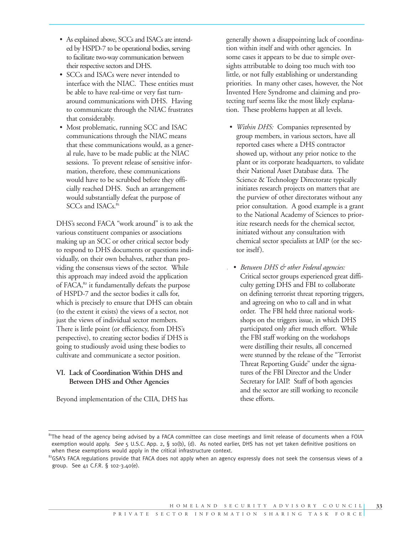- As explained above, SCCs and ISACs are intended by HSPD-7 to be operational bodies, serving to facilitate two-way communication between their respective sectors and DHS.
- SCCs and ISACs were never intended to interface with the NIAC. These entities must be able to have real-time or very fast turnaround communications with DHS. Having to communicate through the NIAC frustrates that considerably.
- Most problematic, running SCC and ISAC communications through the NIAC means that these communications would, as a general rule, have to be made public at the NIAC sessions. To prevent release of sensitive information, therefore, these communications would have to be scrubbed before they officially reached DHS. Such an arrangement would substantially defeat the purpose of  $SCCs$  and  $ISACs$ . $81$

DHS's second FACA "work around" is to ask the various constituent companies or associations making up an SCC or other critical sector body to respond to DHS documents or questions individually, on their own behalves, rather than providing the consensus views of the sector. While this approach may indeed avoid the application of FACA,<sup>82</sup> it fundamentally defeats the purpose of HSPD-7 and the sector bodies it calls for, which is precisely to ensure that DHS can obtain (to the extent it exists) the views of a sector, not just the views of individual sector members. There is little point (or efficiency, from DHS's perspective), to creating sector bodies if DHS is going to studiously avoid using these bodies to cultivate and communicate a sector position.

#### **VI. Lack of Coordination Within DHS and Between DHS and Other Agencies**

Beyond implementation of the CIIA, DHS has

generally shown a disappointing lack of coordination within itself and with other agencies. In some cases it appears to be due to simple oversights attributable to doing too much with too little, or not fully establishing or understanding priorities. In many other cases, however, the Not Invented Here Syndrome and claiming and protecting turf seems like the most likely explanation. These problems happen at all levels.

- *Within DHS:* Companies represented by group members, in various sectors, have all reported cases where a DHS contractor showed up, without any prior notice to the plant or its corporate headquarters, to validate their National Asset Database data. The Science & Technology Directorate typically initiates research projects on matters that are the purview of other directorates without any prior consultation. A good example is a grant to the National Academy of Sciences to prioritize research needs for the chemical sector, initiated without any consultation with chemical sector specialists at IAIP (or the sector itself).
- ∑ *Between DHS & other Federal agencies:* Critical sector groups experienced great difficulty getting DHS and FBI to collaborate on defining terrorist threat reporting triggers, and agreeing on who to call and in what order. The FBI held three national workshops on the triggers issue, in which DHS participated only after much effort. While the FBI staff working on the workshops were distilling their results, all concerned were stunned by the release of the "Terrorist Threat Reporting Guide" under the signatures of the FBI Director and the Under Secretary for IAIP. Staff of both agencies and the sector are still working to reconcile these efforts.

**33**

HOMELAND SECURITY ADVISORY COUNCIL

<sup>&</sup>lt;sup>81</sup>The head of the agency being advised by a FACA committee can close meetings and limit release of documents when a FOIA exemption would apply. See 5 U.S.C. App. 2, § 10(b), (d). As noted earlier, DHS has not yet taken definitive positions on when these exemptions would apply in the critical infrastructure context.

<sup>&</sup>lt;sup>82</sup>GSA's FACA regulations provide that FACA does not apply when an agency expressly does not seek the consensus views of a group. See 41 C.F.R. § 102-3.40(e).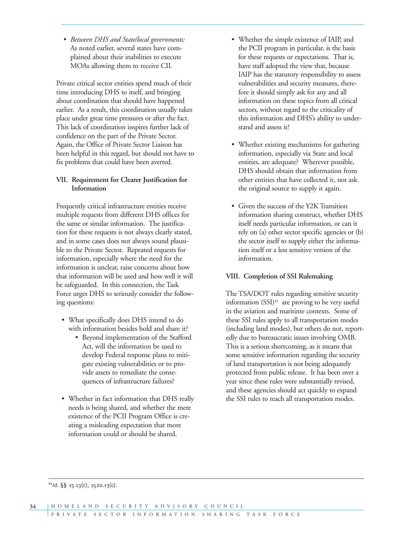∑ • *Between DHS and State/local governments:* As noted earlier, several states have complained about their inabilities to execute MOAs allowing them to receive CII.

Private critical sector entities spend much of their time introducing DHS to itself, and bringing about coordination that should have happened earlier. As a result, this coordination usually takes place under great time pressures or after the fact. This lack of coordination inspires further lack of confidence on the part of the Private Sector. Again, the Office of Private Sector Liaison has been helpful in this regard, but should not have to fix problems that could have been averted.

#### **VII. Requirement for Clearer Justification for Information**

Frequently critical infrastructure entities receive multiple requests from different DHS offices for the same or similar information. The justification for these requests is not always clearly stated, and in some cases does not always sound plausible to the Private Sector. Repeated requests for information, especially where the need for the information is unclear, raise concerns about how that information will be used and how well it will be safeguarded. In this connection, the Task Force urges DHS to seriously consider the following questions:

- What specifically does DHS intend to do with information besides hold and share it?
	- ∑ Beyond implementation of the Stafford Act, will the information be used to develop Federal response plans to mitigate existing vulnerabilities or to provide assets to remediate the consequences of infrastructure failures?
- Whether in fact information that DHS really needs is being shared, and whether the mere existence of the PCII Program Office is creating a misleading expectation that more information could or should be shared.
- Whether the simple existence of IAIP, and the PCII program in particular, is the basis for these requests or expectations. That is, have staff adopted the view that, because IAIP has the statutory responsibility to assess vulnerabilities and security measures, therefore it should simply ask for any and all information on these topics from all critical sectors, without regard to the criticality of this information and DHS's ability to understand and assess it?
- Whether existing mechanisms for gathering information, especially via State and local entities, are adequate? Wherever possible, DHS should obtain that information from other entities that have collected it, not ask the original source to supply it again.
- Given the success of the Y2K Transition information sharing construct, whether DHS itself needs particular information, or can it rely on (a) other sector specific agencies or (b) the sector itself to supply either the information itself or a less sensitive version of the information.

### **VIII. Completion of SSI Rulemaking**

The TSA/DOT rules regarding sensitive security information (SSI)<sup>83</sup> are proving to be very useful in the aviation and maritime contexts. Some of these SSI rules apply to all transportation modes (including land modes), but others do not, reportedly due to bureaucratic issues involving OMB. This is a serious shortcoming, as it means that some sensitive information regarding the security of land transportation is not being adequately protected from public release. It has been over a year since these rules were substantially revised, and these agencies should act quickly to expand the SSI rules to reach all transportation modes.

 $84$ Id. §§ 15.13(c), 1520.13(c).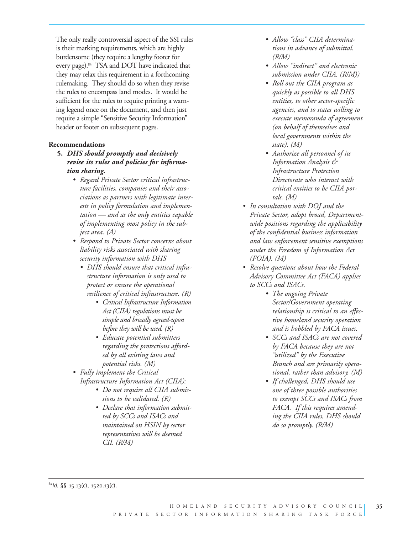The only really controversial aspect of the SSI rules is their marking requirements, which are highly burdensome (they require a lengthy footer for every page).<sup>84</sup> TSA and DOT have indicated that they may relax this requirement in a forthcoming rulemaking. They should do so when they revise the rules to encompass land modes. It would be sufficient for the rules to require printing a warning legend once on the document, and then just require a simple "Sensitive Security Information" header or footer on subsequent pages.

### **Recommendations**

- **5.** *DHS should promptly and decisively revise its rules and policies for information sharing.*
	- *Regard Private Sector critical infrastructure facilities, companies and their associations as partners with legitimate interests in policy formulation and implementation — and as the only entities capable of implementing most policy in the subject area. (A)*
	- *Respond to Private Sector concerns about liability risks associated with sharing security information with DHS*
		- *DHS should ensure that critical infrastructure information is only used to protect or ensure the operational resilience of critical infrastructure. (R)*
			- *Critical Infrastructure Information Act (CIIA) regulations must be simple and broadly agreed-upon before they will be used. (R)*
			- *Educate potential submitters regarding the protections afforded by all existing laws and potential risks. (M)*
	- *Fully implement the Critical Infrastructure Information Act (CIIA):*
		- *Do not require all CIIA submissions to be validated. (R)*
		- *Declare that information submitted by SCCs and ISACs and maintained on HSIN by sector representatives will be deemed CII. (R/M)*
- *Allow "class" CIIA determinations in advance of submittal. (R/M)*
- *Allow "indirect" and electronic submission under CIIA. (R/M))*
- *Roll out the CIIA program as quickly as possible to all DHS entities, to other sector-specific agencies, and to states willing to execute memoranda of agreement (on behalf of themselves and local governments within the state). (M)*
- *Authorize all personnel of its Information Analysis & Infrastructure Protection Directorate who interact with critical entities to be CIIA portals. (M)*
- *In consultation with DOJ and the Private Sector, adopt broad, Departmentwide positions regarding the applicability of the confidential business information and law enforcement sensitive exemptions under the Freedom of Information Act (FOIA). (M)*
- *Resolve questions about how the Federal Advisory Committee Act (FACA) applies to SCCs and ISACs.*
	- *The ongoing Private Sector/Government operating relationship is critical to an effective homeland security operation and is hobbled by FACA issues.*
	- *SCCs and ISACs are not covered by FACA because they are not "utilized" by the Executive Branch and are primarily operational, rather than advisory. (M)*
	- *If challenged, DHS should use one of three possible authorities to exempt SCCs and ISACs from FACA. If this requires amending the CIIA rules, DHS should do so promptly. (R/M)*

 $84$ Id. §§ 15.13(c), 1520.13(c).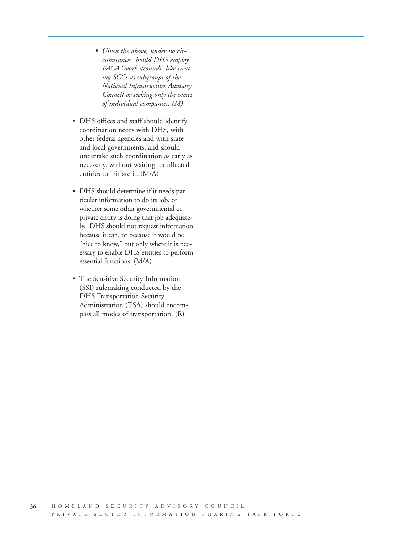- *Given the above, under no circumstances should DHS employ FACA "work arounds" like treating SCCs as subgroups of the National Infrastructure Advisory Council or seeking only the views of individual companies. (M)*
- DHS offices and staff should identify coordination needs with DHS, with other federal agencies and with state and local governments, and should undertake such coordination as early as necessary, without waiting for affected entities to initiate it. (M/A)
- DHS should determine if it needs particular information to do its job, or whether some other governmental or private entity is doing that job adequately. DHS should not request information because it can, or because it would be "nice to know," but only where it is necessary to enable DHS entities to perform essential functions. (M/A)
- The Sensitive Security Information (SSI) rulemaking conducted by the DHS Transportation Security Administration (TSA) should encompass all modes of transportation. (R)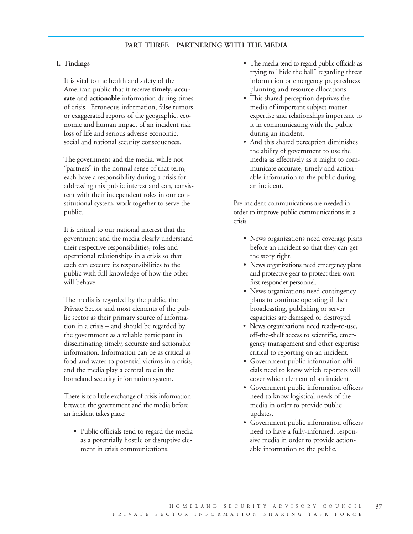### **PART THREE – PARTNERING WITH THE MEDIA**

### **I. Findings**

It is vital to the health and safety of the American public that it receive **timely**, **accurate** and **actionable** information during times of crisis. Erroneous information, false rumors or exaggerated reports of the geographic, economic and human impact of an incident risk loss of life and serious adverse economic, social and national security consequences.

The government and the media, while not "partners" in the normal sense of that term, each have a responsibility during a crisis for addressing this public interest and can, consistent with their independent roles in our constitutional system, work together to serve the public.

It is critical to our national interest that the government and the media clearly understand their respective responsibilities, roles and operational relationships in a crisis so that each can execute its responsibilities to the public with full knowledge of how the other will behave.

The media is regarded by the public, the Private Sector and most elements of the public sector as their primary source of information in a crisis – and should be regarded by the government as a reliable participant in disseminating timely, accurate and actionable information. Information can be as critical as food and water to potential victims in a crisis, and the media play a central role in the homeland security information system.

There is too little exchange of crisis information between the government and the media before an incident takes place:

• Public officials tend to regard the media as a potentially hostile or disruptive element in crisis communications.

- The media tend to regard public officials as trying to "hide the ball" regarding threat information or emergency preparedness planning and resource allocations.
- This shared perception deprives the media of important subject matter expertise and relationships important to it in communicating with the public during an incident.
- And this shared perception diminishes the ability of government to use the media as effectively as it might to communicate accurate, timely and actionable information to the public during an incident.

Pre-incident communications are needed in order to improve public communications in a crisis.

- News organizations need coverage plans before an incident so that they can get the story right.
- News organizations need emergency plans and protective gear to protect their own first responder personnel.
- News organizations need contingency plans to continue operating if their broadcasting, publishing or server capacities are damaged or destroyed.
- News organizations need ready-to-use, off-the-shelf access to scientific, emergency management and other expertise critical to reporting on an incident.
- Government public information officials need to know which reporters will cover which element of an incident.
- Government public information officers need to know logistical needs of the media in order to provide public updates.
- Government public information officers need to have a fully-informed, responsive media in order to provide actionable information to the public.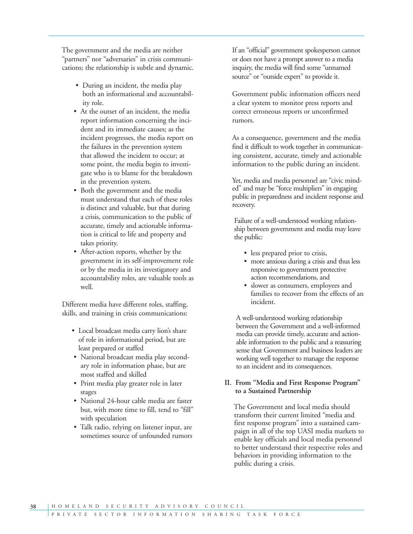The government and the media are neither "partners" nor "adversaries" in crisis communications; the relationship is subtle and dynamic.

- During an incident, the media play both an informational and accountability role.
- At the outset of an incident, the media report information concerning the incident and its immediate causes; as the incident progresses, the media report on the failures in the prevention system that allowed the incident to occur; at some point, the media begin to investigate who is to blame for the breakdown in the prevention system.
- Both the government and the media must understand that each of these roles is distinct and valuable, but that during a crisis, communication to the public of accurate, timely and actionable information is critical to life and property and takes priority.
- After-action reports, whether by the government in its self-improvement role or by the media in its investigatory and accountability roles, are valuable tools as well.

Different media have different roles, staffing, skills, and training in crisis communications:

- Local broadcast media carry lion's share of role in informational period, but are least prepared or staffed
- National broadcast media play secondary role in information phase, but are most staffed and skilled
- Print media play greater role in later stages
- National 24-hour cable media are faster but, with more time to fill, tend to "fill" with speculation
- Talk radio, relying on listener input, are sometimes source of unfounded rumors

If an "official" government spokesperson cannot or does not have a prompt answer to a media inquiry, the media will find some "unnamed source" or "outside expert" to provide it.

Government public information officers need a clear system to monitor press reports and correct erroneous reports or unconfirmed rumors.

As a consequence, government and the media find it difficult to work together in communicating consistent, accurate, timely and actionable information to the public during an incident.

Yet, media and media personnel are "civic minded" and may be "force multipliers" in engaging public in preparedness and incident response and recovery.

Failure of a well-understood working relationship between government and media may leave the public:

- less prepared prior to crisis,
- more anxious during a crisis and thus less responsive to government protective action recommendations, and
- slower as consumers, employees and families to recover from the effects of an incident.

A well-understood working relationship between the Government and a well-informed media can provide timely, accurate and actionable information to the public and a reassuring sense that Government and business leaders are working well together to manage the response to an incident and its consequences.

### **II. From "Media and First Response Program" to a Sustained Partnership**

The Government and local media should transform their current limited "media and first response program" into a sustained campaign in all of the top UASI media markets to enable key officials and local media personnel to better understand their respective roles and behaviors in providing information to the public during a crisis.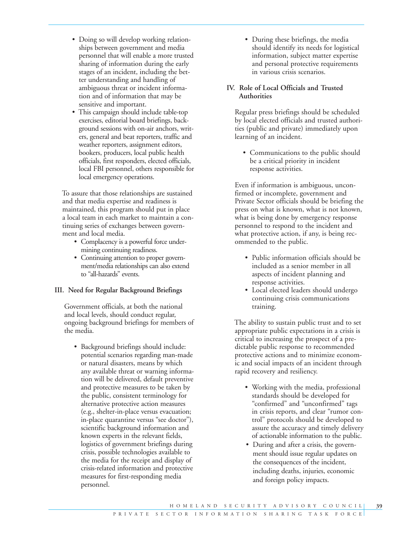- Doing so will develop working relationships between government and media personnel that will enable a more trusted sharing of information during the early stages of an incident, including the better understanding and handling of ambiguous threat or incident information and of information that may be sensitive and important.
- This campaign should include table-top exercises, editorial board briefings, background sessions with on-air anchors, writers, general and beat reporters, traffic and weather reporters, assignment editors, bookers, producers, local public health officials, first responders, elected officials, local FBI personnel, others responsible for local emergency operations.

To assure that those relationships are sustained and that media expertise and readiness is maintained, this program should put in place a local team in each market to maintain a continuing series of exchanges between government and local media.

- Complacency is a powerful force undermining continuing readiness.
- Continuing attention to proper government/media relationships can also extend to "all-hazards" events.

### **III. Need for Regular Background Briefings**

Government officials, at both the national and local levels, should conduct regular, ongoing background briefings for members of the media.

• Background briefings should include: potential scenarios regarding man-made or natural disasters, means by which any available threat or warning information will be delivered, default preventive and protective measures to be taken by the public, consistent terminology for alternative protective action measures (e.g., shelter-in-place versus evacuation; in-place quarantine versus "see doctor"), scientific background information and known experts in the relevant fields, logistics of government briefings during crisis, possible technologies available to the media for the receipt and display of crisis-related information and protective measures for first-responding media personnel.

• During these briefings, the media should identify its needs for logistical information, subject matter expertise and personal protective requirements in various crisis scenarios.

### **IV. Role of Local Officials and Trusted Authorities**

Regular press briefings should be scheduled by local elected officials and trusted authorities (public and private) immediately upon learning of an incident.

• Communications to the public should be a critical priority in incident response activities.

Even if information is ambiguous, unconfirmed or incomplete, government and Private Sector officials should be briefing the press on what is known, what is not known, what is being done by emergency response personnel to respond to the incident and what protective action, if any, is being recommended to the public.

- Public information officials should be included as a senior member in all aspects of incident planning and response activities.
- Local elected leaders should undergo continuing crisis communications training.

The ability to sustain public trust and to set appropriate public expectations in a crisis is critical to increasing the prospect of a predictable public response to recommended protective actions and to minimize economic and social impacts of an incident through rapid recovery and resiliency.

- Working with the media, professional standards should be developed for "confirmed" and "unconfirmed" tags in crisis reports, and clear "rumor control" protocols should be developed to assure the accuracy and timely delivery of actionable information to the public.
- During and after a crisis, the government should issue regular updates on the consequences of the incident, including deaths, injuries, economic and foreign policy impacts.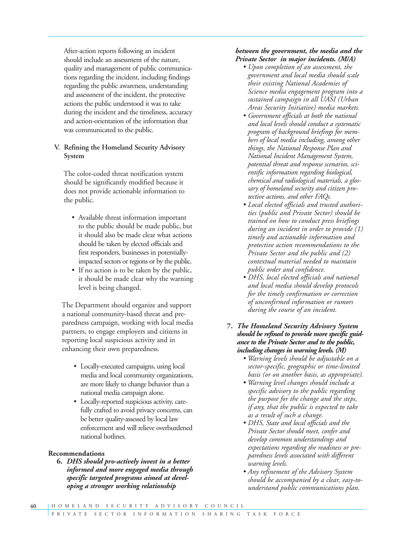After-action reports following an incident should include an assessment of the nature, quality and management of public communications regarding the incident, including findings regarding the public awareness, understanding and assessment of the incident, the protective actions the public understood it was to take during the incident and the timeliness, accuracy and action-orientation of the information that was communicated to the public.

### **V. Refining the Homeland Security Advisory System**

The color-coded threat notification system should be significantly modified because it does not provide actionable information to the public.

- Available threat information important to the public should be made public, but it should also be made clear what actions should be taken by elected officials and first responders, businesses in potentiallyimpacted sectors or regions or by the public.
- If no action is to be taken by the public, it should be made clear why the warning level is being changed.

The Department should organize and support a national community-based threat and preparedness campaign, working with local media partners, to engage employers and citizens in reporting local suspicious activity and in enhancing their own preparedness.

- Locally-executed campaigns, using local media and local community organizations, are more likely to change behavior than a national media campaign alone.
- Locally-reported suspicious activity, carefully crafted to avoid privacy concerns, can be better quality-assessed by local law enforcement and will relieve overburdened national hotlines.

### **Recommendations**

**40**

**6.** *DHS should pro-actively invest in a better informed and more engaged media through specific targeted programs aimed at developing a stronger working relationship*

### *between the government, the media and the Private Sector in major incidents. (M/A)*

- *Upon completion of an assessment, the government and local media should scale their existing National Academies of Science media engagement program into a sustained campaign in all UASI (Urban Areas Security Initiative) media markets.*
- *Government officials at both the national and local levels should conduct a systematic program of background briefings for members of local media including, among other things, the National Response Plan and National Incident Management System, potential threat and response scenarios, scientific information regarding biological, chemical and radiological materials, a glossary of homeland security and citizen protective actions, and other FAQs.*
- *Local elected officials and trusted authorities (public and Private Sector) should be trained on how to conduct press briefings during an incident in order to provide (1) timely and actionable information and protective action recommendations to the Private Sector and the public and (2) contextual material needed to maintain public order and confidence.*
- *DHS, local elected officials and national and local media should develop protocols for the timely confirmation or correction of unconfirmed information or rumors during the course of an incident.*
- **7.** *The Homeland Security Advisory System should be refined to provide more specific guidance to the Private Sector and to the public, including changes in warning levels. (M)*
	- *Warning levels should be adjustable on a sector-specific, geographic or time-limited basis (or on another basis, as appropriate).*
	- *Warning level changes should include a specific advisory to the public regarding the purpose for the change and the steps, if any, that the public is expected to take as a result of such a change.*
	- *DHS, State and local officials and the Private Sector should meet, confer and develop common understandings and expectations regarding the readiness or preparedness levels associated with different warning levels.*
	- *Any refinement of the Advisory System should be accompanied by a clear, easy-tounderstand public communications plan.*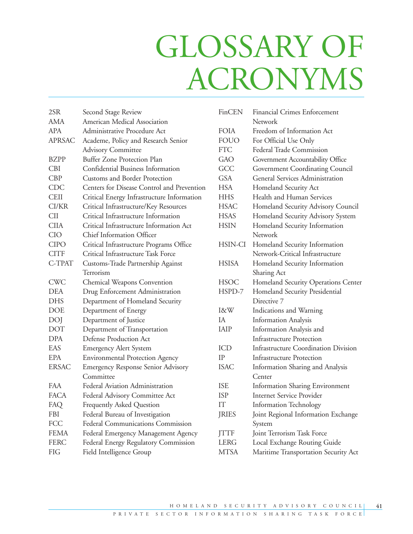# GLOSSARY OF ACRONYMS

| $2S_R$        | Second Stage Review                        |  |
|---------------|--------------------------------------------|--|
| <b>AMA</b>    | American Medical Association               |  |
| APA.          | Administrative Procedure Act               |  |
| <b>APRSAC</b> | Academe, Policy and Research Senior        |  |
|               | <b>Advisory Committee</b>                  |  |
| <b>BZPP</b>   | <b>Buffer Zone Protection Plan</b>         |  |
| <b>CBI</b>    | Confidential Business Information          |  |
| CBP           | <b>Customs and Border Protection</b>       |  |
| <b>CDC</b>    | Centers for Disease Control and Prevention |  |
| <b>CEII</b>   | Critical Energy Infrastructure Information |  |
| CI/KR         | Critical Infrastructure/Key Resources      |  |
| <b>CII</b>    | Critical Infrastructure Information        |  |
| <b>CIIA</b>   | Critical Infrastructure Information Act    |  |
| CIO           | Chief Information Officer                  |  |
| <b>CIPO</b>   | Critical Infrastructure Programs Office    |  |
| <b>CITF</b>   | Critical Infrastructure Task Force         |  |
| C-TPAT        | Customs-Trade Partnership Against          |  |
|               | Terrorism                                  |  |
| <b>CWC</b>    | Chemical Weapons Convention                |  |
| <b>DEA</b>    | Drug Enforcement Administration            |  |
| <b>DHS</b>    | Department of Homeland Security            |  |
| <b>DOE</b>    | Department of Energy                       |  |
| <b>DOJ</b>    | Department of Justice                      |  |
| <b>DOT</b>    | Department of Transportation               |  |
| DPA           | Defense Production Act                     |  |
| EAS           | <b>Emergency Alert System</b>              |  |
| EPA.          | <b>Environmental Protection Agency</b>     |  |
| <b>ERSAC</b>  | <b>Emergency Response Senior Advisory</b>  |  |
|               | Committee                                  |  |
| FAA           | Federal Aviation Administration            |  |
| <b>FACA</b>   | Federal Advisory Committee Act             |  |
| FAQ           | Frequently Asked Question                  |  |
| FBI           | Federal Bureau of Investigation            |  |
| FCC           | Federal Communications Commission          |  |
| FEMA          | Federal Emergency Management Agency        |  |
| <b>FERC</b>   | Federal Energy Regulatory Commission       |  |
| <b>FIG</b>    | Field Intelligence Group                   |  |

| <b>FinCEN</b>  | Financial Crimes Enforcement                |
|----------------|---------------------------------------------|
|                | Network                                     |
| <b>FOIA</b>    | Freedom of Information Act                  |
| <b>FOUO</b>    | For Official Use Only                       |
| <b>FTC</b>     | Federal Trade Commission                    |
| <b>GAO</b>     | Government Accountability Office            |
| GCC            | <b>Government Coordinating Council</b>      |
| <b>GSA</b>     | General Services Administration             |
| <b>HSA</b>     | Homeland Security Act                       |
| <b>HHS</b>     | Health and Human Services                   |
| <b>HSAC</b>    | Homeland Security Advisory Council          |
| <b>HSAS</b>    | Homeland Security Advisory System           |
| <b>HSIN</b>    | Homeland Security Information               |
|                | Network                                     |
| <b>HSIN-CI</b> | Homeland Security Information               |
|                | Network-Critical Infrastructure             |
| <b>HSISA</b>   | Homeland Security Information               |
|                | Sharing Act                                 |
| <b>HSOC</b>    | Homeland Security Operations Center         |
| HSPD-7         | Homeland Security Presidential              |
|                | Directive 7                                 |
| I&W            | Indications and Warning                     |
| IA             | <b>Information Analysis</b>                 |
| <b>IAIP</b>    | Information Analysis and                    |
|                | Infrastructure Protection                   |
| <b>ICD</b>     | <b>Infrastructure Coordination Division</b> |
| IP             | <b>Infrastructure Protection</b>            |
| <b>ISAC</b>    | Information Sharing and Analysis            |
|                | Center                                      |
| <b>ISE</b>     | <b>Information Sharing Environment</b>      |
| <b>ISP</b>     | <b>Internet Service Provider</b>            |
| IT             | <b>Information Technology</b>               |
| <b>JRIES</b>   | Joint Regional Information Exchange         |
|                | System                                      |
| JTTF           | Joint Terrorism Task Force                  |
| LERG           | Local Exchange Routing Guide                |
| <b>MTSA</b>    | Maritime Transportation Security Act        |
|                |                                             |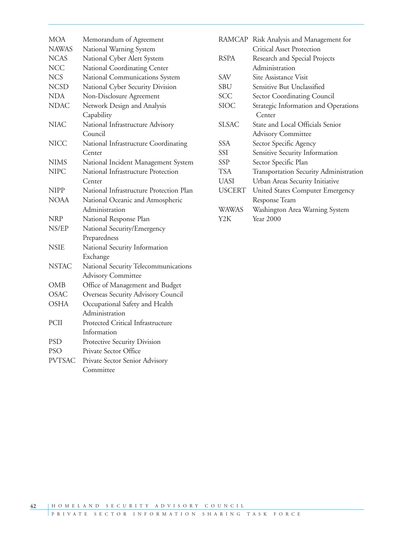| <b>MOA</b>    | Memorandum of Agreement                 |
|---------------|-----------------------------------------|
| <b>NAWAS</b>  | National Warning System                 |
| <b>NCAS</b>   | National Cyber Alert System             |
| <b>NCC</b>    | National Coordinating Center            |
| <b>NCS</b>    | National Communications System          |
| <b>NCSD</b>   | National Cyber Security Division        |
| <b>NDA</b>    | Non-Disclosure Agreement                |
| <b>NDAC</b>   | Network Design and Analysis             |
|               | Capability                              |
| NIAC          | National Infrastructure Advisory        |
|               | Council                                 |
| <b>NICC</b>   | National Infrastructure Coordinating    |
|               | Center                                  |
| <b>NIMS</b>   | National Incident Management System     |
| <b>NIPC</b>   | National Infrastructure Protection      |
|               | Center                                  |
| <b>NIPP</b>   | National Infrastructure Protection Plan |
| <b>NOAA</b>   | National Oceanic and Atmospheric        |
|               | Administration                          |
| <b>NRP</b>    | National Response Plan                  |
| NS/EP         | National Security/Emergency             |
|               | Preparedness                            |
| <b>NSIE</b>   | National Security Information           |
|               | Exchange                                |
| <b>NSTAC</b>  | National Security Telecommunications    |
|               | <b>Advisory Committee</b>               |
| OMB           | Office of Management and Budget         |
| <b>OSAC</b>   | Overseas Security Advisory Council      |
| <b>OSHA</b>   | Occupational Safety and Health          |
|               | Administration                          |
| PCII          | Protected Critical Infrastructure       |
|               | Information                             |
| <b>PSD</b>    | Protective Security Division            |
| <b>PSO</b>    | Private Sector Office                   |
| <b>PVTSAC</b> | Private Sector Senior Advisory          |
|               | Committee                               |

| <b>RAMCAP</b> | Risk Analysis and Management for       |
|---------------|----------------------------------------|
|               | Critical Asset Protection              |
| <b>RSPA</b>   | Research and Special Projects          |
|               | Administration                         |
| SAV           | Site Assistance Visit                  |
| SBU           | Sensitive But Unclassified             |
| <b>SCC</b>    | <b>Sector Coordinating Council</b>     |
| <b>SIOC</b>   | Strategic Information and Operations   |
|               | Center                                 |
| SLSAC.        | State and Local Officials Senior       |
|               | <b>Advisory Committee</b>              |
| SSA.          | Sector Specific Agency                 |
| SSI           | Sensitive Security Information         |
| <b>SSP</b>    | Sector Specific Plan                   |
| TSA           | Transportation Security Administration |
| UASI          | Urban Areas Security Initiative        |
| USCERT        | United States Computer Emergency       |
|               | Response Team                          |
| <b>WAWAS</b>  | Washington Area Warning System         |
| Y2K           | Year 2000                              |
|               |                                        |

HOMELAND SECURITY ADVISORY COUNCIL **42**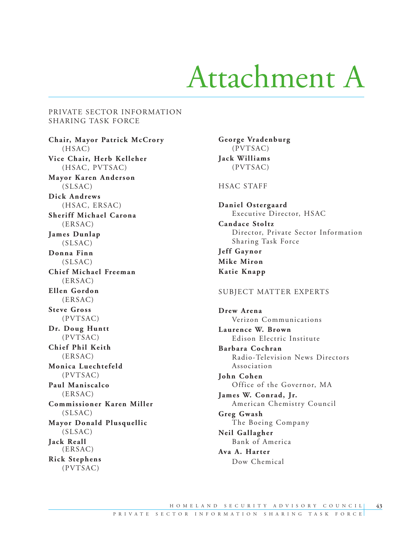# Attachment A

### PRIVATE SECTOR INFORMATION SHARING TASK FORCE

**Chair, Mayor Patrick McCrory** (HSAC) **Vice Chair, Herb Kelleher** (HSAC, PVTSAC) **Mayor Karen Anderson** (SLSAC) **Dick Andrews** (HSAC, ERSAC) **Sheriff Michael Carona** (ERSAC) **James Dunlap** (SLSAC) **Donna Finn** (SLSAC) **Chief Michael Freeman** (ERSAC) **Ellen Gordon** (ERSAC) **Steve Gross** (PVTSAC) **Dr. Doug Huntt** (PVTSAC) **Chief Phil Keith** (ERSAC) **Monica Luechtefeld** (PVTSAC) **Paul Maniscalco** (ERSAC) **Commissioner Karen Miller** (SLSAC) **Mayor Donald Plusquellic** (SLSAC) **Jack Reall** (ERSAC) **Rick Stephens** (PVTSAC)

**George Vradenburg** (PVTSAC) **Jack Williams** (PVTSAC)

HSAC STAFF

**Daniel Ostergaard** Executive Director, HSAC **Candace Stoltz** Director, Private Sector Information Sharing Task Force **Jeff Gaynor Mike Miron Katie Knapp** SUBJECT MATTER EXPERTS

**Drew Arena** Verizon Communications **Laurence W. Brown** Edison Electric Institute **Barbara Cochran** Radio-Television News Directors Association **John Cohen** Office of the Governor, MA **James W. Conrad, Jr.** American Chemistry Council **Greg Gwash** The Boeing Company **Neil Gallagher** Bank of America **Ava A. Harter** Dow Chemical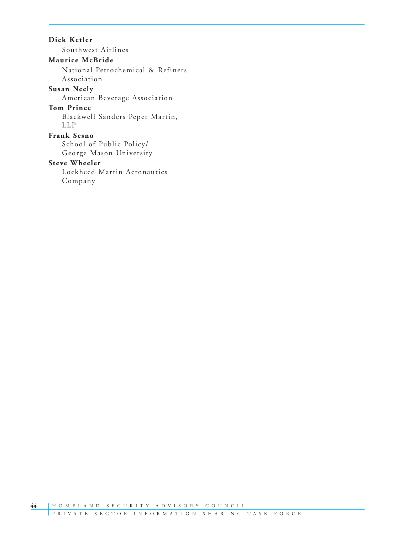# **Dick Ketler** Southwest Airlines **Maurice McBride** National Petrochemical & Refiners Association **Susan Neely** American Beverage Association **Tom Prince** Blackwell Sanders Peper Martin, LLP **Frank Sesno** School of Public Policy/ George Mason University **Steve Wheeler** Lockheed Martin Aeronautics Company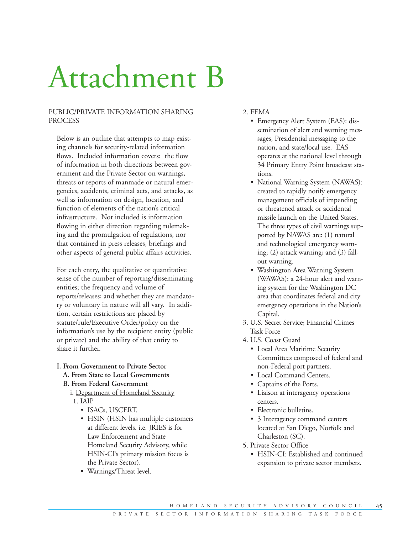# Attachment B

# PUBLIC/PRIVATE INFORMATION SHARING PROCESS

Below is an outline that attempts to map existing channels for security-related information flows. Included information covers: the flow of information in both directions between government and the Private Sector on warnings, threats or reports of manmade or natural emergencies, accidents, criminal acts, and attacks, as well as information on design, location, and function of elements of the nation's critical infrastructure. Not included is information flowing in either direction regarding rulemaking and the promulgation of regulations, nor that contained in press releases, briefings and other aspects of general public affairs activities.

For each entry, the qualitative or quantitative sense of the number of reporting/disseminating entities; the frequency and volume of reports/releases; and whether they are mandatory or voluntary in nature will all vary. In addition, certain restrictions are placed by statute/rule/Executive Order/policy on the information's use by the recipient entity (public or private) and the ability of that entity to share it further.

- **I. From Government to Private Sector A. From State to Local Governments**
	- **B. From Federal Government**
		- i. Department of Homeland Security
		- 1. IAIP
			- ISACs, USCERT.
			- HSIN (HSIN has multiple customers at different levels. i.e. JRIES is for Law Enforcement and State Homeland Security Advisory, while HSIN-CI's primary mission focus is the Private Sector).
			- Warnings/Threat level.

# 2. FEMA

- Emergency Alert System (EAS): dissemination of alert and warning messages, Presidential messaging to the nation, and state/local use. EAS operates at the national level through 34 Primary Entry Point broadcast stations.
- National Warning System (NAWAS): created to rapidly notify emergency management officials of impending or threatened attack or accidental missile launch on the United States. The three types of civil warnings supported by NAWAS are: (1) natural and technological emergency warning; (2) attack warning; and (3) fallout warning.
- Washington Area Warning System (WAWAS): a 24-hour alert and warning system for the Washington DC area that coordinates federal and city emergency operations in the Nation's Capital.
- 3. U.S. Secret Service; Financial Crimes Task Force
- 4. U.S. Coast Guard
	- Local Area Maritime Security Committees composed of federal and non-Federal port partners.
	- Local Command Centers.
	- Captains of the Ports.
	- Liaison at interagency operations centers.
	- Electronic bulletins.
	- 3 Interagency command centers located at San Diego, Norfolk and Charleston (SC).
- 5. Private Sector Office
	- HSIN-CI: Established and continued expansion to private sector members.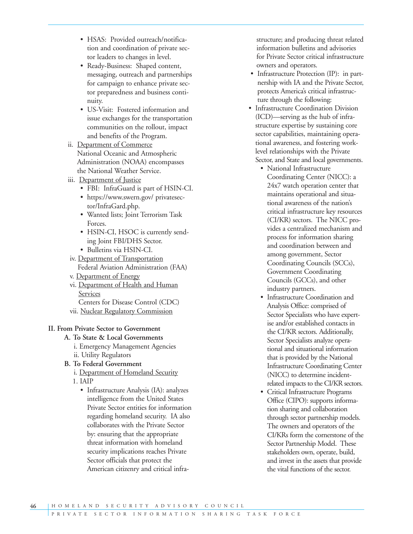- HSAS: Provided outreach/notification and coordination of private sector leaders to changes in level.
- Ready-Business: Shaped content, messaging, outreach and partnerships for campaign to enhance private sector preparedness and business continuity.
- US-Visit: Fostered information and issue exchanges for the transportation communities on the rollout, impact and benefits of the Program.
- ii. Department of Commerce National Oceanic and Atmospheric Administration (NOAA) encompasses the National Weather Service.
- iii. Department of Justice
	- FBI: InfraGuard is part of HSIN-CI.
	- https://www.swern.gov/ privatesector/InfraGard.php.
	- Wanted lists; Joint Terrorism Task Forces.
	- HSIN-CI, HSOC is currently sending Joint FBI/DHS Sector.
	- Bulletins via HSIN-CI.
- iv. Department of Transportation Federal Aviation Administration (FAA)
- v. Department of Energy
- vi. Department of Health and Human Services
- Centers for Disease Control (CDC)
- vii. Nuclear Regulatory Commission

### **II. From Private Sector to Government**

- **A. To State & Local Governments**
	- i. Emergency Management Agencies
- ii. Utility Regulators
- **B. To Federal Government**
	- i. Department of Homeland Security 1. IAIP
		- Infrastructure Analysis (IA): analyzes intelligence from the United States Private Sector entities for information regarding homeland security. IA also collaborates with the Private Sector by: ensuring that the appropriate threat information with homeland security implications reaches Private Sector officials that protect the American citizenry and critical infra-

structure; and producing threat related information bulletins and advisories for Private Sector critical infrastructure owners and operators.

- Infrastructure Protection (IP): in partnership with IA and the Private Sector, protects America's critical infrastructure through the following:
- Infrastructure Coordination Division (ICD)—serving as the hub of infrastructure expertise by sustaining core sector capabilities, maintaining operational awareness, and fostering worklevel relationships with the Private Sector, and State and local governments.
	- National Infrastructure Coordinating Center (NICC): a 24x7 watch operation center that maintains operational and situational awareness of the nation's critical infrastructure key resources (CI/KR) sectors. The NICC provides a centralized mechanism and process for information sharing and coordination between and among government, Sector Coordinating Councils (SCCs), Government Coordinating Councils (GCCs), and other industry partners.
	- Infrastructure Coordination and Analysis Office: comprised of Sector Specialists who have expertise and/or established contacts in the CI/KR sectors. Additionally, Sector Specialists analyze operational and situational information that is provided by the National Infrastructure Coordinating Center (NICC) to determine incidentrelated impacts to the CI/KR sectors.
	- Critical Infrastructure Programs Office (CIPO): supports information sharing and collaboration through sector partnership models. The owners and operators of the CI/KRs form the cornerstone of the Sector Partnership Model. These stakeholders own, operate, build, and invest in the assets that provide the vital functions of the sector.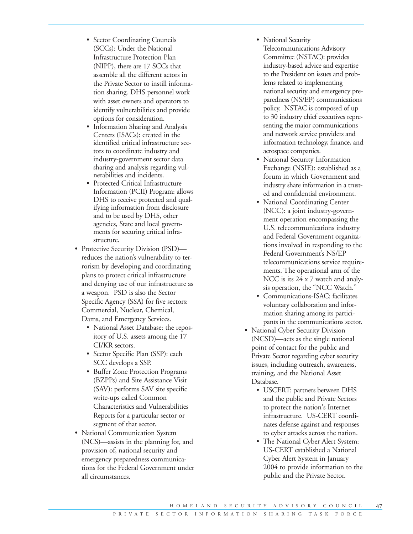- Sector Coordinating Councils (SCCs): Under the National Infrastructure Protection Plan (NIPP), there are 17 SCCs that assemble all the different actors in the Private Sector to instill information sharing. DHS personnel work with asset owners and operators to identify vulnerabilities and provide options for consideration.
- Information Sharing and Analysis Centers (ISACs): created in the identified critical infrastructure sectors to coordinate industry and industry-government sector data sharing and analysis regarding vulnerabilities and incidents.
- Protected Critical Infrastructure Information (PCII) Program: allows DHS to receive protected and qualifying information from disclosure and to be used by DHS, other agencies, State and local governments for securing critical infrastructure.
- Protective Security Division (PSD)reduces the nation's vulnerability to terrorism by developing and coordinating plans to protect critical infrastructure and denying use of our infrastructure as a weapon. PSD is also the Sector Specific Agency (SSA) for five sectors: Commercial, Nuclear, Chemical, Dams, and Emergency Services.
	- National Asset Database: the repository of U.S. assets among the 17 CI/KR sectors.
	- Sector Specific Plan (SSP): each SCC develops a SSP.
	- Buffer Zone Protection Programs (BZPPs) and Site Assistance Visit (SAV): performs SAV site specific write-ups called Common Characteristics and Vulnerabilities Reports for a particular sector or segment of that sector.
- National Communication System (NCS)—assists in the planning for, and provision of, national security and emergency preparedness communications for the Federal Government under all circumstances.
- National Security Telecommunications Advisory Committee (NSTAC): provides industry-based advice and expertise to the President on issues and problems related to implementing national security and emergency preparedness (NS/EP) communications policy. NSTAC is composed of up to 30 industry chief executives representing the major communications and network service providers and information technology, finance, and aerospace companies.
- National Security Information Exchange (NSIE): established as a forum in which Government and industry share information in a trusted and confidential environment.
- National Coordinating Center (NCC): a joint industry-government operation encompassing the U.S. telecommunications industry and Federal Government organizations involved in responding to the Federal Government's NS/EP telecommunications service requirements. The operational arm of the NCC is its 24 x 7 watch and analysis operation, the "NCC Watch."
- Communications-ISAC: facilitates voluntary collaboration and information sharing among its participants in the communications sector.
- National Cyber Security Division (NCSD)—acts as the single national point of contact for the public and Private Sector regarding cyber security issues, including outreach, awareness, training, and the National Asset Database.
	- USCERT: partners between DHS and the public and Private Sectors to protect the nation's Internet infrastructure. US-CERT coordinates defense against and responses to cyber attacks across the nation.
	- The National Cyber Alert System: US-CERT established a National Cyber Alert System in January 2004 to provide information to the public and the Private Sector.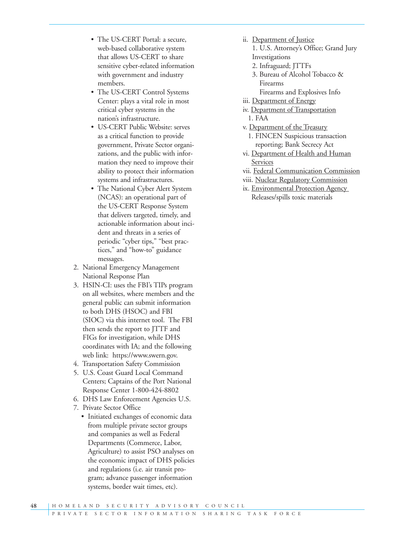- The US-CERT Portal: a secure, web-based collaborative system that allows US-CERT to share sensitive cyber-related information with government and industry members.
- The US-CERT Control Systems Center: plays a vital role in most critical cyber systems in the nation's infrastructure.
- US-CERT Public Website: serves as a critical function to provide government, Private Sector organizations, and the public with information they need to improve their ability to protect their information systems and infrastructures.
- The National Cyber Alert System (NCAS): an operational part of the US-CERT Response System that delivers targeted, timely, and actionable information about incident and threats in a series of periodic "cyber tips," "best practices," and "how-to" guidance messages.
- 2. National Emergency Management National Response Plan
- 3. HSIN-CI: uses the FBI's TIPs program on all websites, where members and the general public can submit information to both DHS (HSOC) and FBI (SIOC) via this internet tool. The FBI then sends the report to JTTF and FIGs for investigation, while DHS coordinates with IA; and the following web link: https://www.swern.gov.
- 4. Transportation Safety Commission
- 5. U.S. Coast Guard Local Command Centers; Captains of the Port National Response Center 1-800-424-8802
- 6. DHS Law Enforcement Agencies U.S.
- 7. Private Sector Office
	- Initiated exchanges of economic data from multiple private sector groups and companies as well as Federal Departments (Commerce, Labor, Agriculture) to assist PSO analyses on the economic impact of DHS policies and regulations (i.e. air transit program; advance passenger information systems, border wait times, etc).
- ii. Department of Justice
	- 1. U.S. Attorney's Office; Grand Jury Investigations
	- 2. Infraguard; JTTFs
	- 3. Bureau of Alcohol Tobacco & Firearms
		- Firearms and Explosives Info
- iii. Department of Energy
- iv. Department of Transportation 1. FAA
- v. Department of the Treasury
- 1. FINCEN Suspicious transaction reporting; Bank Secrecy Act
- vi. Department of Health and Human Services
- vii. Federal Communication Commission
- viii. Nuclear Regulatory Commission
- ix. Environmental Protection Agency Releases/spills toxic materials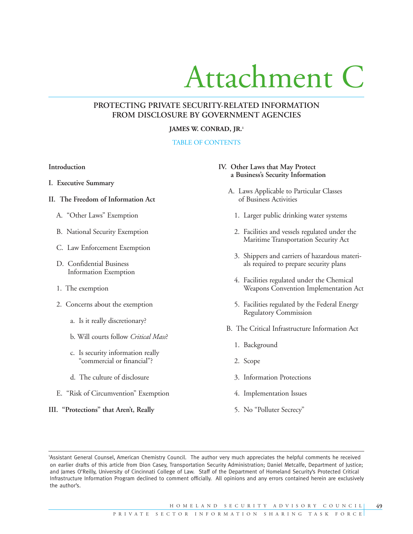# Attachment C

# **PROTECTING PRIVATE SECURITY-RELATED INFORMATION FROM DISCLOSURE BY GOVERNMENT AGENCIES**

### **JAMES W. CONRAD, JR.1**

#### TABLE OF CONTENTS

### **Introduction**

**I. Executive Summary**

### **II. The Freedom of Information Act**

- A. "Other Laws" Exemption
- B. National Security Exemption
- C. Law Enforcement Exemption
- D. Confidential Business Information Exemption
- 1. The exemption
- 2. Concerns about the exemption
	- a. Is it really discretionary?
	- b. Will courts follow *Critical Mass*?
	- c. Is security information really "commercial or financial"?
	- d. The culture of disclosure
- E. "Risk of Circumvention" Exemption
- **III. "Protections" that Aren't, Really**
- **IV. Other Laws that May Protect a Business's Security Information**
	- A. Laws Applicable to Particular Classes of Business Activities
		- 1. Larger public drinking water systems
		- 2. Facilities and vessels regulated under the Maritime Transportation Security Act
		- 3. Shippers and carriers of hazardous materials required to prepare security plans
		- 4. Facilities regulated under the Chemical Weapons Convention Implementation Act
		- 5. Facilities regulated by the Federal Energy Regulatory Commission
	- B. The Critical Infrastructure Information Act
		- 1. Background
		- 2. Scope
		- 3. Information Protections
		- 4. Implementation Issues
		- 5. No "Polluter Secrecy"

HOMELAND SECURITY ADVISORY COUNCIL

**49**

<sup>1</sup> Assistant General Counsel, American Chemistry Council. The author very much appreciates the helpful comments he received on earlier drafts of this article from Dion Casey, Transportation Security Administration; Daniel Metcalfe, Department of Justice; and James O'Reilly, University of Cincinnati College of Law. Staff of the Department of Homeland Security's Protected Critical Infrastructure Information Program declined to comment officially. All opinions and any errors contained herein are exclusively the author's.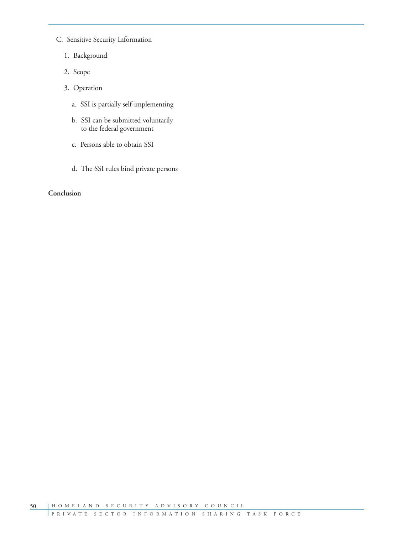- C. Sensitive Security Information
	- 1. Background
	- 2. Scope
	- 3. Operation
		- a. SSI is partially self-implementing
		- b. SSI can be submitted voluntarily to the federal government
		- c. Persons able to obtain SSI
		- d. The SSI rules bind private persons

# **Conclusion**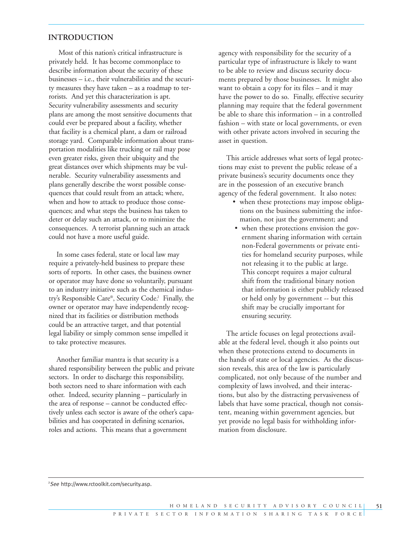### **INTRODUCTION**

Most of this nation's critical infrastructure is privately held. It has become commonplace to describe information about the security of these businesses – i.e., their vulnerabilities and the security measures they have taken – as a roadmap to terrorists. And yet this characterization is apt. Security vulnerability assessments and security plans are among the most sensitive documents that could ever be prepared about a facility, whether that facility is a chemical plant, a dam or railroad storage yard. Comparable information about transportation modalities like trucking or rail may pose even greater risks, given their ubiquity and the great distances over which shipments may be vulnerable. Security vulnerability assessments and plans generally describe the worst possible consequences that could result from an attack; where, when and how to attack to produce those consequences; and what steps the business has taken to deter or delay such an attack, or to minimize the consequences. A terrorist planning such an attack could not have a more useful guide.

In some cases federal, state or local law may require a privately-held business to prepare these sorts of reports. In other cases, the business owner or operator may have done so voluntarily, pursuant to an industry initiative such as the chemical industry's Responsible Care®, Security Code.<sup>2</sup> Finally, the owner or operator may have independently recognized that its facilities or distribution methods could be an attractive target, and that potential legal liability or simply common sense impelled it to take protective measures.

Another familiar mantra is that security is a shared responsibility between the public and private sectors. In order to discharge this responsibility, both sectors need to share information with each other. Indeed, security planning – particularly in the area of response – cannot be conducted effectively unless each sector is aware of the other's capabilities and has cooperated in defining scenarios, roles and actions. This means that a government

agency with responsibility for the security of a particular type of infrastructure is likely to want to be able to review and discuss security documents prepared by those businesses. It might also want to obtain a copy for its files – and it may have the power to do so. Finally, effective security planning may require that the federal government be able to share this information – in a controlled fashion – with state or local governments, or even with other private actors involved in securing the asset in question.

This article addresses what sorts of legal protections may exist to prevent the public release of a private business's security documents once they are in the possession of an executive branch agency of the federal government. It also notes:

- when these protections may impose obligations on the business submitting the information, not just the government; and
- when these protections envision the government sharing information with certain non-Federal governments or private entities for homeland security purposes, while not releasing it to the public at large. This concept requires a major cultural shift from the traditional binary notion that information is either publicly released or held only by government -- but this shift may be crucially important for ensuring security.

The article focuses on legal protections available at the federal level, though it also points out when these protections extend to documents in the hands of state or local agencies. As the discussion reveals, this area of the law is particularly complicated, not only because of the number and complexity of laws involved, and their interactions, but also by the distracting pervasiveness of labels that have some practical, though not consistent, meaning within government agencies, but yet provide no legal basis for withholding information from disclosure.

2 See http://www.rctoolkit.com/security.asp.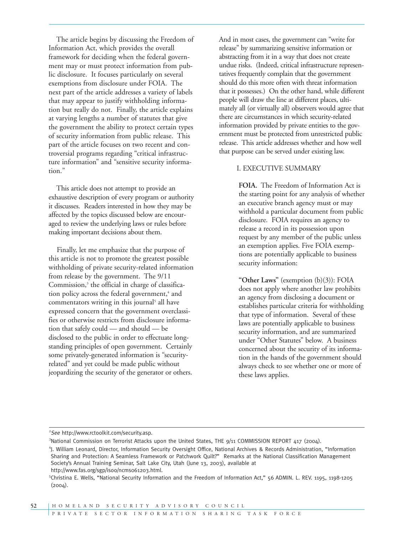The article begins by discussing the Freedom of Information Act, which provides the overall framework for deciding when the federal government may or must protect information from public disclosure. It focuses particularly on several exemptions from disclosure under FOIA. The next part of the article addresses a variety of labels that may appear to justify withholding information but really do not. Finally, the article explains at varying lengths a number of statutes that give the government the ability to protect certain types of security information from public release. This part of the article focuses on two recent and controversial programs regarding "critical infrastructure information" and "sensitive security information."

This article does not attempt to provide an exhaustive description of every program or authority it discusses. Readers interested in how they may be affected by the topics discussed below are encouraged to review the underlying laws or rules before making important decisions about them.

Finally, let me emphasize that the purpose of this article is not to promote the greatest possible withholding of private security-related information from release by the government. The 9/11 Commission,<sup>3</sup> the official in charge of classification policy across the federal government,<sup>4</sup> and commentators writing in this journal<sup>5</sup> all have expressed concern that the government overclassifies or otherwise restricts from disclosure information that safely could — and should — be disclosed to the public in order to effectuate longstanding principles of open government. Certainly some privately-generated information is "securityrelated" and yet could be made public without jeopardizing the security of the generator or others.

And in most cases, the government can "write for release" by summarizing sensitive information or abstracting from it in a way that does not create undue risks. (Indeed, critical infrastructure representatives frequently complain that the government should do this more often with threat information that it possesses.) On the other hand, while different people will draw the line at different places, ultimately all (or virtually all) observers would agree that there are circumstances in which security-related information provided by private entities to the government must be protected from unrestricted public release. This article addresses whether and how well that purpose can be served under existing law.

### I. EXECUTIVE SUMMARY

**FOIA.** The Freedom of Information Act is the starting point for any analysis of whether an executive branch agency must or may withhold a particular document from public disclosure. FOIA requires an agency to release a record in its possession upon request by any member of the public unless an exemption applies. Five FOIA exemptions are potentially applicable to business security information:

**"Other Laws"** (exemption (b)(3)): FOIA does not apply where another law prohibits an agency from disclosing a document or establishes particular criteria for withholding that type of information. Several of these laws are potentially applicable to business security information, and are summarized under "Other Statutes" below. A business concerned about the security of its information in the hands of the government should always check to see whether one or more of these laws applies.

<sup>2</sup> See http://www.rctoolkit.com/security.asp.

<sup>&</sup>lt;sup>3</sup>National Commission on Terrorist Attacks upon the United States, THE 9/11 COMMISSION REPORT 417 (2004).

<sup>4</sup> J. William Leonard, Director, Information Security Oversight Office, National Archives & Records Administration, "Information Sharing and Protection: A Seamless Framework or Patchwork Quilt?" Remarks at the National Classification Management Society's Annual Training Seminar, Salt Lake City, Utah (June 13, 2003), available at

http://www.fas.org/sgp/isoo/ncms061203.html.

<sup>5</sup> Christina E. Wells, "National Security Information and the Freedom of Information Act," 56 ADMIN. L. REV. 1195, 1198-1205 (2004).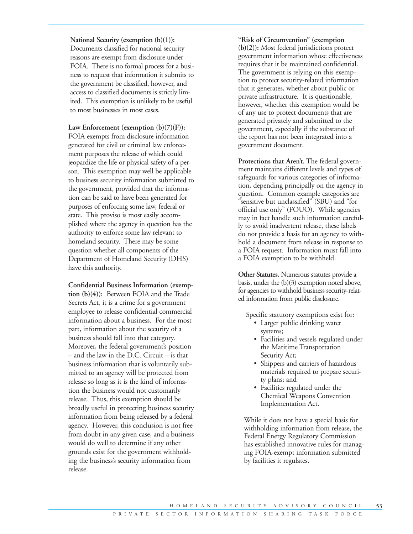**National Security (exemption (b)(1)):** Documents classified for national security reasons are exempt from disclosure under FOIA. There is no formal process for a business to request that information it submits to the government be classified, however, and access to classified documents is strictly limited. This exemption is unlikely to be useful to most businesses in most cases.

**Law Enforcement (exemption (b)(7)(F)):** FOIA exempts from disclosure information generated for civil or criminal law enforcement purposes the release of which could jeopardize the life or physical safety of a person. This exemption may well be applicable to business security information submitted to the government, provided that the information can be said to have been generated for purposes of enforcing some law, federal or state. This proviso is most easily accomplished where the agency in question has the authority to enforce some law relevant to homeland security. There may be some question whether all components of the Department of Homeland Security (DHS) have this authority.

**Confidential Business Information (exemption (b)(4)):** Between FOIA and the Trade Secrets Act, it is a crime for a government employee to release confidential commercial information about a business. For the most part, information about the security of a business should fall into that category. Moreover, the federal government's position – and the law in the D.C. Circuit – is that business information that is voluntarily submitted to an agency will be protected from release so long as it is the kind of information the business would not customarily release. Thus, this exemption should be broadly useful in protecting business security information from being released by a federal agency. However, this conclusion is not free from doubt in any given case, and a business would do well to determine if any other grounds exist for the government withholding the business's security information from release.

**"Risk of Circumvention" (exemption (b)(2)):** Most federal jurisdictions protect government information whose effectiveness requires that it be maintained confidential. The government is relying on this exemption to protect security-related information that it generates, whether about public or private infrastructure. It is questionable, however, whether this exemption would be of any use to protect documents that are generated privately and submitted to the government, especially if the substance of the report has not been integrated into a government document.

**Protections that Aren't.** The federal government maintains different levels and types of safeguards for various categories of information, depending principally on the agency in question. Common example categories are "sensitive but unclassified" (SBU) and "for official use only" (FOUO). While agencies may in fact handle such information carefully to avoid inadvertent release, these labels do not provide a basis for an agency to withhold a document from release in response to a FOIA request. Information must fall into a FOIA exemption to be withheld.

**Other Statutes.** Numerous statutes provide a basis, under the (b)(3) exemption noted above, for agencies to withhold business security-related information from public disclosure.

Specific statutory exemptions exist for:

- Larger public drinking water systems;
- Facilities and vessels regulated under the Maritime Transportation Security Act;
- Shippers and carriers of hazardous materials required to prepare security plans; and
- Facilities regulated under the Chemical Weapons Convention Implementation Act.

While it does not have a special basis for withholding information from release, the Federal Energy Regulatory Commission has established innovative rules for managing FOIA-exempt information submitted by facilities it regulates.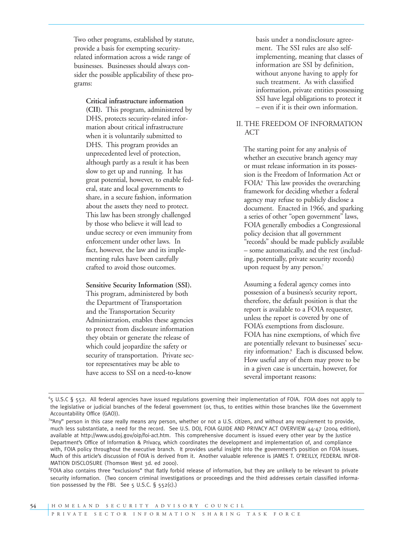Two other programs, established by statute, provide a basis for exempting securityrelated information across a wide range of businesses. Businesses should always consider the possible applicability of these programs:

**Critical infrastructure information**

**(CII).** This program, administered by DHS, protects security-related information about critical infrastructure when it is voluntarily submitted to DHS. This program provides an unprecedented level of protection, although partly as a result it has been slow to get up and running. It has great potential, however, to enable federal, state and local governments to share, in a secure fashion, information about the assets they need to protect. This law has been strongly challenged by those who believe it will lead to undue secrecy or even immunity from enforcement under other laws. In fact, however, the law and its implementing rules have been carefully crafted to avoid those outcomes.

**Sensitive Security Information (SSI).**

This program, administered by both the Department of Transportation and the Transportation Security Administration, enables these agencies to protect from disclosure information they obtain or generate the release of which could jeopardize the safety or security of transportation. Private sector representatives may be able to have access to SSI on a need-to-know

basis under a nondisclosure agreement. The SSI rules are also selfimplementing, meaning that classes of information are SSI by definition, without anyone having to apply for such treatment. As with classified information, private entities possessing SSI have legal obligations to protect it – even if it is their own information.

# II. THE FREEDOM OF INFORMATION ACT

The starting point for any analysis of whether an executive branch agency may or must release information in its possession is the Freedom of Information Act or FOIA.<sup>6</sup> This law provides the overarching framework for deciding whether a federal agency may refuse to publicly disclose a document. Enacted in 1966, and sparking a series of other "open government" laws, FOIA generally embodies a Congressional policy decision that all government "records" should be made publicly available – some automatically, and the rest (including, potentially, private security records) upon request by any person. 7

Assuming a federal agency comes into possession of a business's security report, therefore, the default position is that the report is available to a FOIA requester, unless the report is covered by one of FOIA's exemptions from disclosure. FOIA has nine exemptions, of which five are potentially relevant to businesses' security information.8 Each is discussed below. How useful any of them may prove to be in a given case is uncertain, however, for several important reasons:

<sup>8</sup>FOIA also contains three "exclusions" that flatly forbid release of information, but they are unlikely to be relevant to private security information. (Two concern criminal investigations or proceedings and the third addresses certain classified information possessed by the FBI. See  $5$  U.S.C.  $\S$   $552(c)$ .)

**54**

<sup>&</sup>lt;sup>6</sup>5 U.S.C § 552. All federal agencies have issued regulations governing their implementation of FOIA. FOIA does not apply to the legislative or judicial branches of the federal government (or, thus, to entities within those branches like the Government Accountability Office (GAO)).

<sup>&</sup>lt;sup>74</sup>Any" person in this case really means any person, whether or not a U.S. citizen, and without any requirement to provide, much less substantiate, a need for the record. See U.S. DOJ, FOIA GUIDE AND PRIVACY ACT OVERVIEW 44-47 (2004 edition), available at http://www.usdoj.gov/oip/foi-act.htm. This comprehensive document is issued every other year by the Justice Department's Office of Information & Privacy, which coordinates the development and implementation of, and compliance with, FOIA policy throughout the executive branch. It provides useful insight into the government's position on FOIA issues. Much of this article's discussion of FOIA is derived from it. Another valuable reference is JAMES T. O'REILLY, FEDERAL INFOR-MATION DISCLOSURE (Thomson West 3d. ed 2000).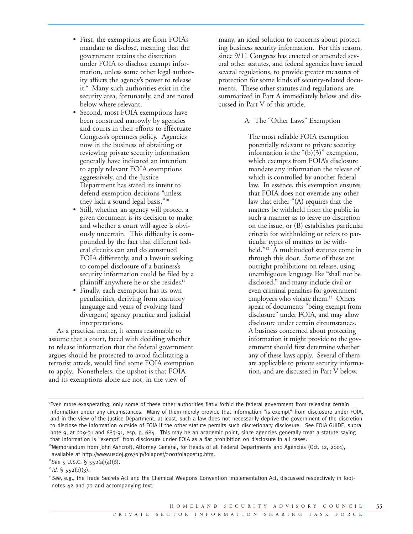- First, the exemptions are from FOIA's mandate to disclose, meaning that the government retains the discretion under FOIA to disclose exempt information, unless some other legal authority affects the agency's power to release it.9 Many such authorities exist in the security area, fortunately, and are noted below where relevant.
- Second, most FOIA exemptions have been construed narrowly by agencies and courts in their efforts to effectuate Congress's openness policy. Agencies now in the business of obtaining or reviewing private security information generally have indicated an intention to apply relevant FOIA exemptions aggressively, and the Justice Department has stated its intent to defend exemption decisions "unless they lack a sound legal basis."10
- Still, whether an agency will protect a given document is its decision to make, and whether a court will agree is obviously uncertain. This difficulty is compounded by the fact that different federal circuits can and do construed FOIA differently, and a lawsuit seeking to compel disclosure of a business's security information could be filed by a plaintiff anywhere he or she resides.<sup>11</sup>
- Finally, each exemption has its own peculiarities, deriving from statutory language and years of evolving (and divergent) agency practice and judicial interpretations.

As a practical matter, it seems reasonable to assume that a court, faced with deciding whether to release information that the federal government argues should be protected to avoid facilitating a terrorist attack, would find some FOIA exemption to apply. Nonetheless, the upshot is that FOIA and its exemptions alone are not, in the view of

many, an ideal solution to concerns about protecting business security information. For this reason, since 9/11 Congress has enacted or amended several other statutes, and federal agencies have issued several regulations, to provide greater measures of protection for some kinds of security-related documents. These other statutes and regulations are summarized in Part A immediately below and discussed in Part V of this article.

### A. The "Other Laws" Exemption

The most reliable FOIA exemption potentially relevant to private security information is the " $(b)(3)$ " exemption, which exempts from FOIA's disclosure mandate any information the release of which is controlled by another federal law. In essence, this exemption ensures that FOIA does not override any other law that either "(A) requires that the matters be withheld from the public in such a manner as to leave no discretion on the issue, or (B) establishes particular criteria for withholding or refers to particular types of matters to be withheld."12 A multitudeof statutes come in through this door. Some of these are outright prohibitions on release, using unambiguous language like "shall not be disclosed," and many include civil or even criminal penalties for government employees who violate them.<sup>13</sup> Others speak of documents "being exempt from disclosure" under FOIA, and may allow disclosure under certain circumstances. A business concerned about protecting information it might provide to the government should first determine whether any of these laws apply. Several of them are applicable to private security information, and are discussed in Part V below.

<sup>9</sup> Even more exasperating, only some of these other authorities flatly forbid the federal government from releasing certain information under any circumstances. Many of them merely provide that information "is exempt" from disclosure under FOIA, and in the view of the Justice Department, at least, such a law does not necessarily deprive the government of the discretion to disclose the information outside of FOIA if the other statute permits such discretionary disclosure. See FOIA GUIDE, supra note 9, at 229-31 and 683-91, esp. p. 684. This may be an academic point, since agencies generally treat a statute saying that information is "exempt" from disclosure under FOIA as a flat prohibition on disclosure in all cases.

<sup>&</sup>lt;sup>10</sup>Memorandum from John Ashcroft, Attorney General, for Heads of all Federal Departments and Agencies (Oct. 12, 2001), available at http://www.usdoj.gov/oip/foiapost/2001foiapost19.htm.

 $11$ See 5 U.S.C. § 552(a)(4)(B).

 $12$ Id. § 552(b)(3).

<sup>&</sup>lt;sup>13</sup>See, e.g., the Trade Secrets Act and the Chemical Weapons Convention Implementation Act, discussed respectively in footnotes 42 and 72 and accompanying text.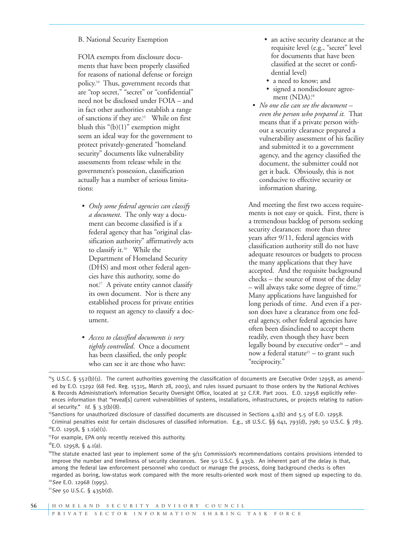#### B. National Security Exemption

FOIA exempts from disclosure documents that have been properly classified for reasons of national defense or foreign policy.14 Thus, government records that are "top secret," "secret" or "confidential" need not be disclosed under FOIA – and in fact other authorities establish a range of sanctions if they are.<sup>15</sup> While on first blush this " $(b)(1)$ " exemption might seem an ideal way for the government to protect privately-generated "homeland security" documents like vulnerability assessments from release while in the government's possession, classification actually has a number of serious limitations:

- *Only some federal agencies can classify a document*. The only way a document can become classified is if a federal agency that has "original classification authority" affirmatively acts to classify it.16 While the Department of Homeland Security (DHS) and most other federal agencies have this authority, some do not. <sup>17</sup> A private entity cannot classify its own document. Nor is there any established process for private entities to request an agency to classify a document.
- *Access to classified documents is very tightly controlled*. Once a document has been classified, the only people who can see it are those who have:
- an active security clearance at the requisite level (e.g., "secret" level for documents that have been classified at the secret or confidential level)
	- a need to know; and
- signed a nondisclosure agreement (NDA).<sup>18</sup>
- *No one else can see the document – even the person who prepared it.* That means that if a private person without a security clearance prepared a vulnerability assessment of his facility and submitted it to a government agency, and the agency classified the document, the submitter could not get it back. Obviously, this is not conducive to effective security or information sharing.

And meeting the first two access requirements is not easy or quick. First, there is a tremendous backlog of persons seeking security clearances: more than three years after 9/11, federal agencies with classification authority still do not have adequate resources or budgets to process the many applications that they have accepted. And the requisite background checks – the source of most of the delay – will always take some degree of time. 19 Many applications have languished for long periods of time. And even if a person does have a clearance from one federal agency, other federal agencies have often been disinclined to accept them readily, even though they have been legally bound by executive order $20 -$  and now a federal statute<sup>21</sup> – to grant such "reciprocity."

 $^{14}$ 5 U.S.C. § 552(b)(1). The current authorities governing the classification of documents are Executive Order 12958, as amended by E.O. 13292 (68 Fed. Reg. 15315, March 28, 2003), and rules issued pursuant to those orders by the National Archives & Records Administration's Information Security Oversight Office, located at 32 C.F.R. Part 2001. E.O. 12958 explicitly references information that "reveal[s] current vulnerabilities of systems, installations, infrastructures, or projects relating to national security."  $Id. \S$  3.3(b)(8).

<sup>19</sup>The statute enacted last year to implement some of the  $q/11$  Commission's recommendations contains provisions intended to improve the number and timeliness of security clearances. See 50 U.S.C. § 435b. An inherent part of the delay is that, among the federal law enforcement personnel who conduct or manage the process, doing background checks is often regarded as boring, low-status work compared with the more results-oriented work most of them signed up expecting to do. <sup>20</sup>See E.O. 12968 (1995).

**56**

 $2^{21}$ See 50 U.S.C. § 435b(d).

<sup>&</sup>lt;sup>15</sup>Sanctions for unauthorized disclosure of classified documents are discussed in Sections 4.1(b) and 5.5 of E.O. 12958. Criminal penalties exist for certain disclosures of classified information. E.g., 18 U.S.C. §§ 641, 793(d), 798; 50 U.S.C. § 783.

 $^{16}$ E.O. 12958, § 1.1(a)(1).

<sup>&</sup>lt;sup>17</sup>For example, EPA only recently received this authority.

 $^{18}$ E.O. 12958, § 4.1(a).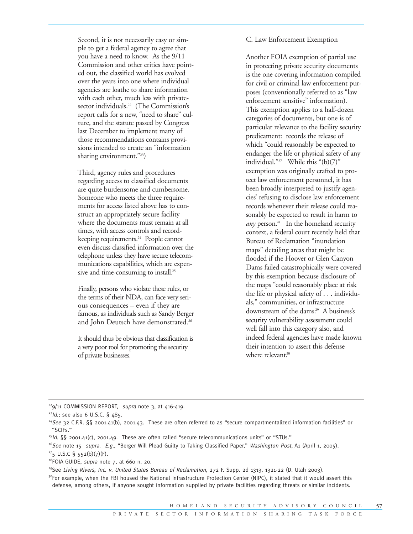Second, it is not necessarily easy or simple to get a federal agency to agree that you have a need to know. As the 9/11 Commission and other critics have pointed out, the classified world has evolved over the years into one where individual agencies are loathe to share information with each other, much less with privatesector individuals.<sup>22</sup> (The Commission's report calls for a new, "need to share" culture, and the statute passed by Congress last December to implement many of those recommendations contains provisions intended to create an "information sharing environment."23 )

Third, agency rules and procedures regarding access to classified documents are quite burdensome and cumbersome. Someone who meets the three requirements for access listed above has to construct an appropriately secure facility where the documents must remain at all times, with access controls and recordkeeping requirements.<sup>24</sup> People cannot even discuss classified information over the telephone unless they have secure telecommunications capabilities, which are expensive and time-consuming to install.<sup>25</sup>

Finally, persons who violate these rules, or the terms of their NDA, can face very serious consequences – even if they are famous, as individuals such as Sandy Berger and John Deutsch have demonstrated.<sup>26</sup>

It should thus be obvious that classification is a very poor tool for promoting the security of private businesses.

### C. Law Enforcement Exemption

Another FOIA exemption of partial use in protecting private security documents is the one covering information compiled for civil or criminal law enforcement purposes (conventionally referred to as "law enforcement sensitive" information). This exemption applies to a half-dozen categories of documents, but one is of particular relevance to the facility security predicament: records the release of which "could reasonably be expected to endanger the life or physical safety of any individual."27 While this "(b)(7)" exemption was originally crafted to protect law enforcement personnel, it has been broadly interpreted to justify agencies' refusing to disclose law enforcement records whenever their release could reasonably be expected to result in harm to *any* person. <sup>28</sup> In the homeland security context, a federal court recently held that Bureau of Reclamation "inundation maps" detailing areas that might be flooded if the Hoover or Glen Canyon Dams failed catastrophically were covered by this exemption because disclosure of the maps "could reasonably place at risk the life or physical safety of . . . individuals," communities, or infrastructure downstream of the dams. <sup>29</sup> A business's security vulnerability assessment could well fall into this category also, and indeed federal agencies have made known their intention to assert this defense where relevant.<sup>30</sup>

 $^{25}$ Id. §§ 2001.41(c), 2001.49. These are often called "secure telecommunications units" or "STUs."

<sup>26</sup>See note 15 supra. E.g., "Berger Will Plead Guilty to Taking Classified Paper," Washington Post, A1 (April 1, 2005).

<sup>30</sup>For example, when the FBI housed the National Infrastructure Protection Center (NIPC), it stated that it would assert this defense, among others, if anyone sought information supplied by private facilities regarding threats or similar incidents.

 $22$ 9/11 COMMISSION REPORT, supra note 3, at 416-419.

 $231d$ .; see also 6 U.S.C. § 485.

 $24$ See 32 C.F.R. §§ 2001.41(b), 2001.43. These are often referred to as "secure compartmentalized information facilities" or "SCIFs."

 $275$  U.S.C § 552(b)(7)(F).

 $28$ FOIA GUIDE, supra note 7, at 660 n. 20.

<sup>&</sup>lt;sup>29</sup>See Living Rivers, Inc. v. United States Bureau of Reclamation, 272 F. Supp. 2d 1313, 1321-22 (D. Utah 2003).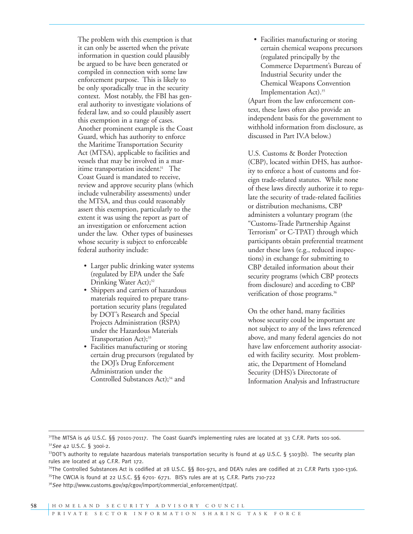The problem with this exemption is that it can only be asserted when the private information in question could plausibly be argued to be have been generated or compiled in connection with some law enforcement purpose. This is likely to be only sporadically true in the security context. Most notably, the FBI has general authority to investigate violations of federal law, and so could plausibly assert this exemption in a range of cases. Another prominent example is the Coast Guard, which has authority to enforce the Maritime Transportation Security Act (MTSA), applicable to facilities and vessels that may be involved in a maritime transportation incident.<sup>31</sup> The Coast Guard is mandated to receive, review and approve security plans (which include vulnerability assessments) under the MTSA, and thus could reasonably assert this exemption, particularly to the extent it was using the report as part of an investigation or enforcement action under the law. Other types of businesses whose security is subject to enforceable federal authority include:

- Larger public drinking water systems (regulated by EPA under the Safe Drinking Water Act);<sup>32</sup>
- Shippers and carriers of hazardous materials required to prepare transportation security plans (regulated by DOT's Research and Special Projects Administration (RSPA) under the Hazardous Materials Transportation Act);<sup>33</sup>
- Facilities manufacturing or storing certain drug precursors (regulated by the DOJ's Drug Enforcement Administration under the Controlled Substances Act);<sup>34</sup> and

• Facilities manufacturing or storing certain chemical weapons precursors (regulated principally by the Commerce Department's Bureau of Industrial Security under the Chemical Weapons Convention Implementation Act).35

(Apart from the law enforcement context, these laws often also provide an independent basis for the government to withhold information from disclosure, as discussed in Part IV.A below.)

U.S. Customs & Border Protection (CBP), located within DHS, has authority to enforce a host of customs and foreign trade-related statutes. While none of these laws directly authorize it to regulate the security of trade-related facilities or distribution mechanisms, CBP administers a voluntary program (the "Customs-Trade Partnership Against Terrorism" or C-TPAT) through which participants obtain preferential treatment under these laws (e.g., reduced inspections) in exchange for submitting to CBP detailed information about their security programs (which CBP protects from disclosure) and acceding to CBP verification of those programs.<sup>36</sup>

On the other hand, many facilities whose security could be important are not subject to any of the laws referenced above, and many federal agencies do not have law enforcement authority associated with facility security. Most problematic, the Department of Homeland Security (DHS)'s Directorate of Information Analysis and Infrastructure

<sup>&</sup>lt;sup>31</sup>The MTSA is 46 U.S.C. §§ 70101-70117. The Coast Guard's implementing rules are located at 33 C.F.R. Parts 101-106. <sup>32</sup>See 42 U.S.C. § 300i-2.

<sup>33</sup>DOT's authority to regulate hazardous materials transportation security is found at 49 U.S.C. § 5103(b). The security plan rules are located at 49 C.F.R. Part 172.

<sup>34</sup>The Controlled Substances Act is codified at 28 U.S.C. §§ 801-971, and DEA's rules are codified at 21 C.F.R Parts 1300-1316. 35The CWCIA is found at 22 U.S.C. §§ 6701- 6771. BIS's rules are at 15 C.F.R. Parts 710-722

<sup>&</sup>lt;sup>36</sup>See http://www.customs.gov/xp/cgov/import/commercial\_enforcement/ctpat/.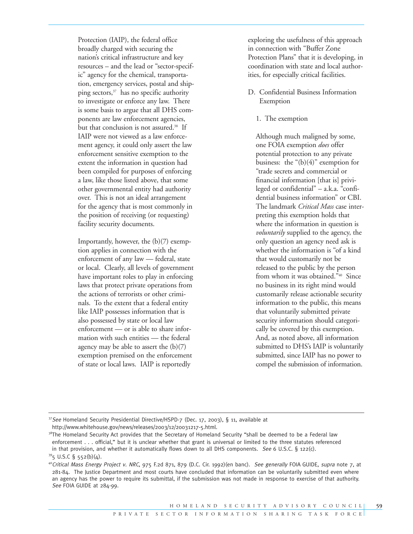Protection (IAIP), the federal office broadly charged with securing the nation's critical infrastructure and key resources – and the lead or "sector-specific" agency for the chemical, transportation, emergency services, postal and shipping sectors, $37$  has no specific authority to investigate or enforce any law. There is some basis to argue that all DHS components are law enforcement agencies, but that conclusion is not assured.<sup>38</sup> If IAIP were not viewed as a law enforcement agency, it could only assert the law enforcement sensitive exemption to the extent the information in question had been compiled for purposes of enforcing a law, like those listed above, that some other governmental entity had authority over. This is not an ideal arrangement for the agency that is most commonly in the position of receiving (or requesting) facility security documents.

Importantly, however, the (b)(7) exemption applies in connection with the enforcement of any law — federal, state or local. Clearly, all levels of government have important roles to play in enforcing laws that protect private operations from the actions of terrorists or other criminals. To the extent that a federal entity like IAIP possesses information that is also possessed by state or local law enforcement — or is able to share information with such entities — the federal agency may be able to assert the  $(b)(7)$ exemption premised on the enforcement of state or local laws. IAIP is reportedly

exploring the usefulness of this approach in connection with "Buffer Zone Protection Plans" that it is developing, in coordination with state and local authorities, for especially critical facilities.

- D. Confidential Business Information Exemption
	- 1. The exemption

Although much maligned by some, one FOIA exemption *does* offer potential protection to any private business: the " $(b)(4)$ " exemption for "trade secrets and commercial or financial information [that is] privileged or confidential" – a.k.a. "confidential business information" or CBI. The landmark *Critical Mass* case interpreting this exemption holds that where the information in question is *voluntarily* supplied to the agency, the only question an agency need ask is whether the information is "of a kind that would customarily not be released to the public by the person from whom it was obtained."<sup>40</sup> Since no business in its right mind would customarily release actionable security information to the public, this means that voluntarily submitted private security information should categorically be covered by this exemption. And, as noted above, all information submitted to DHS's IAIP is voluntarily submitted, since IAIP has no power to compel the submission of information.

<sup>&</sup>lt;sup>37</sup>See Homeland Security Presidential Directive/HSPD-7 (Dec. 17, 2003), § 11, available at http://www.whitehouse.gov/news/releases/2003/12/20031217-5.html.

<sup>&</sup>lt;sup>38</sup>The Homeland Security Act provides that the Secretary of Homeland Security "shall be deemed to be a Federal law enforcement . . . official," but it is unclear whether that grant is universal or limited to the three statutes referenced in that provision, and whether it automatically flows down to all DHS components. See 6 U.S.C. § 122(c).  $395$  U.S.C § 552(b)(4).

<sup>&</sup>lt;sup>40</sup>Critical Mass Energy Project v. NRC, 975 F.2d 871, 879 (D.C. Cir. 1992)(en banc). See generally FOIA GUIDE, supra note 7, at 281-84. The Justice Department and most courts have concluded that information can be voluntarily submitted even where an agency has the power to require its submittal, if the submission was not made in response to exercise of that authority. See FOIA GUIDE at 284-99.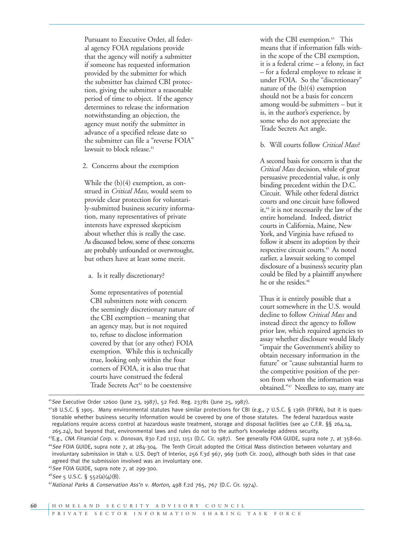Pursuant to Executive Order, all federal agency FOIA regulations provide that the agency will notify a submitter if someone has requested information provided by the submitter for which the submitter has claimed CBI protection, giving the submitter a reasonable period of time to object. If the agency determines to release the information notwithstanding an objection, the agency must notify the submitter in advance of a specified release date so the submitter can file a "reverse FOIA" lawsuit to block release.<sup>41</sup>

2. Concerns about the exemption

While the  $(b)(4)$  exemption, as construed in *Critical Mass*, would seem to provide clear protection for voluntarily-submitted business security information, many representatives of private interests have expressed skepticism about whether this is really the case. As discussed below, some of these concerns are probably unfounded or overwrought, but others have at least some merit.

a. Is it really discretionary?

Some representatives of potential CBI submitters note with concern the seemingly discretionary nature of the CBI exemption – meaning that an agency may, but is not required to, refuse to disclose information covered by that (or any other) FOIA exemption. While this is technically true, looking only within the four corners of FOIA, it is also true that courts have construed the federal Trade Secrets Act<sup>42</sup> to be coextensive

with the CBI exemption.<sup>43</sup> This means that if information falls within the scope of the CBI exemption, it is a federal crime – a felony, in fact – for a federal employee to release it under FOIA. So the "discretionary" nature of the (b)(4) exemption should not be a basis for concern among would-be submitters – but it is, in the author's experience, by some who do not appreciate the Trade Secrets Act angle.

### b. Will courts follow *Critical Mass*?

A second basis for concern is that the *Critical Mass* decision, while of great persuasive precedential value, is only binding precedent within the D.C. Circuit. While other federal district courts and one circuit have followed it,<sup>44</sup> it is not necessarily the law of the entire homeland. Indeed, district courts in California, Maine, New York, and Virginia have refused to follow it absent its adoption by their respective circuit courts.45 As noted earlier, a lawsuit seeking to compel disclosure of a business's security plan could be filed by a plaintiff anywhere he or she resides.<sup>46</sup>

Thus it is entirely possible that a court somewhere in the U.S. would decline to follow *Critical Mass* and instead direct the agency to follow prior law, which required agencies to assay whether disclosure would likely "impair the Government's ability to obtain necessary information in the future" or "cause substantial harm to the competitive position of the person from whom the information was obtained."47 Needless to say, many are

**60**

<sup>41</sup>See Executive Order 12600 (June 23, 1987), 52 Fed. Reg. 23781 (June 25, 1987).

 $4218$  U.S.C. § 1905. Many environmental statutes have similar protections for CBI (e.g., 7 U.S.C. § 136h (FIFRA), but it is questionable whether business security information would be covered by one of those statutes. The federal hazardous waste regulations require access control at hazardous waste treatment, storage and disposal facilities (see 40 C.F.R. §§ 264.14, 265.24), but beyond that, environmental laws and rules do not to the author's knowledge address security.

 $^{43}$ E.g., CNA Financial Corp. v. Donovan, 830 F.2d 1132, 1151 (D.C. Cir. 1987). See generally FOIA GUIDE, supra note 7, at 358-60.  $44$ See FOIA GUIDE, supra note 7, at 284-304. The Tenth Circuit adopted the Critical Mass distinction between voluntary and involuntary submission in Utah v. U.S. Dep't of Interior, 256 F.3d 967, 969 (10th Cir. 2001), although both sides in that case agreed that the submission involved was an involuntary one.

 $45$  See FOIA GUIDE, supra note 7, at 299-300.

 $46$ See 5 U.S.C. § 552(a)(4)(B).

 $47$ National Parks & Conservation Ass'n v. Morton, 498 F.2d 765, 767 (D.C. Cir. 1974).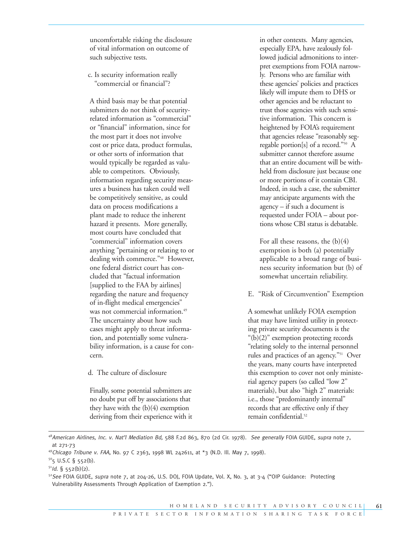uncomfortable risking the disclosure of vital information on outcome of such subjective tests.

c. Is security information really "commercial or financial"?

A third basis may be that potential submitters do not think of securityrelated information as "commercial" or "financial" information, since for the most part it does not involve cost or price data, product formulas, or other sorts of information that would typically be regarded as valuable to competitors. Obviously, information regarding security measures a business has taken could well be competitively sensitive, as could data on process modifications a plant made to reduce the inherent hazard it presents. More generally, most courts have concluded that "commercial" information covers anything "pertaining or relating to or dealing with commerce."48 However, one federal district court has concluded that "factual information [supplied to the FAA by airlines] regarding the nature and frequency of in-flight medical emergencies" was not commercial information.<sup>49</sup> The uncertainty about how such cases might apply to threat information, and potentially some vulnerability information, is a cause for concern.

d. The culture of disclosure

Finally, some potential submitters are no doubt put off by associations that they have with the (b)(4) exemption deriving from their experience with it in other contexts. Many agencies, especially EPA, have zealously followed judicial admonitions to interpret exemptions from FOIA narrowly. Persons who are familiar with these agencies' policies and practices likely will impute them to DHS or other agencies and be reluctant to trust those agencies with such sensitive information. This concern is heightened by FOIA's requirement that agencies release "reasonably segregable portion[s] of a record."50 A submitter cannot therefore assume that an entire document will be withheld from disclosure just because one or more portions of it contain CBI. Indeed, in such a case, the submitter may anticipate arguments with the agency – if such a document is requested under FOIA – about portions whose CBI status is debatable.

For all these reasons, the  $(b)(4)$ exemption is both (a) potentially applicable to a broad range of business security information but (b) of somewhat uncertain reliability.

E. "Risk of Circumvention" Exemption

A somewhat unlikely FOIA exemption that may have limited utility in protecting private security documents is the "(b)(2)" exemption protecting records "relating solely to the internal personnel rules and practices of an agency."51 Over the years, many courts have interpreted this exemption to cover not only ministerial agency papers (so called "low 2" materials), but also "high 2" materials: i.e., those "predominantly internal" records that are effective only if they remain confidential.<sup>52</sup>

<sup>48</sup> American Airlines, Inc. v. Nat'l Mediation Bd, 588 F.2d 863, 870 (2d Cir. 1978). See generally FOIA GUIDE, supra note 7, at 271-73

<sup>49</sup> Chicago Tribune v. FAA, No. 97 C 2363, 1998 WL 242611, at \*3 (N.D. Ill. May 7, 1998).

 $505$  U.S.C § 552(b).

 $51/1d.$  § 552(b)(2).

<sup>&</sup>lt;sup>52</sup>See FOIA GUIDE, supra note 7, at 204-26, U.S. DOJ, FOIA Update, Vol. X, No. 3, at 3-4 ("OIP Guidance: Protecting Vulnerability Assessments Through Application of Exemption 2.").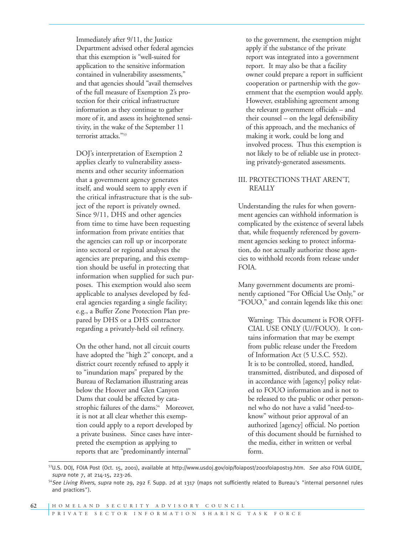Immediately after 9/11, the Justice Department advised other federal agencies that this exemption is "well-suited for application to the sensitive information contained in vulnerability assessments," and that agencies should "avail themselves of the full measure of Exemption 2's protection for their critical infrastructure information as they continue to gather more of it, and assess its heightened sensitivity, in the wake of the September 11 terrorist attacks."53

DOJ's interpretation of Exemption 2 applies clearly to vulnerability assessments and other security information that a government agency generates itself, and would seem to apply even if the critical infrastructure that is the subject of the report is privately owned. Since  $9/11$ , DHS and other agencies from time to time have been requesting information from private entities that the agencies can roll up or incorporate into sectoral or regional analyses the agencies are preparing, and this exemption should be useful in protecting that information when supplied for such purposes. This exemption would also seem applicable to analyses developed by federal agencies regarding a single facility; e.g., a Buffer Zone Protection Plan prepared by DHS or a DHS contractor regarding a privately-held oil refinery.

On the other hand, not all circuit courts have adopted the "high 2" concept, and a district court recently refused to apply it to "inundation maps" prepared by the Bureau of Reclamation illustrating areas below the Hoover and Glen Canyon Dams that could be affected by catastrophic failures of the dams.<sup>54</sup> Moreover, it is not at all clear whether this exemption could apply to a report developed by a private business. Since cases have interpreted the exemption as applying to reports that are "predominantly internal"

to the government, the exemption might apply if the substance of the private report was integrated into a government report. It may also be that a facility owner could prepare a report in sufficient cooperation or partnership with the government that the exemption would apply. However, establishing agreement among the relevant government officials – and their counsel – on the legal defensibility of this approach, and the mechanics of making it work, could be long and involved process. Thus this exemption is not likely to be of reliable use in protecting privately-generated assessments.

III. PROTECTIONS THAT AREN'T, REALLY

Understanding the rules for when government agencies can withhold information is complicated by the existence of several labels that, while frequently referenced by government agencies seeking to protect information, do not actually authorize those agencies to withhold records from release under FOIA.

Many government documents are prominently captioned "For Official Use Only," or "FOUO," and contain legends like this one:

Warning: This document is FOR OFFI-CIAL USE ONLY (U//FOUO). It contains information that may be exempt from public release under the Freedom of Information Act (5 U.S.C. 552). It is to be controlled, stored, handled, transmitted, distributed, and disposed of in accordance with [agency] policy related to FOUO information and is not to be released to the public or other personnel who do not have a valid "need-toknow" without prior approval of an authorized [agency] official. No portion of this document should be furnished to the media, either in written or verbal form.

53U.S. DOJ, FOIA Post (Oct. 15, 2001), available at http://www.usdoj.gov/oip/foiapost/2001foiapost19.htm. See also FOIA GUIDE, supra note 7, at 214-15, 223-26.

**62**

<sup>&</sup>lt;sup>54</sup>See Living Rivers, supra note 29, 292 F. Supp. 2d at 1317 (maps not sufficiently related to Bureau's "internal personnel rules and practices").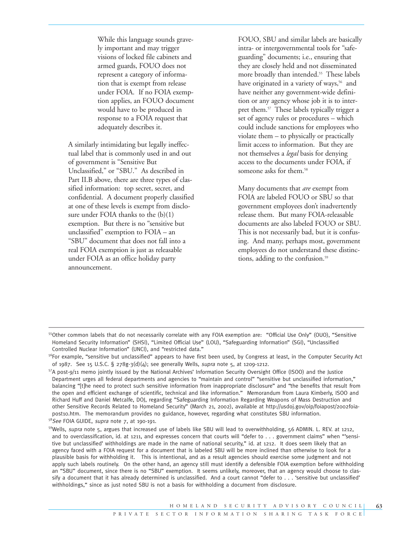While this language sounds gravely important and may trigger visions of locked file cabinets and armed guards, FOUO does not represent a category of information that is exempt from release under FOIA. If no FOIA exemption applies, an FOUO document would have to be produced in response to a FOIA request that adequately describes it.

A similarly intimidating but legally ineffectual label that is commonly used in and out of government is "Sensitive But Unclassified," or "SBU." As described in Part II.B above, there are three types of classified information: top secret, secret, and confidential. A document properly classified at one of these levels is exempt from disclosure under FOIA thanks to the  $(b)(1)$ exemption. But there is no "sensitive but unclassified" exemption to FOIA – an "SBU" document that does not fall into a real FOIA exemption is just as releasable under FOIA as an office holiday party announcement.

FOUO, SBU and similar labels are basically intra- or intergovernmental tools for "safeguarding" documents; i.e., ensuring that they are closely held and not disseminated more broadly than intended.<sup>55</sup> These labels have originated in a variety of ways,<sup>56</sup> and have neither any government-wide definition or any agency whose job it is to interpret them.<sup>57</sup> These labels typically trigger a set of agency rules or procedures – which could include sanctions for employees who violate them – to physically or practically limit access to information. But they are not themselves a *legal* basis for denying access to the documents under FOIA, if someone asks for them.<sup>58</sup>

Many documents that *are* exempt from FOIA are labeled FOUO or SBU so that government employees don't inadvertently release them. But many FOIA-releasable documents are also labeled FOUO or SBU. This is not necessarily bad, but it is confusing. And many, perhaps most, government employees do not understand these distinctions, adding to the confusion.<sup>59</sup>

58 See FOIA GUIDE, supra note 7, at 190-191.

<sup>59</sup>Wells, supra note 5, argues that increased use of labels like SBU will lead to overwithholding, 56 ADMIN. L. REV. at 1212, and to overclassification, id. at 1211, and expresses concern that courts will "defer to . . . government claims" when "'sensitive but unclassified' withholdings are made in the name of national security," id. at 1212. It does seem likely that an agency faced with a FOIA request for a document that is labeled SBU will be more inclined than otherwise to look for a plausible basis for withholding it. This is intentional, and as a result agencies should exercise some judgment and not apply such labels routinely. On the other hand, an agency still must identify a defensible FOIA exemption before withholding an "SBU" document, since there is no "SBU" exemption. It seems unlikely, moreover, that an agency would choose to classify a document that it has already determined is unclassified. And a court cannot "defer to . . . 'sensitive but unclassified' withholdings," since as just noted SBU is not a basis for withholding a document from disclosure.

<sup>&</sup>lt;sup>55</sup>Other common labels that do not necessarily correlate with any FOIA exemption are: "Official Use Only" (OUO), "Sensitive Homeland Security Information" (SHSI), "Limited Official Use" (LOU), "Safeguarding Information" (SGI), "Unclassified Controlled Nuclear Information" (UNCI), and "restricted data."

<sup>&</sup>lt;sup>56</sup>For example, "sensitive but unclassified" appears to have first been used, by Congress at least, in the Computer Security Act of 1987. See 15 U.S.C. § 278g-3(d)(4); see generally Wells, *supra* note 5, at 1209-1212.<br><sup>57</sup>A post-9/11 memo jointly issued by the National Archives' Information Security Oversight Office (ISOO) and the Justice

Department urges all federal departments and agencies to "maintain and control" "sensitive but unclassified information," balancing "[t]he need to protect such sensitive information from inappropriate disclosure" and "the benefits that result from the open and efficient exchange of scientific, technical and like information." Memorandum from Laura Kimberly, ISOO and Richard Huff and Daniel Metcalfe, DOJ, regarding "Safeguarding Information Regarding Weapons of Mass Destruction and other Sensitive Records Related to Homeland Security" (March 21, 2002), available at http://usdoj.gov/oip/foiapost/2002foiapost10.htm. The memorandum provides no guidance, however, regarding what constitutes SBU information.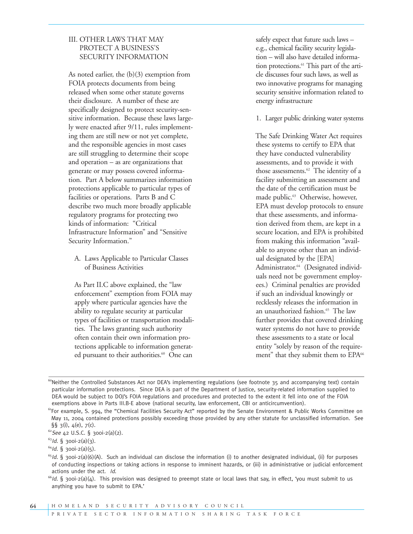### III. OTHER LAWS THAT MAY PROTECT A BUSINESS'S SECURITY INFORMATION

As noted earlier, the  $(b)(3)$  exemption from FOIA protects documents from being released when some other statute governs their disclosure. A number of these are specifically designed to protect security-sensitive information. Because these laws largely were enacted after 9/11, rules implementing them are still new or not yet complete, and the responsible agencies in most cases are still struggling to determine their scope and operation – as are organizations that generate or may possess covered information. Part A below summarizes information protections applicable to particular types of facilities or operations. Parts B and C describe two much more broadly applicable regulatory programs for protecting two kinds of information: "Critical Infrastructure Information" and "Sensitive Security Information."

A. Laws Applicable to Particular Classes of Business Activities

As Part II.C above explained, the "law enforcement" exemption from FOIA may apply where particular agencies have the ability to regulate security at particular types of facilities or transportation modalities. The laws granting such authority often contain their own information protections applicable to information generated pursuant to their authorities.<sup>60</sup> One can

safely expect that future such laws – e.g., chemical facility security legislation – will also have detailed information protections.<sup>61</sup> This part of the article discusses four such laws, as well as two innovative programs for managing security sensitive information related to energy infrastructure

1. Larger public drinking water systems

The Safe Drinking Water Act requires these systems to certify to EPA that they have conducted vulnerability assessments, and to provide it with those assessments.<sup>62</sup> The identity of a facility submitting an assessment and the date of the certification must be made public.<sup>63</sup> Otherwise, however, EPA must develop protocols to ensure that these assessments, and information derived from them, are kept in a secure location, and EPA is prohibited from making this information "available to anyone other than an individual designated by the [EPA] Administrator. <sup>64</sup> (Designated individuals need not be government employees.) Criminal penalties are provided if such an individual knowingly or recklessly releases the information in an unauthorized fashion.<sup>65</sup> The law further provides that covered drinking water systems do not have to provide these assessments to a state or local entity "solely by reason of the requirement" that they submit them to EPA<sup>66</sup>

<sup>&</sup>lt;sup>60</sup>Neither the Controlled Substances Act nor DEA's implementing regulations (see footnote 35 and accompanying text) contain particular information protections. Since DEA is part of the Department of Justice, security-related information supplied to DEA would be subject to DOJ's FOIA regulations and procedures and protected to the extent it fell into one of the FOIA exemptions above in Parts III.B-E above (national security, law enforcement, CBI or anticircumvention).

<sup>&</sup>lt;sup>61</sup>For example, S. 994, the "Chemical Facilities Security Act" reported by the Senate Environment & Public Works Committee on May 11, 2004 contained protections possibly exceeding those provided by any other statute for unclassified information. See §§  $3(i)$ ,  $4(e)$ ,  $7(c)$ .

 $62$  See 42 U.S.C. § 300i-2(a)(2).

 $63/1d.$  § 300i-2(a)(3).

 $64$ Id. § 300i-2(a)(5).

 $65$ Id. § 300i-2(a)(6)(A). Such an individual can disclose the information (i) to another designated individual, (ii) for purposes of conducting inspections or taking actions in response to imminent hazards, or (iii) in administrative or judicial enforcement actions under the act. Id.

 $66$ Id. § 300i-2(a)(4). This provision was designed to preempt state or local laws that say, in effect, 'you must submit to us anything you have to submit to EPA.'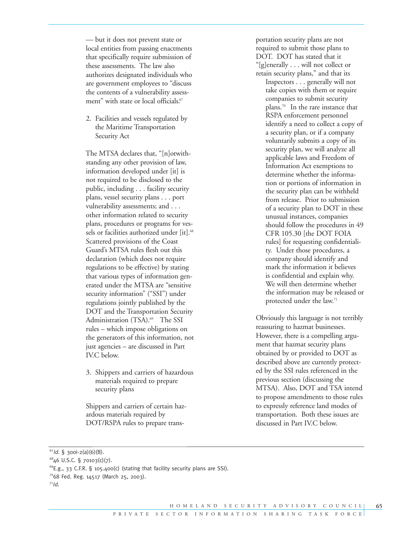— but it does not prevent state or local entities from passing enactments that specifically require submission of these assessments. The law also authorizes designated individuals who are government employees to "discuss the contents of a vulnerability assessment" with state or local officials.<sup>67</sup>

2. Facilities and vessels regulated by the Maritime Transportation Security Act

The MTSA declares that, "[n]otwithstanding any other provision of law, information developed under [it] is not required to be disclosed to the public, including . . . facility security plans, vessel security plans . . . port vulnerability assessments; and . . . other information related to security plans, procedures or programs for vessels or facilities authorized under [it].<sup>68</sup> Scattered provisions of the Coast Guard's MTSA rules flesh out this declaration (which does not require regulations to be effective) by stating that various types of information generated under the MTSA are "sensitive security information" ("SSI") under regulations jointly published by the DOT and the Transportation Security Administration (TSA).<sup>69</sup> The SSI rules – which impose obligations on the generators of this information, not just agencies – are discussed in Part IV.C below.

3. Shippers and carriers of hazardous materials required to prepare security plans

Shippers and carriers of certain hazardous materials required by DOT/RSPA rules to prepare transportation security plans are not required to submit those plans to DOT. DOT has stated that it "[g]enerally . . . will not collect or retain security plans," and that its

Inspectors . . . generally will not take copies with them or require companies to submit security plans.70 In the rare instance that RSPA enforcement personnel identify a need to collect a copy of a security plan, or if a company voluntarily submits a copy of its security plan, we will analyze all applicable laws and Freedom of Information Act exemptions to determine whether the information or portions of information in the security plan can be withheld from release. Prior to submission of a security plan to DOT in these unusual instances, companies should follow the procedures in 49 CFR 105.30 [the DOT FOIA rules] for requesting confidentiality. Under those procedures, a company should identify and mark the information it believes is confidential and explain why. We will then determine whether the information may be released or protected under the law. 71

Obviously this language is not terribly reassuring to hazmat businesses. However, there is a compelling argument that hazmat security plans obtained by or provided to DOT as described above are currently protected by the SSI rules referenced in the previous section (discussing the MTSA). Also, DOT and TSA intend to propose amendments to those rules to expressly reference land modes of transportation. Both these issues are discussed in Part IV.C below.

 $67$ Id. § 300i-2(a)(6)(B).

<sup>6846</sup> U.S.C. § 70103(c)(7).

<sup>&</sup>lt;sup>69</sup>E.g., 33 C.F.R. § 105.400(c) (stating that facility security plans are SSI).

<sup>7°68</sup> Fed. Reg. 14517 (March 25, 2003).

 $7^{1}$ Id.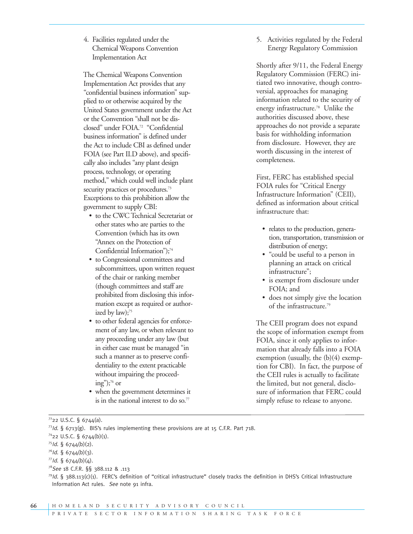4. Facilities regulated under the Chemical Weapons Convention Implementation Act

The Chemical Weapons Convention Implementation Act provides that any "confidential business information" supplied to or otherwise acquired by the United States government under the Act or the Convention "shall not be disclosed" under FOIA.72 "Confidential business information" is defined under the Act to include CBI as defined under FOIA (see Part II.D above), and specifically also includes "any plant design process, technology, or operating method," which could well include plant security practices or procedures.<sup>73</sup> Exceptions to this prohibition allow the government to supply CBI:

- to the CWC Technical Secretariat or other states who are parties to the Convention (which has its own "Annex on the Protection of Confidential Information");<sup>74</sup>
- to Congressional committees and subcommittees, upon written request of the chair or ranking member (though committees and staff are prohibited from disclosing this information except as required or authorized by law);<sup>75</sup>
- to other federal agencies for enforcement of any law, or when relevant to any proceeding under any law (but in either case must be managed "in such a manner as to preserve confidentiality to the extent practicable without impairing the proceeding"); $^{76}$  or
- when the government determines it is in the national interest to do so.<sup>77</sup>

5. Activities regulated by the Federal Energy Regulatory Commission

Shortly after 9/11, the Federal Energy Regulatory Commission (FERC) initiated two innovative, though controversial, approaches for managing information related to the security of energy infrastructure.78 Unlike the authorities discussed above, these approaches do not provide a separate basis for withholding information from disclosure. However, they are worth discussing in the interest of completeness.

First, FERC has established special FOIA rules for "Critical Energy Infrastructure Information" (CEII), defined as information about critical infrastructure that:

- relates to the production, generation, transportation, transmission or distribution of energy;
- "could be useful to a person in planning an attack on critical infrastructure";
- is exempt from disclosure under FOIA; and
- does not simply give the location of the infrastructure.79

The CEII program does not expand the scope of information exempt from FOIA, since it only applies to information that already falls into a FOIA exemption (usually, the  $(b)(4)$  exemption for CBI). In fact, the purpose of the CEII rules is actually to facilitate the limited, but not general, disclosure of information that FERC could simply refuse to release to anyone.

7422 U.S.C. § 6744(b)(1).

 $72$ 22 U.S.C. § 6744(a).

 $73$ Id. § 6713(g). BIS's rules implementing these provisions are at 15 C.F.R. Part 718.

 $75$ Id. § 6744(b)(2).

 $76$ Id. § 6744(b)(3).

 $77$ Id. § 6744(b)(4).

<sup>78</sup>See 18 C.F.R. §§ 388.112 & .113

 $^{79}$ Id. § 388.113(c)(1). FERC's definition of "critical infrastructure" closely tracks the definition in DHS's Critical Infrastructure Information Act rules. See note 91 infra.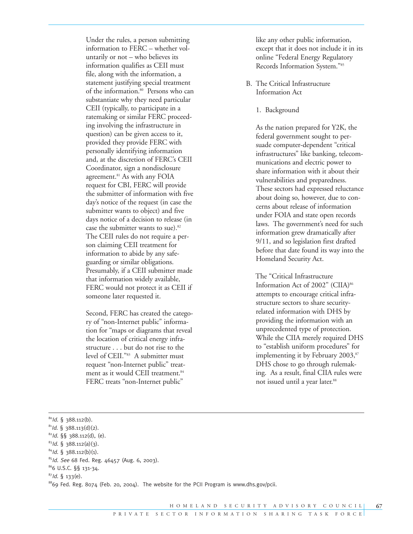Under the rules, a person submitting information to FERC – whether voluntarily or not – who believes its information qualifies as CEII must file, along with the information, a statement justifying special treatment of the information.<sup>80</sup> Persons who can substantiate why they need particular CEII (typically, to participate in a ratemaking or similar FERC proceeding involving the infrastructure in question) can be given access to it, provided they provide FERC with personally identifying information and, at the discretion of FERC's CEII Coordinator, sign a nondisclosure agreement.<sup>81</sup> As with any FOIA request for CBI, FERC will provide the submitter of information with five day's notice of the request (in case the submitter wants to object) and five days notice of a decision to release (in case the submitter wants to sue).<sup>82</sup> The CEII rules do not require a person claiming CEII treatment for information to abide by any safeguarding or similar obligations. Presumably, if a CEII submitter made that information widely available, FERC would not protect it as CEII if someone later requested it.

Second, FERC has created the category of "non-Internet public" information for "maps or diagrams that reveal the location of critical energy infrastructure . . . but do not rise to the level of CEII."83 A submitter must request "non-Internet public" treatment as it would CEII treatment.<sup>84</sup> FERC treats "non-Internet public"

like any other public information, except that it does not include it in its online "Federal Energy Regulatory Records Information System."85

- B. The Critical Infrastructure Information Act
	- 1. Background

As the nation prepared for Y2K, the federal government sought to persuade computer-dependent "critical infrastructures" like banking, telecommunications and electric power to share information with it about their vulnerabilities and preparedness. These sectors had expressed reluctance about doing so, however, due to concerns about release of information under FOIA and state open records laws. The government's need for such information grew dramatically after 9/11, and so legislation first drafted before that date found its way into the Homeland Security Act.

The "Critical Infrastructure Information Act of 2002" (CIIA)<sup>86</sup> attempts to encourage critical infrastructure sectors to share securityrelated information with DHS by providing the information with an unprecedented type of protection. While the CIIA merely required DHS to "establish uniform procedures" for implementing it by February 2003,<sup>87</sup> DHS chose to go through rulemaking. As a result, final CIIA rules were not issued until a year later. 88

 $80$ |d. § 388.112(b).

 $81/1d.$  § 388.113(d)(2).

 $82$ Id. §§ 388.112(d), (e).

 $831d. \S$  388.112(a)(3).

 $84$ Id. § 388.112(b)(1).

<sup>&</sup>lt;sup>85</sup>Id. See 68 Fed. Reg. 46457 (Aug. 6, 2003).

<sup>866</sup> U.S.C. §§ 131-34.

 $87$ Id. § 133(e).

<sup>&</sup>lt;sup>88</sup>69 Fed. Reg. 8074 (Feb. 20, 2004). The website for the PCII Program is www.dhs.gov/pcii.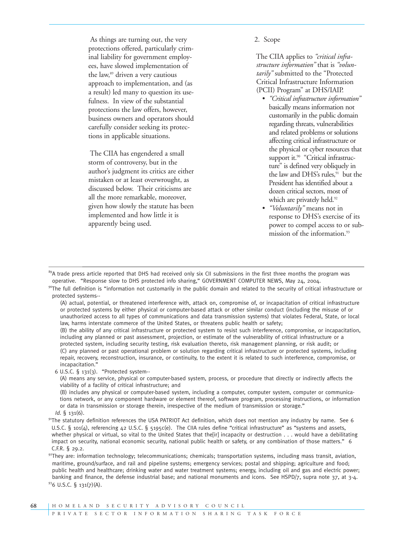As things are turning out, the very protections offered, particularly criminal liability for government employees, have slowed implementation of the law,<sup>89</sup> driven a very cautious approach to implementation, and (as a result) led many to question its usefulness. In view of the substantial protections the law offers, however, business owners and operators should carefully consider seeking its protections in applicable situations.

The CIIA has engendered a small storm of controversy, but in the author's judgment its critics are either mistaken or at least overwrought, as discussed below. Their criticisms are all the more remarkable, moreover, given how slowly the statute has been implemented and how little it is apparently being used.

2. Scope

The CIIA applies to *"critical infrastructure information"* that is *"voluntarily"* submitted to the "Protected Critical Infrastructure Information (PCII) Program" at DHS/IAIP.

- *"Critical infrastructure information"* basically means information not customarily in the public domain regarding threats, vulnerabilities and related problems or solutions affecting critical infrastructure or the physical or cyber resources that support it.<sup>90</sup> "Critical infrastructure" is defined very obliquely in the law and DHS's rules,<sup>91</sup> but the President has identified about a dozen critical sectors, most of which are privately held.<sup>92</sup>
- *"Voluntarily"* means not in response to DHS's exercise of its power to compel access to or submission of the information.<sup>93</sup>

<sup>89</sup>A trade press article reported that DHS had received only six CII submissions in the first three months the program was operative. "Response slow to DHS protected info sharing," GOVERNMENT COMPUTER NEWS, May 24, 2004.

6 U.S.C. § 131(3). "Protected system--

<sup>9°</sup>The full definition is "information not customarily in the public domain and related to the security of critical infrastructure or protected systems--

<sup>(</sup>A) actual, potential, or threatened interference with, attack on, compromise of, or incapacitation of critical infrastructure or protected systems by either physical or computer-based attack or other similar conduct (including the misuse of or unauthorized access to all types of communications and data transmission systems) that violates Federal, State, or local law, harms interstate commerce of the United States, or threatens public health or safety;

<sup>(</sup>B) the ability of any critical infrastructure or protected system to resist such interference, compromise, or incapacitation, including any planned or past assessment, projection, or estimate of the vulnerability of critical infrastructure or a protected system, including security testing, risk evaluation thereto, risk management planning, or risk audit; or (C) any planned or past operational problem or solution regarding critical infrastructure or protected systems, including repair, recovery, reconstruction, insurance, or continuity, to the extent it is related to such interference, compromise, or incapacitation."

<sup>(</sup>A) means any service, physical or computer-based system, process, or procedure that directly or indirectly affects the viability of a facility of critical infrastructure; and

<sup>(</sup>B) includes any physical or computer-based system, including a computer, computer system, computer or communications network, or any component hardware or element thereof, software program, processing instructions, or information or data in transmission or storage therein, irrespective of the medium of transmission or storage." Id. § 131(6).

 $91$ The statutory definition references the USA PATRIOT Act definition, which does not mention any industry by name. See 6 U.S.C. § 101(4), referencing 42 U.S.C. § 5195c(e). The CIIA rules define "critical infrastructure" as "systems and assets, whether physical or virtual, so vital to the United States that the[ir] incapacity or destruction . . . would have a debilitating impact on security, national economic security, national public health or safety, or any combination of those matters." 6 C.F.R. § 29.2.

 $92$ They are: information technology; telecommunications; chemicals; transportation systems, including mass transit, aviation, maritime, ground/surface, and rail and pipeline systems; emergency services; postal and shipping; agriculture and food; public health and healthcare; drinking water and water treatment systems; energy, including oil and gas and electric power; banking and finance, the defense industrial base; and national monuments and icons. See HSPD/7, supra note 37, at 3-4. 936 U.S.C. § 131(7)(A).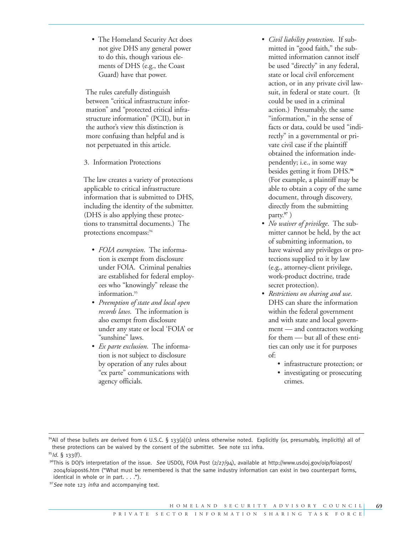• The Homeland Security Act does not give DHS any general power to do this, though various elements of DHS (e.g., the Coast Guard) have that power.

The rules carefully distinguish between "critical infrastructure information" and "protected critical infrastructure information" (PCII), but in the author's view this distinction is more confusing than helpful and is not perpetuated in this article.

3. Information Protections

The law creates a variety of protections applicable to critical infrastructure information that is submitted to DHS, including the identity of the submitter. (DHS is also applying these protections to transmittal documents.) The protections encompass:<sup>94</sup>

- *FOIA exemption*. The information is exempt from disclosure under FOIA. Criminal penalties are established for federal employees who "knowingly" release the information.<sup>95</sup>
- *Preemption of state and local open records laws*. The information is also exempt from disclosure under any state or local 'FOIA' or "sunshine" laws.
- *Ex parte exclusion*. The information is not subject to disclosure by operation of any rules about "ex parte" communications with agency officials.
- *Civil liability protection*. If submitted in "good faith," the submitted information cannot itself be used "directly" in any federal, state or local civil enforcement action, or in any private civil lawsuit, in federal or state court. (It could be used in a criminal action.) Presumably, the same "information," in the sense of facts or data, could be used "indirectly" in a governmental or private civil case if the plaintiff obtained the information independently; i.e., in some way besides getting it from DHS.**<sup>96</sup>** (For example, a plaintiff may be able to obtain a copy of the same document, through discovery, directly from the submitting party. **<sup>97</sup>** )
- *No waiver of privilege*. The submitter cannot be held, by the act of submitting information, to have waived any privileges or protections supplied to it by law (e.g., attorney-client privilege, work-product doctrine, trade secret protection).
- *Restrictions on sharing and use*. DHS can share the information within the federal government and with state and local government — and contractors working for them — but all of these entities can only use it for purposes of:
	- infrastructure protection; or
	- investigating or prosecuting crimes.

<sup>&</sup>lt;sup>94</sup>All of these bullets are derived from 6 U.S.C. § 133(a)(1) unless otherwise noted. Explicitly (or, presumably, implicitly) all of these protections can be waived by the consent of the submitter. See note 111 infra.

<sup>95</sup>Id. § 133(f).

<sup>&</sup>lt;sup>96</sup>This is DOJ's interpretation of the issue. See USDOJ, FOIA Post (2/27/94), available at http://www.usdoj.gov/oip/foiapost/ 2004foiapost6.htm ("What must be remembered is that the same industry information can exist in two counterpart forms, identical in whole or in part.  $\dots$ ").

<sup>97</sup> See note 123 infra and accompanying text.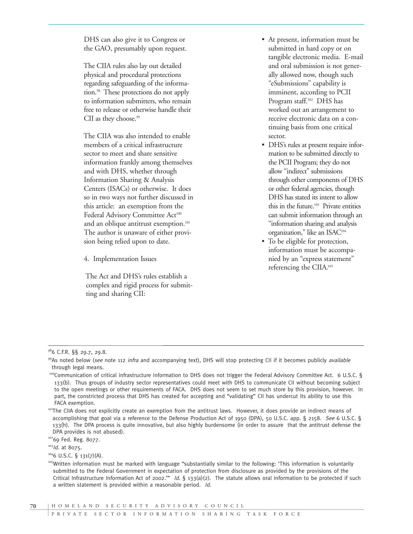DHS can also give it to Congress or the GAO, presumably upon request.

The CIIA rules also lay out detailed physical and procedural protections regarding safeguarding of the information.<sup>98</sup> These protections do not apply to information submitters, who remain free to release or otherwise handle their CII as they choose.<sup>99</sup>

The CIIA was also intended to enable members of a critical infrastructure sector to meet and share sensitive information frankly among themselves and with DHS, whether through Information Sharing & Analysis Centers (ISACs) or otherwise. It does so in two ways not further discussed in this article: an exemption from the Federal Advisory Committee Act<sup>100</sup> and an oblique antitrust exemption.<sup>101</sup> The author is unaware of either provision being relied upon to date.

4. Implementation Issues

The Act and DHS's rules establish a complex and rigid process for submitting and sharing CII:

- At present, information must be submitted in hard copy or on tangible electronic media. E-mail and oral submission is not generally allowed now, though such "eSubmissions" capability is imminent, according to PCII Program staff.<sup>102</sup> DHS has worked out an arrangement to receive electronic data on a continuing basis from one critical sector.
- DHS's rules at present require information to be submitted directly to the PCII Program; they do not allow "indirect" submissions through other components of DHS or other federal agencies, though DHS has stated its intent to allow this in the future.103 Private entities can submit information through an "information sharing and analysis organization," like an ISAC104
- To be eligible for protection, information must be accompanied by an "express statement" referencing the CIIA. 105

986 C.F.R. §§ 29.7, 29.8.

<sup>99</sup>As noted below (see note 112 infra and accompanying text), DHS will stop protecting CII if it becomes publicly available through legal means.

<sup>100</sup>Communication of critical infrastructure information to DHS does not trigger the Federal Advisory Committee Act. 6 U.S.C. § 133(b). Thus groups of industry sector representatives could meet with DHS to communicate CII without becoming subject to the open meetings or other requirements of FACA. DHS does not seem to set much store by this provision, however. In part, the constricted process that DHS has created for accepting and "validating" CII has undercut its ability to use this FACA exemption.

<sup>&</sup>lt;sup>101</sup>The CIIA does not explicitly create an exemption from the antitrust laws. However, it does provide an indirect means of accomplishing that goal via a reference to the Defense Production Act of 1950 (DPA), 50 U.S.C. app. § 2158. See 6 U.S.C. § 133(h). The DPA process is quite innovative, but also highly burdensome (in order to assure that the antitrust defense the DPA provides is not abused).

<sup>10269</sup> Fed. Reg. 8077.

<sup>&</sup>lt;sup>103</sup>*ld.* at 8075.

 $1046$  U.S.C. § 131(7)(A).

<sup>105</sup>Written information must be marked with language "substantially similar to the following: 'This information is voluntarily submitted to the Federal Government in expectation of protection from disclosure as provided by the provisions of the Critical Infrastructure Information Act of 2002." Id. § 133(a)(2). The statute allows oral information to be protected if such a written statement is provided within a reasonable period. Id.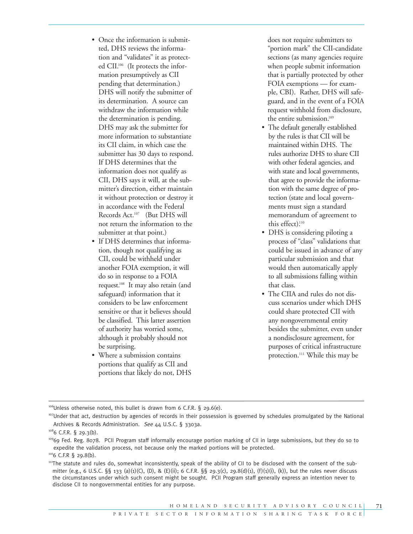- Once the information is submitted, DHS reviews the information and "validates" it as protected CII.106 (It protects the information presumptively as CII pending that determination.) DHS will notify the submitter of its determination. A source can withdraw the information while the determination is pending. DHS may ask the submitter for more information to substantiate its CII claim, in which case the submitter has 30 days to respond. If DHS determines that the information does not qualify as CII, DHS says it will, at the submitter's direction, either maintain it without protection or destroy it in accordance with the Federal Records Act.107 (But DHS will not return the information to the submitter at that point.)
- If DHS determines that information, though not qualifying as CII, could be withheld under another FOIA exemption, it will do so in response to a FOIA request.108 It may also retain (and safeguard) information that it considers to be law enforcement sensitive or that it believes should be classified. This latter assertion of authority has worried some, although it probably should not be surprising.
- Where a submission contains portions that qualify as CII and portions that likely do not, DHS

does not require submitters to "portion mark" the CII-candidate sections (as many agencies require when people submit information that is partially protected by other FOIA exemptions — for example, CBI). Rather, DHS will safeguard, and in the event of a FOIA request withhold from disclosure, the entire submission.<sup>109</sup>

- The default generally established by the rules is that CII will be maintained within DHS. The rules authorize DHS to share CII with other federal agencies, and with state and local governments, that agree to provide the information with the same degree of protection (state and local governments must sign a standard memorandum of agreement to this effect).<sup>110</sup>
- DHS is considering piloting a process of "class" validations that could be issued in advance of any particular submission and that would then automatically apply to all submissions falling within that class.
- The CIIA and rules do not discuss scenarios under which DHS could share protected CII with any nongovernmental entity besides the submitter, even under a nondisclosure agreement, for purposes of critical infrastructure protection.111 While this may be

<sup>106</sup>Unless otherwise noted, this bullet is drawn from 6 C.F.R. § 29.6(e).

<sup>&</sup>lt;sup>107</sup>Under that act, destruction by agencies of records in their possession is governed by schedules promulgated by the National Archives & Records Administration. See 44 U.S.C. § 3303a.

 $1086$  C.F.R. § 29.3(b).

<sup>&</sup>lt;sup>109</sup>69 Fed. Reg. 8078. PCII Program staff informally encourage portion marking of CII in large submissions, but they do so to expedite the validation process, not because only the marked portions will be protected.

<sup>1106</sup> C.F.R § 29.8(b).

<sup>111</sup>The statute and rules do, somewhat inconsistently, speak of the ability of CII to be disclosed with the consent of the submitter (e.g., 6 U.S.C. §§ 133 (a)(1)(C), (D), & (E)(ii); 6 C.F.R. §§ 29.3(c), 29.8(d)(1), (f)(1)(i), (k)), but the rules never discuss the circumstances under which such consent might be sought. PCII Program staff generally express an intention never to disclose CII to nongovernmental entities for any purpose.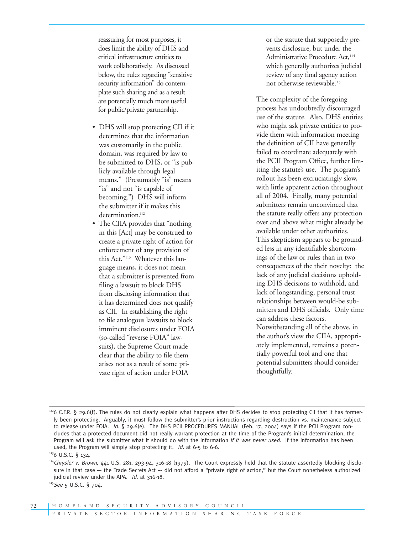reassuring for most purposes, it does limit the ability of DHS and critical infrastructure entities to work collaboratively. As discussed below, the rules regarding "sensitive security information" do contemplate such sharing and as a result are potentially much more useful for public/private partnership.

- DHS will stop protecting CII if it determines that the information was customarily in the public domain, was required by law to be submitted to DHS, or "is publicly available through legal means." (Presumably "is" means "is" and not "is capable of becoming.") DHS will inform the submitter if it makes this determination.<sup>112</sup>
- The CIIA provides that "nothing" in this [Act] may be construed to create a private right of action for enforcement of any provision of this Act."113 Whatever this language means, it does not mean that a submitter is prevented from filing a lawsuit to block DHS from disclosing information that it has determined does not qualify as CII. In establishing the right to file analogous lawsuits to block imminent disclosures under FOIA (so-called "reverse FOIA" lawsuits), the Supreme Court made clear that the ability to file them arises not as a result of some private right of action under FOIA

or the statute that supposedly prevents disclosure, but under the Administrative Procedure Act,<sup>114</sup> which generally authorizes judicial review of any final agency action not otherwise reviewable.<sup>115</sup>

The complexity of the foregoing process has undoubtedly discouraged use of the statute. Also, DHS entities who might ask private entities to provide them with information meeting the definition of CII have generally failed to coordinate adequately with the PCII Program Office, further limiting the statute's use. The program's rollout has been excruciatingly slow, with little apparent action throughout all of 2004. Finally, many potential submitters remain unconvinced that the statute really offers any protection over and above what might already be available under other authorities. This skepticism appears to be grounded less in any identifiable shortcomings of the law or rules than in two consequences of the their novelty: the lack of any judicial decisions upholding DHS decisions to withhold, and lack of longstanding, personal trust relationships between would-be submitters and DHS officials. Only time can address these factors. Notwithstanding all of the above, in the author's view the CIIA, appropriately implemented, remains a potentially powerful tool and one that potential submitters should consider thoughtfully.

<sup>1126</sup> C.F.R. § 29.6(f). The rules do not clearly explain what happens after DHS decides to stop protecting CII that it has formerly been protecting. Arguably, it must follow the submitter's prior instructions regarding destruction vs. maintenance subject to release under FOIA. Id. § 29.6(e). The DHS PCII PROCEDURES MANUAL (Feb. 17, 2004) says if the PCII Program concludes that a protected document did not really warrant protection at the time of the Program's initial determination, the Program will ask the submitter what it should do with the information if it was never used. If the information has been used, the Program will simply stop protecting it. Id. at 6-5 to 6-6.

<sup>1136</sup> U.S.C. § 134.

 $114$ Chrysler v. Brown, 441 U.S. 281, 293-94, 316-18 (1979). The Court expressly held that the statute assertedly blocking disclosure in that case –- the Trade Secrets Act –- did not afford a "private right of action," but the Court nonetheless authorized judicial review under the APA. Id. at 316-18.

<sup>115</sup> See 5 U.S.C. § 704.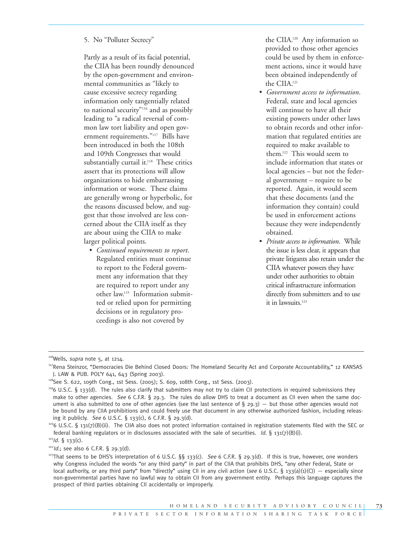### 5. No "Polluter Secrecy"

Partly as a result of its facial potential, the CIIA has been roundly denounced by the open-government and environmental communities as "likely to cause excessive secrecy regarding information only tangentially related to national security"116 and as possibly leading to "a radical reversal of common law tort liability and open government requirements."117 Bills have been introduced in both the 108th and 109th Congresses that would substantially curtail it.<sup>118</sup> These critics assert that its protections will allow organizations to hide embarrassing information or worse. These claims are generally wrong or hyperbolic, for the reasons discussed below, and suggest that those involved are less concerned about the CIIA itself as they are about using the CIIA to make larger political points.

• *Continued requirements to report*. Regulated entities must continue to report to the Federal government any information that they are required to report under any other law. <sup>119</sup> Information submitted or relied upon for permitting decisions or in regulatory proceedings is also not covered by

the CIIA.120 Any information so provided to those other agencies could be used by them in enforcement actions, since it would have been obtained independently of the CIIA.121

- *Government access to information*. Federal, state and local agencies will continue to have all their existing powers under other laws to obtain records and other information that regulated entities are required to make available to them.122 This would seem to include information that states or local agencies – but not the federal government – require to be reported. Again, it would seem that these documents (and the information they contain) could be used in enforcement actions because they were independently obtained.
- *Private access to information*. While the issue is less clear, it appears that private litigants also retain under the CIIA whatever powers they have under other authorities to obtain critical infrastructure information directly from submitters and to use it in lawsuits.<sup>123</sup>

 $116$  Wells, *supra* note 5, at 1214.

<sup>&</sup>lt;sup>117</sup>Rena Steinzor, "Democracies Die Behind Closed Doors: The Homeland Security Act and Corporate Accountability," 12 KANSAS J. LAW & PUB. POL'Y 641, 643 (Spring 2003).

<sup>118</sup> See S. 622, 109th Cong., 1st Sess. (2005); S. 609, 108th Cong., 1st Sess. (2003).

 $1196$  U.S.C. § 133(d). The rules also clarify that submitters may not try to claim CII protections in required submissions they make to other agencies. See 6 C.F.R. § 29.3. The rules do allow DHS to treat a document as CII even when the same document is also submitted to one of other agencies (see the last sentence of  $\S$  29.3) — but those other agencies would not be bound by any CIIA prohibitions and could freely use that document in any otherwise authorized fashion, including releasing it publicly. See 6 U.S.C. § 133(c), 6 C.F.R. § 29.3(d).

 $1206$  U.S.C. § 131(7)(B)(ii). The CIIA also does not protect information contained in registration statements filed with the SEC or federal banking regulators or in disclosures associated with the sale of securities. Id. § 131(7)(B)(i).

 $121/d. \S$  133(c).<br> $122/d.$ ; see also 6 C.F.R. § 29.3(d).

<sup>&</sup>lt;sup>123</sup>That seems to be DHS's interpretation of 6 U.S.C. §§ 133(c). See 6 C.F.R. § 29.3(d). If this is true, however, one wonders why Congress included the words "or any third party" in part of the CIIA that prohibits DHS, "any other Federal, State or local authority, or any third party" from "directly" using CII in any civil action (see 6 U.S.C. § 133(a)(1)(C)) — especially since non-governmental parties have no lawful way to obtain CII from any government entity. Perhaps this language captures the prospect of third parties obtaining CII accidentally or improperly.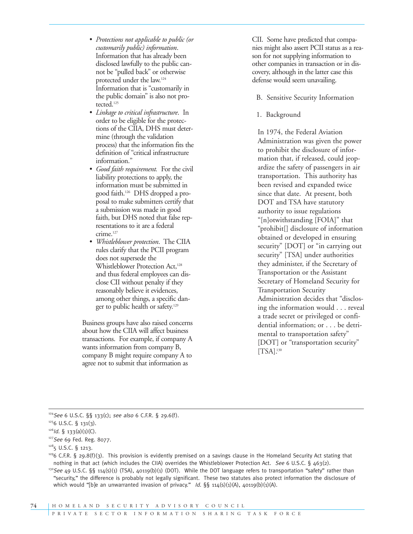- *Protections not applicable to public (or customarily public) information*. Information that has already been disclosed lawfully to the public cannot be "pulled back" or otherwise protected under the law.124 Information that is "customarily in the public domain" is also not protected.125
- *Linkage to critical infrastructure*. In order to be eligible for the protections of the CIIA, DHS must determine (through the validation process) that the information fits the definition of "critical infrastructure information."
- *Good faith requirement.* For the civil liability protections to apply, the information must be submitted in good faith.126 DHS dropped a proposal to make submitters certify that a submission was made in good faith, but DHS noted that false representations to it are a federal crime.<sup>127</sup>
- *Whistleblower protection*. The CIIA rules clarify that the PCII program does not supersede the Whistleblower Protection Act,<sup>128</sup> and thus federal employees can disclose CII without penalty if they reasonably believe it evidences, among other things, a specific danger to public health or safety. 129

Business groups have also raised concerns about how the CIIA will affect business transactions. For example, if company A wants information from company B, company B might require company A to agree not to submit that information as

CII. Some have predicted that companies might also assert PCII status as a reason for not supplying information to other companies in transaction or in discovery, although in the latter case this defense would seem unavailing.

B. Sensitive Security Information

1. Background

In 1974, the Federal Aviation Administration was given the power to prohibit the disclosure of information that, if released, could jeopardize the safety of passengers in air transportation. This authority has been revised and expanded twice since that date. At present, both DOT and TSA have statutory authority to issue regulations "[n]otwithstanding [FOIA]" that "prohibit[] disclosure of information obtained or developed in ensuring security" [DOT] or "in carrying out security" [TSA] under authorities they administer, if the Secretary of Transportation or the Assistant Secretary of Homeland Security for Transportation Security Administration decides that "disclosing the information would . . . reveal a trade secret or privileged or confidential information; or . . . be detrimental to transportation safety" [DOT] or "transportation security"  $[TSA]$ <sup>130</sup>

### PRIVATE SECTOR INFORMATION SHARING TASK FORCE

<sup>124</sup>See 6 U.S.C. §§ 133(c); see also 6 C.F.R. § 29.6(f).

<sup>1256</sup> U.S.C. § 131(3).

 $126$ Id. § 133(a)(1)(C).

<sup>127</sup> See 69 Fed. Reg. 8077.

 $128$ <sub>5</sub> U.S.C. § 1213.

 $1296$  C.F.R. § 29.8(f)(3). This provision is evidently premised on a savings clause in the Homeland Security Act stating that nothing in that act (which includes the CIIA) overrides the Whistleblower Protection Act. See 6 U.S.C. § 463(2).

<sup>&</sup>lt;sup>130</sup>See 49 U.S.C. §§ 114(s)(1) (TSA), 40119(b)(1) (DOT). While the DOT language refers to transportation "safety" rather than "security," the difference is probably not legally significant. These two statutes also protect information the disclosure of which would "[b]e an unwarranted invasion of privacy." Id. §§  $114(S)(1)(A)$ ,  $40119(b)(1)(A)$ .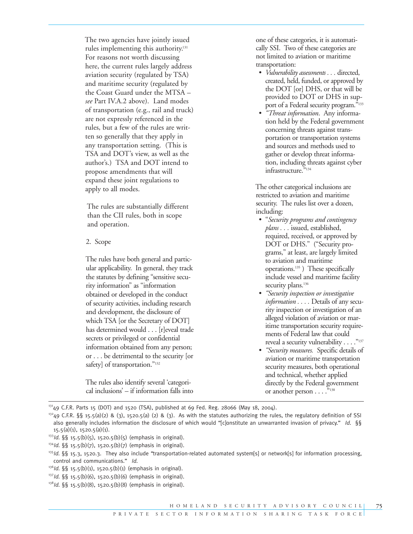The two agencies have jointly issued rules implementing this authority.<sup>131</sup> For reasons not worth discussing here, the current rules largely address aviation security (regulated by TSA) and maritime security (regulated by the Coast Guard under the MTSA – *see* Part IV.A.2 above). Land modes of transportation (e.g., rail and truck) are not expressly referenced in the rules, but a few of the rules are written so generally that they apply in any transportation setting. (This is TSA and DOT's view, as well as the author's.) TSA and DOT intend to propose amendments that will expand these joint regulations to apply to all modes.

The rules are substantially different than the CII rules, both in scope and operation.

### 2. Scope

The rules have both general and particular applicability. In general, they track the statutes by defining "sensitive security information" as "information obtained or developed in the conduct of security activities, including research and development, the disclosure of which TSA [or the Secretary of DOT] has determined would . . . [r]eveal trade secrets or privileged or confidential information obtained from any person; or . . . be detrimental to the security [or safety] of transportation."132

The rules also identify several 'categorical inclusions' – if information falls into one of these categories, it is automatically SSI. Two of these categories are not limited to aviation or maritime transportation:

- *Vulnerability assessments . . .* directed, created, held, funded, or approved by the DOT [or] DHS, or that will be provided to DOT or DHS in support of a Federal security program."133
- *"Threat information*. Any information held by the Federal government concerning threats against transportation or transportation systems and sources and methods used to gather or develop threat information, including threats against cyber infrastructure."<sup>134</sup>

The other categorical inclusions are restricted to aviation and maritime security. The rules list over a dozen, including:

- "*Security programs and contingency plans . . .* issued, established, required, received, or approved by DOT or DHS." ("Security programs," at least, are largely limited to aviation and maritime operations.135 ) These specifically include vessel and maritime facility security plans.<sup>136</sup>
- *"Security inspection or investigative information . . . .* Details of any security inspection or investigation of an alleged violation of aviation or maritime transportation security requirements of Federal law that could reveal a security vulnerability . . . . "<sup>137</sup>
- *"Security measures.* Specific details of aviation or maritime transportation security measures, both operational and technical, whether applied directly by the Federal government or another person . . . . "<sup>138</sup>

13149 C.F.R. Parts 15 (DOT) and 1520 (TSA), published at 69 Fed. Reg. 28066 (May 18, 2004).

HOMELAND SECURITY ADVISORY COUNCIL

 $13249$  C.F.R. §§ 15.5(a)(2) & (3), 1520.5(a) (2) & (3). As with the statutes authorizing the rules, the regulatory definition of SSI also generally includes information the disclosure of which would "[c]onstitute an unwarranted invasion of privacy." Id. §§  $15.5(a)(1), 1520.5(a)(1).$ 

 $1331d.$  §§ 15.5(b)(5), 1520.5(b)(5) (emphasis in original).

 $134$   $1d.$  §§ 15.5(b)(7), 1520.5(b)(7) (emphasis in original).

 $135$ Id. §§ 15.3, 1520.3. They also include "transportation-related automated system[s] or network[s] for information processing, control and communications." Id.

 $1361d.$  §§ 15.5(b)(1), 1520.5(b)(1) (emphasis in original).

 $137$  Id. §§ 15.5(b)(6), 1520.5(b)(6) (emphasis in original).

 $1381d.$  §§ 15.5(b)(8), 1520.5(b)(8) (emphasis in original).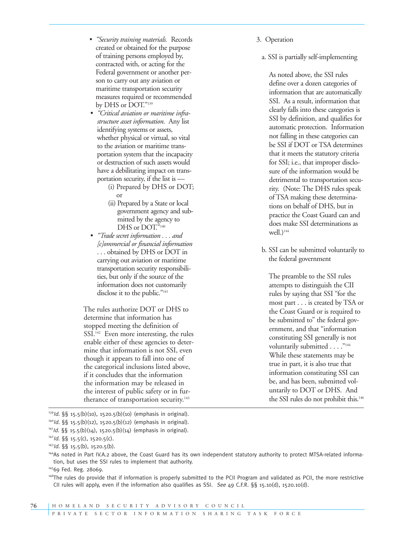- *"Security training materials.* Records created or obtained for the purpose of training persons employed by, contracted with, or acting for the Federal government or another person to carry out any aviation or maritime transportation security measures required or recommended by DHS or DOT."139
- *"Critical aviation or maritime infrastructure asset information.* Any list identifying systems or assets, whether physical or virtual, so vital to the aviation or maritime transportation system that the incapacity or destruction of such assets would have a debilitating impact on transportation security, if the list is —
	- (i) Prepared by DHS or DOT; or
	- (ii) Prepared by a State or local government agency and submitted by the agency to DHS or DOT."<sup>140</sup>
- *"Trade secret information . . . and [c]ommercial or financial information* . . . obtained by DHS or DOT in carrying out aviation or maritime transportation security responsibilities, but only if the source of the information does not customarily disclose it to the public."<sup>141</sup>

The rules authorize DOT or DHS to determine that information has stopped meeting the definition of  $S\overline{S}$ .<sup>142</sup> Even more interesting, the rules enable either of these agencies to determine that information is not SSI, even though it appears to fall into one of the categorical inclusions listed above, if it concludes that the information the information may be released in the interest of public safety or in furtherance of transportation security.<sup>143</sup>

- 3. Operation
	- a. SSI is partially self-implementing

As noted above, the SSI rules define over a dozen categories of information that are automatically SSI. As a result, information that clearly falls into these categories is SSI by definition, and qualifies for automatic protection. Information not falling in these categories can be SSI if DOT or TSA determines that it meets the statutory criteria for SSI; i.e., that improper disclosure of the information would be detrimental to transportation security. (Note: The DHS rules speak of TSA making these determinations on behalf of DHS, but in practice the Coast Guard can and does make SSI determinations as  $well.<sup>144</sup>$ 

b. SSI can be submitted voluntarily to the federal government

The preamble to the SSI rules attempts to distinguish the CII rules by saying that SSI "for the most part . . . is created by TSA or the Coast Guard or is required to be submitted to" the federal government, and that "information constituting SSI generally is not voluntarily submitted . . . . "<sup>144</sup> While these statements may be true in part, it is also true that information constituting SSI can be, and has been, submitted voluntarily to DOT or DHS. And the SSI rules do not prohibit this.<sup>146</sup>

- $139$ Id. §§ 15.5(b)(10), 1520.5(b)(10) (emphasis in original).
- $1401d.$  §§ 15.5(b)(12), 1520.5(b)(12) (emphasis in original).
- $1411d.$  §§ 15.5(b)(14), 1520.5(b)(14) (emphasis in original).

 $143$ Id. §§ 15.5(b), 1520.5(b).

14569 Fed. Reg. 28069.

### HOMELAND SECURITY ADVISORY COUNCIL **76**

 $142$ Id. §§ 15.5(c), 1520.5(c).

<sup>&</sup>lt;sup>144</sup>As noted in Part IV.A.2 above, the Coast Guard has its own independent statutory authority to protect MTSA-related information, but uses the SSI rules to implement that authority.

<sup>&</sup>lt;sup>146</sup>The rules do provide that if information is properly submitted to the PCII Program and validated as PCII, the more restrictive CII rules will apply, even if the information also qualifies as SSI. See 49 C.F.R. §§ 15.10(d), 1520.10(d).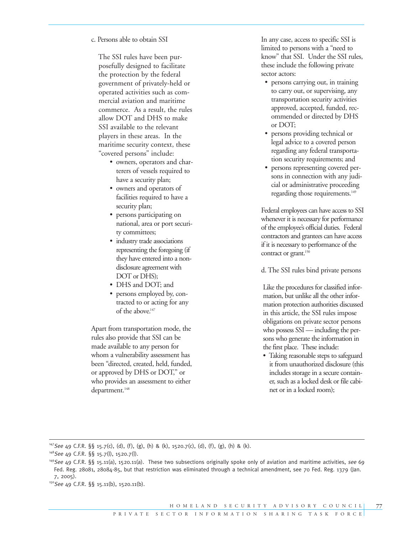c. Persons able to obtain SSI

The SSI rules have been purposefully designed to facilitate the protection by the federal government of privately-held or operated activities such as commercial aviation and maritime commerce. As a result, the rules allow DOT and DHS to make SSI available to the relevant players in these areas. In the maritime security context, these "covered persons" include:

- owners, operators and charterers of vessels required to have a security plan;
- owners and operators of facilities required to have a security plan;
- persons participating on national, area or port security committees;
- industry trade associations representing the foregoing (if they have entered into a nondisclosure agreement with DOT or DHS);
- DHS and DOT; and
- persons employed by, contracted to or acting for any of the above. 147

Apart from transportation mode, the rules also provide that SSI can be made available to any person for whom a vulnerability assessment has been "directed, created, held, funded, or approved by DHS or DOT," or who provides an assessment to either department.<sup>148</sup>

In any case, access to specific SSI is limited to persons with a "need to know" that SSI. Under the SSI rules, these include the following private sector actors:

- persons carrying out, in training to carry out, or supervising, any transportation security activities approved, accepted, funded, recommended or directed by DHS or DOT;
- persons providing technical or legal advice to a covered person regarding any federal transportation security requirements; and
- persons representing covered persons in connection with any judicial or administrative proceeding regarding those requirements.<sup>149</sup>

Federal employees can have access to SSI whenever it is necessary for performance of the employee's official duties. Federal contractors and grantees can have access if it is necessary to performance of the contract or grant.<sup>150</sup>

d. The SSI rules bind private persons

Like the procedures for classified information, but unlike all the other information protection authorities discussed in this article, the SSI rules impose obligations on private sector persons who possess SSI — including the persons who generate the information in the first place. These include:

• Taking reasonable steps to safeguard it from unauthorized disclosure (this includes storage in a secure container, such as a locked desk or file cabinet or in a locked room);

 $147$  See 49 C.F.R. §§ 15.7(c), (d), (f), (g), (h) & (k), 1520.7(c), (d), (f), (g), (h) & (k).

<sup>150</sup>See 49 C.F.R. §§ 15.11(b), 1520.11(b).

HOMELAND SECURITY ADVISORY COUNCIL PRIV A TE SECTOR INFORMATION SHARING TASK FORCE **77**

 $148$ See 49 C.F.R. §§ 15.7(l), 1520.7(l).

<sup>&</sup>lt;sup>149</sup>See 49 C.F.R. §§ 15.11(a), 1520.11(a). These two subsections originally spoke only of aviation and maritime activities, see 69 Fed. Reg. 28081, 28084-85, but that restriction was eliminated through a technical amendment, see 70 Fed. Reg. 1379 (Jan. 7, 2005).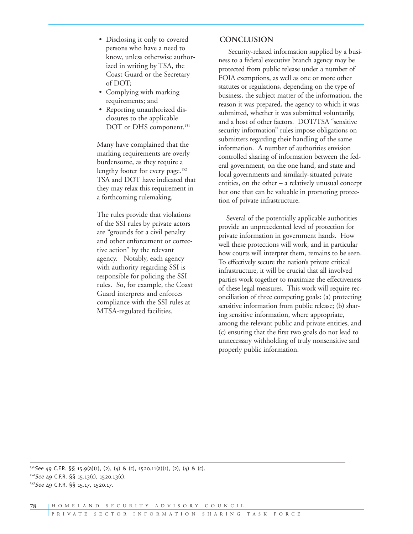- Disclosing it only to covered **CONCLUSION** persons who have a need to know, unless otherwise authorized in writing by TSA, the Coast Guard or the Secretary of DOT;
- Complying with marking requirements; and
- Reporting unauthorized disclosures to the applicable DOT or DHS component.<sup>151</sup>

Many have complained that the marking requirements are overly burdensome, as they require a lengthy footer for every page.<sup>152</sup> TSA and DOT have indicated that they may relax this requirement in a forthcoming rulemaking.

The rules provide that violations of the SSI rules by private actors are "grounds for a civil penalty and other enforcement or corrective action" by the relevant agency. Notably, each agency with authority regarding SSI is responsible for policing the SSI rules. So, for example, the Coast Guard interprets and enforces compliance with the SSI rules at MTSA-regulated facilities.

Security-related information supplied by a business to a federal executive branch agency may be protected from public release under a number of FOIA exemptions, as well as one or more other statutes or regulations, depending on the type of business, the subject matter of the information, the reason it was prepared, the agency to which it was submitted, whether it was submitted voluntarily, and a host of other factors. DOT/TSA "sensitive security information" rules impose obligations on submitters regarding their handling of the same information. A number of authorities envision controlled sharing of information between the federal government, on the one hand, and state and local governments and similarly-situated private entities, on the other – a relatively unusual concept but one that can be valuable in promoting protection of private infrastructure.

Several of the potentially applicable authorities provide an unprecedented level of protection for private information in government hands. How well these protections will work, and in particular how courts will interpret them, remains to be seen. To effectively secure the nation's private critical infrastructure, it will be crucial that all involved parties work together to maximize the effectiveness of these legal measures. This work will require reconciliation of three competing goals: (a) protecting sensitive information from public release; (b) sharing sensitive information, where appropriate, among the relevant public and private entities, and (c) ensuring that the first two goals do not lead to unnecessary withholding of truly nonsensitive and properly public information.

<sup>151</sup>See 49 C.F.R. §§ 15.9(a)(1), (2), (4) & (c), 1520.11(a)(1), (2), (4) & (c).  $152$  See 49 C.F.R. §§ 15.13(c), 1520.13(c). 153 See 49 C.F.R. §§ 15.17, 1520.17.

HOMELAND SECURITY ADVISORY COUNCIL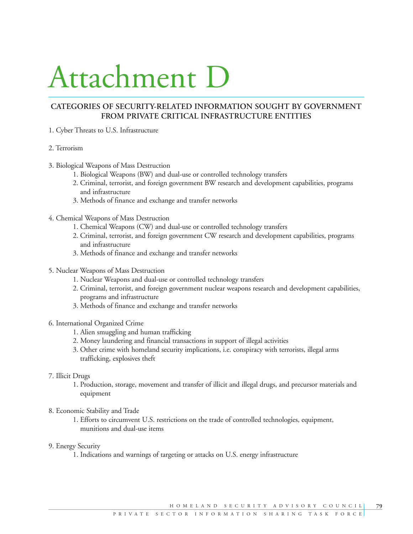# Attachment D

## **CATEGORIES OF SECURITY-RELATED INFORMATION SOUGHT BY GOVERNMENT FROM PRIVATE CRITICAL INFRASTRUCTURE ENTITIES**

1. Cyber Threats to U.S. Infrastructure

### 2. Terrorism

- 3. Biological Weapons of Mass Destruction
	- 1. Biological Weapons (BW) and dual-use or controlled technology transfers
	- 2. Criminal, terrorist, and foreign government BW research and development capabilities, programs and infrastructure
	- 3. Methods of finance and exchange and transfer networks
- 4. Chemical Weapons of Mass Destruction
	- 1. Chemical Weapons (CW) and dual-use or controlled technology transfers
	- 2. Criminal, terrorist, and foreign government CW research and development capabilities, programs and infrastructure
	- 3. Methods of finance and exchange and transfer networks
- 5. Nuclear Weapons of Mass Destruction
	- 1. Nuclear Weapons and dual-use or controlled technology transfers
	- 2. Criminal, terrorist, and foreign government nuclear weapons research and development capabilities, programs and infrastructure
	- 3. Methods of finance and exchange and transfer networks
- 6. International Organized Crime
	- 1. Alien smuggling and human trafficking
	- 2. Money laundering and financial transactions in support of illegal activities
	- 3. Other crime with homeland security implications, i.e. conspiracy with terrorists, illegal arms trafficking, explosives theft

### 7. Illicit Drugs

- 1. Production, storage, movement and transfer of illicit and illegal drugs, and precursor materials and equipment
- 8. Economic Stability and Trade
	- 1. Efforts to circumvent U.S. restrictions on the trade of controlled technologies, equipment, munitions and dual-use items

### 9. Energy Security

1. Indications and warnings of targeting or attacks on U.S. energy infrastructure